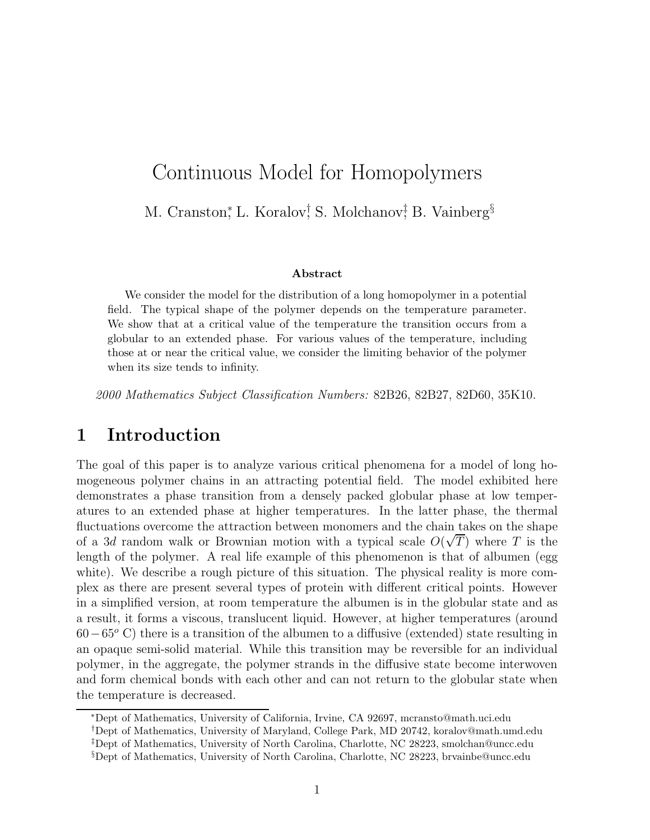# Continuous Model for Homopolymers

M. Cranston, L. Koralov, S. Molchanov, B. Vainberg<sup>§</sup>

#### **Abstract**

We consider the model for the distribution of a long homopolymer in a potential field. The typical shape of the polymer depends on the temperature parameter. We show that at a critical value of the temperature the transition occurs from a globular to an extended phase. For various values of the temperature, including those at or near the critical value, we consider the limiting behavior of the polymer when its size tends to infinity.

2000 Mathematics Subject Classification Numbers: 82B26, 82B27, 82D60, 35K10.

#### **1 Introduction**

The goal of this paper is to analyze various critical phenomena for a model of long homogeneous polymer chains in an attracting potential field. The model exhibited here demonstrates a phase transition from a densely packed globular phase at low temperatures to an extended phase at higher temperatures. In the latter phase, the thermal fluctuations overcome the attraction between monomers and the chain takes on the shape of a 3d random walk or Brownian motion with a typical scale  $O(\sqrt{T})$  where T is the length of the polymer. A real life example of this phenomenon is that of albumen (egg white). We describe a rough picture of this situation. The physical reality is more complex as there are present several types of protein with different critical points. However in a simplified version, at room temperature the albumen is in the globular state and as a result, it forms a viscous, translucent liquid. However, at higher temperatures (around  $60-65^{\circ}$  C) there is a transition of the albumen to a diffusive (extended) state resulting in an opaque semi-solid material. While this transition may be reversible for an individual polymer, in the aggregate, the polymer strands in the diffusive state become interwoven and form chemical bonds with each other and can not return to the globular state when the temperature is decreased.

<sup>∗</sup>Dept of Mathematics, University of California, Irvine, CA 92697, mcransto@math.uci.edu

†Dept of Mathematics, University of Maryland, College Park, MD 20742, koralov@math.umd.edu ‡Dept of Mathematics, University of North Carolina, Charlotte, NC 28223, smolchan@uncc.edu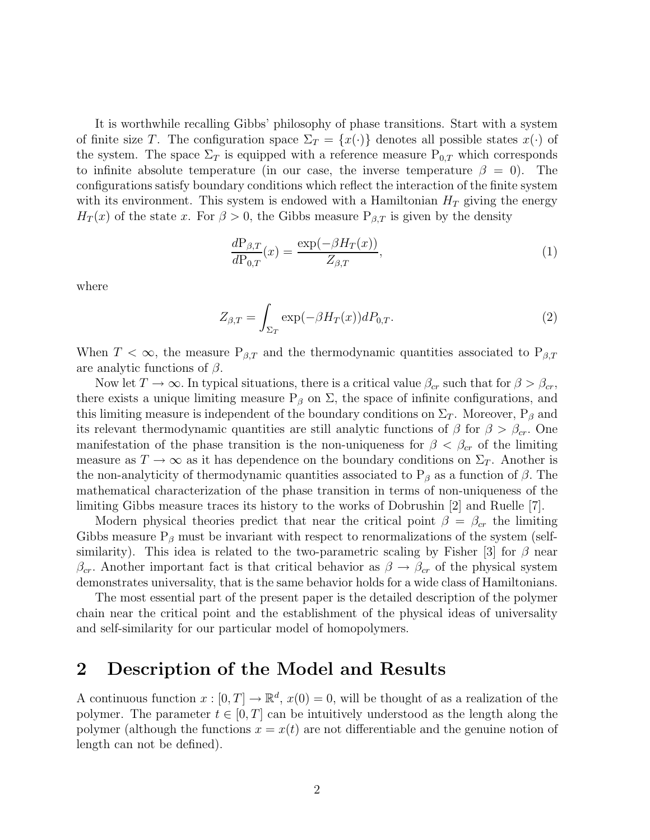It is worthwhile recalling Gibbs' philosophy of phase transitions. Start with a system of finite size T. The configuration space  $\Sigma_T = \{x(\cdot)\}\$  denotes all possible states  $x(\cdot)$  of the system. The space  $\Sigma_T$  is equipped with a reference measure  $P_{0,T}$  which corresponds to infinite absolute temperature (in our case, the inverse temperature  $\beta = 0$ ). The configurations satisfy boundary conditions which reflect the interaction of the finite system with its environment. This system is endowed with a Hamiltonian  $H_T$  giving the energy  $H_T(x)$  of the state x. For  $\beta > 0$ , the Gibbs measure  $P_{\beta,T}$  is given by the density

$$
\frac{dP_{\beta,T}}{dP_{0,T}}(x) = \frac{\exp(-\beta H_T(x))}{Z_{\beta,T}},\tag{1}
$$

where

$$
Z_{\beta,T} = \int_{\Sigma_T} \exp(-\beta H_T(x))dP_{0,T}.\tag{2}
$$

When  $T < \infty$ , the measure  $P_{\beta,T}$  and the thermodynamic quantities associated to  $P_{\beta,T}$ are analytic functions of  $\beta$ .

Now let  $T \to \infty$ . In typical situations, there is a critical value  $\beta_{cr}$  such that for  $\beta > \beta_{cr}$ , there exists a unique limiting measure  $P_\beta$  on  $\Sigma$ , the space of infinite configurations, and this limiting measure is independent of the boundary conditions on  $\Sigma_T$ . Moreover,  $P_\beta$  and its relevant thermodynamic quantities are still analytic functions of  $\beta$  for  $\beta > \beta_{cr}$ . One manifestation of the phase transition is the non-uniqueness for  $\beta < \beta_{cr}$  of the limiting measure as  $T \to \infty$  as it has dependence on the boundary conditions on  $\Sigma_T$ . Another is the non-analyticity of thermodynamic quantities associated to  $P_\beta$  as a function of  $\beta$ . The mathematical characterization of the phase transition in terms of non-uniqueness of the limiting Gibbs measure traces its history to the works of Dobrushin [2] and Ruelle [7].

Modern physical theories predict that near the critical point  $\beta = \beta_{cr}$  the limiting Gibbs measure  $P_\beta$  must be invariant with respect to renormalizations of the system (selfsimilarity). This idea is related to the two-parametric scaling by Fisher [3] for  $\beta$  near  $\beta_{cr}$ . Another important fact is that critical behavior as  $\beta \to \beta_{cr}$  of the physical system demonstrates universality, that is the same behavior holds for a wide class of Hamiltonians.

The most essential part of the present paper is the detailed description of the polymer chain near the critical point and the establishment of the physical ideas of universality and self-similarity for our particular model of homopolymers.

#### **2 Description of the Model and Results**

A continuous function  $x : [0, T] \to \mathbb{R}^d$ ,  $x(0) = 0$ , will be thought of as a realization of the polymer. The parameter  $t \in [0, T]$  can be intuitively understood as the length along the polymer (although the functions  $x = x(t)$  are not differentiable and the genuine notion of length can not be defined).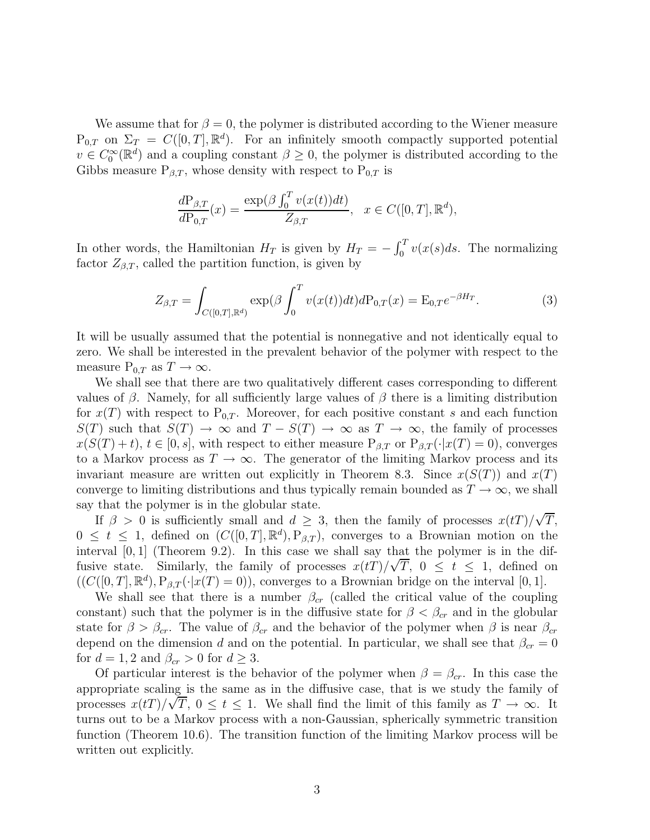We assume that for  $\beta = 0$ , the polymer is distributed according to the Wiener measure  $P_{0,T}$  on  $\Sigma_T = C([0,T], \mathbb{R}^d)$ . For an infinitely smooth compactly supported potential  $v \in C_0^{\infty}(\mathbb{R}^d)$  and a coupling constant  $\beta \geq 0$ , the polymer is distributed according to the Gibbs measure  $P_{\beta,T}$ , whose density with respect to  $P_{0,T}$  is

$$
\frac{d\mathcal{P}_{\beta,T}}{d\mathcal{P}_{0,T}}(x) = \frac{\exp(\beta \int_0^T v(x(t))dt)}{Z_{\beta,T}}, \quad x \in C([0,T], \mathbb{R}^d),
$$

In other words, the Hamiltonian  $H_T$  is given by  $H_T = -\int_0^T v(x(s)ds)$ . The normalizing factor  $Z_{\beta,T}$ , called the partition function, is given by

$$
Z_{\beta,T} = \int_{C([0,T],\mathbb{R}^d)} \exp(\beta \int_0^T v(x(t))dt) dP_{0,T}(x) = E_{0,T} e^{-\beta H_T}.
$$
 (3)

It will be usually assumed that the potential is nonnegative and not identically equal to zero. We shall be interested in the prevalent behavior of the polymer with respect to the measure  $P_{0,T}$  as  $T \to \infty$ .

We shall see that there are two qualitatively different cases corresponding to different values of  $\beta$ . Namely, for all sufficiently large values of  $\beta$  there is a limiting distribution for  $x(T)$  with respect to P<sub>0,T</sub>. Moreover, for each positive constant s and each function  $S(T)$  such that  $S(T) \to \infty$  and  $T - S(T) \to \infty$  as  $T \to \infty$ , the family of processes  $x(S(T) + t), t \in [0, s],$  with respect to either measure  $P_{\beta,T}$  or  $P_{\beta,T}(\cdot | x(T) = 0)$ , converges to a Markov process as  $T \to \infty$ . The generator of the limiting Markov process and its invariant measure are written out explicitly in Theorem 8.3. Since  $x(S(T))$  and  $x(T)$ converge to limiting distributions and thus typically remain bounded as  $T \to \infty$ , we shall say that the polymer is in the globular state. √

If  $\beta > 0$  is sufficiently small and  $d \geq 3$ , then the family of processes  $x(t)$  $T,$  $0 \leq t \leq 1$ , defined on  $(C([0, T], \mathbb{R}^d), P_{\beta,T})$ , converges to a Brownian motion on the interval [0, 1] (Theorem 9.2). In this case we shall say that the polymer is in the diffusive state. Similarly, the family of processes  $x(t) / \sqrt{T}$ ,  $0 \le t \le 1$ , defined on  $((C([0,T], \mathbb{R}^d), P_{\beta,T}(\cdot|x(T=0))),$  converges to a Brownian bridge on the interval [0, 1].

We shall see that there is a number  $\beta_{cr}$  (called the critical value of the coupling constant) such that the polymer is in the diffusive state for  $\beta < \beta_{cr}$  and in the globular state for  $\beta > \beta_{cr}$ . The value of  $\beta_{cr}$  and the behavior of the polymer when  $\beta$  is near  $\beta_{cr}$ depend on the dimension d and on the potential. In particular, we shall see that  $\beta_{cr} = 0$ for  $d = 1, 2$  and  $\beta_{cr} > 0$  for  $d \geq 3$ .

Of particular interest is the behavior of the polymer when  $\beta = \beta_{cr}$ . In this case the appropriate scaling is the same as in the diffusive case, that is we study the family of processes  $x(t) / \sqrt{T}$ ,  $0 \le t \le 1$ . We shall find the limit of this family as  $T \to \infty$ . It turns out to be a Markov process with a non-Gaussian, spherically symmetric transition function (Theorem 10.6). The transition function of the limiting Markov process will be written out explicitly.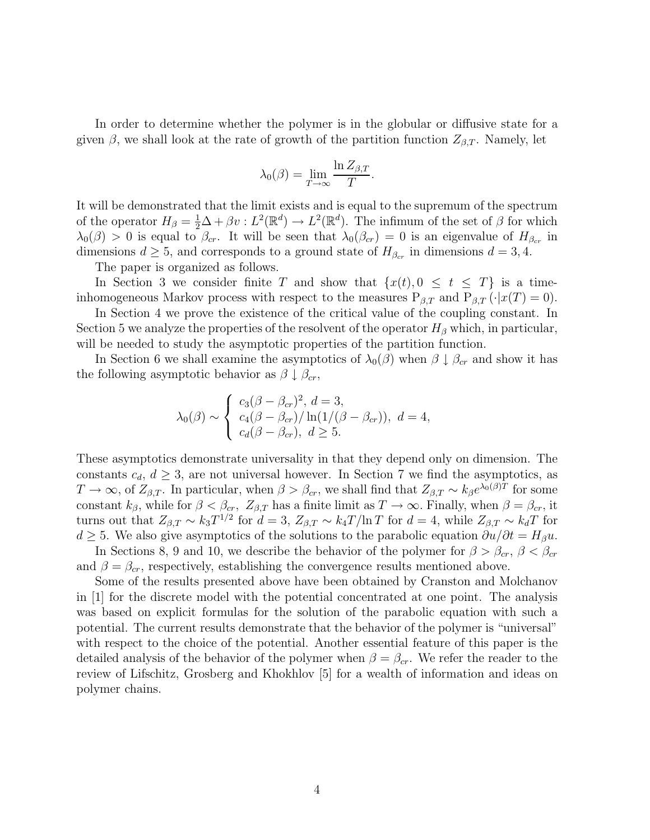In order to determine whether the polymer is in the globular or diffusive state for a given  $\beta$ , we shall look at the rate of growth of the partition function  $Z_{\beta,T}$ . Namely, let

$$
\lambda_0(\beta) = \lim_{T \to \infty} \frac{\ln Z_{\beta,T}}{T}.
$$

It will be demonstrated that the limit exists and is equal to the supremum of the spectrum of the operator  $H_{\beta} = \frac{1}{2}\Delta + \beta v : L^2(\mathbb{R}^d) \to L^2(\mathbb{R}^d)$ . The infimum of the set of  $\beta$  for which  $\lambda_0(\beta) > 0$  is equal to  $\beta_{cr}$ . It will be seen that  $\lambda_0(\beta_{cr}) = 0$  is an eigenvalue of  $H_{\beta_{cr}}$  in dimensions  $d \geq 5$ , and corresponds to a ground state of  $H_{\beta_{cr}}$  in dimensions  $d = 3, 4$ .

The paper is organized as follows.

In Section 3 we consider finite T and show that  $\{x(t), 0 \le t \le T\}$  is a timeinhomogeneous Markov process with respect to the measures  $P_{\beta,T}$  and  $P_{\beta,T} (\cdot | x(T) = 0)$ .

In Section 4 we prove the existence of the critical value of the coupling constant. In Section 5 we analyze the properties of the resolvent of the operator  $H_\beta$  which, in particular, will be needed to study the asymptotic properties of the partition function.

In Section 6 we shall examine the asymptotics of  $\lambda_0(\beta)$  when  $\beta \downarrow \beta_{cr}$  and show it has the following asymptotic behavior as  $\beta \downarrow \beta_{cr}$ ,

$$
\lambda_0(\beta) \sim \begin{cases} c_3(\beta - \beta_{cr})^2, d = 3, \\ c_4(\beta - \beta_{cr}) / \ln(1/(\beta - \beta_{cr})), d = 4, \\ c_d(\beta - \beta_{cr}), d \ge 5. \end{cases}
$$

These asymptotics demonstrate universality in that they depend only on dimension. The constants  $c_d$ ,  $d \geq 3$ , are not universal however. In Section 7 we find the asymptotics, as  $T \to \infty$ , of  $Z_{\beta,T}$ . In particular, when  $\beta > \beta_{cr}$ , we shall find that  $Z_{\beta,T} \sim k_{\beta}e^{\lambda_0(\beta)T}$  for some constant  $k_{\beta}$ , while for  $\beta < \beta_{cr}$ ,  $Z_{\beta,T}$  has a finite limit as  $T \to \infty$ . Finally, when  $\beta = \beta_{cr}$ , it turns out that  $Z_{\beta,T} \sim k_3 T^{1/2}$  for  $d=3$ ,  $Z_{\beta,T} \sim k_4 T/\ln T$  for  $d=4$ , while  $Z_{\beta,T} \sim k_d T$  for  $d \geq 5$ . We also give asymptotics of the solutions to the parabolic equation  $\partial u/\partial t = H_{\beta}u$ .

In Sections 8, 9 and 10, we describe the behavior of the polymer for  $\beta > \beta_{cr}$ ,  $\beta < \beta_{cr}$ and  $\beta = \beta_{cr}$ , respectively, establishing the convergence results mentioned above.

Some of the results presented above have been obtained by Cranston and Molchanov in [1] for the discrete model with the potential concentrated at one point. The analysis was based on explicit formulas for the solution of the parabolic equation with such a potential. The current results demonstrate that the behavior of the polymer is "universal" with respect to the choice of the potential. Another essential feature of this paper is the detailed analysis of the behavior of the polymer when  $\beta = \beta_{cr}$ . We refer the reader to the review of Lifschitz, Grosberg and Khokhlov [5] for a wealth of information and ideas on polymer chains.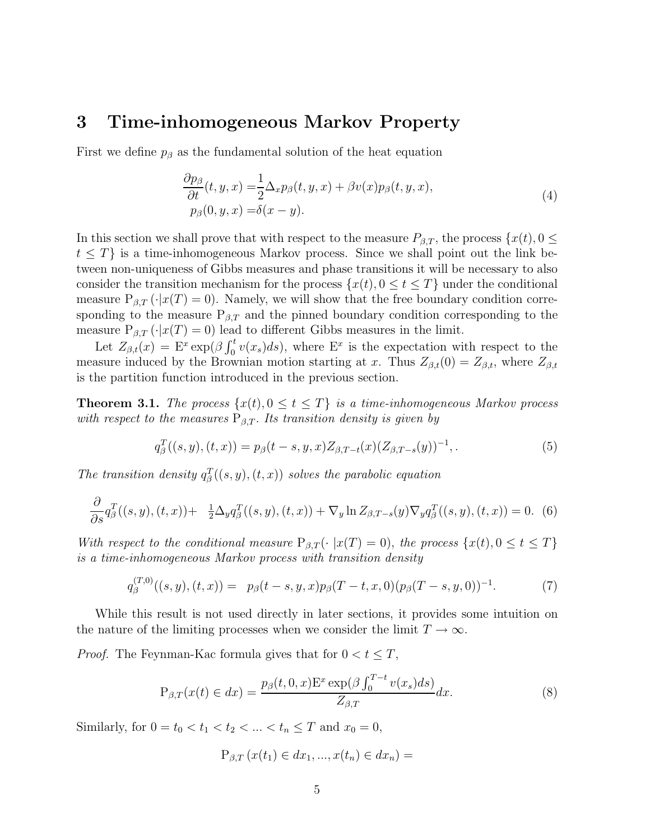#### **3 Time-inhomogeneous Markov Property**

First we define  $p<sub>\beta</sub>$  as the fundamental solution of the heat equation

$$
\frac{\partial p_{\beta}}{\partial t}(t, y, x) = \frac{1}{2} \Delta_x p_{\beta}(t, y, x) + \beta v(x) p_{\beta}(t, y, x),
$$
  
\n
$$
p_{\beta}(0, y, x) = \delta(x - y).
$$
\n(4)

In this section we shall prove that with respect to the measure  $P_{\beta,T}$ , the process  $\{x(t), 0 \leq \beta \}$  $t \leq T$  is a time-inhomogeneous Markov process. Since we shall point out the link between non-uniqueness of Gibbs measures and phase transitions it will be necessary to also consider the transition mechanism for the process  $\{x(t), 0 \le t \le T\}$  under the conditional measure  $P_{\beta,T}(\cdot|x(T)=0)$ . Namely, we will show that the free boundary condition corresponding to the measure  $P_{\beta,T}$  and the pinned boundary condition corresponding to the measure  $P_{\beta,T}(\cdot|x(T) = 0)$  lead to different Gibbs measures in the limit.

Let  $Z_{\beta,t}(x) = E^x \exp(\beta \int_0^t v(x_s) ds)$ , where  $E^x$  is the expectation with respect to the measure induced by the Brownian motion starting at x. Thus  $Z_{\beta,t}(0) = Z_{\beta,t}$ , where  $Z_{\beta,t}$ is the partition function introduced in the previous section.

**Theorem 3.1.** The process  $\{x(t), 0 \le t \le T\}$  is a time-inhomogeneous Markov process with respect to the measures  $P_{\beta,T}$ . Its transition density is given by

$$
q_{\beta}^{T}((s,y),(t,x)) = p_{\beta}(t-s,y,x)Z_{\beta,T-t}(x)(Z_{\beta,T-s}(y))^{-1},
$$
\n(5)

The transition density  $q_{\beta}^{T}((s, y), (t, x))$  solves the parabolic equation

$$
\frac{\partial}{\partial s}q_{\beta}^{T}((s,y),(t,x))+\frac{1}{2}\Delta_{y}q_{\beta}^{T}((s,y),(t,x))+\nabla_{y}\ln Z_{\beta,T-s}(y)\nabla_{y}q_{\beta}^{T}((s,y),(t,x))=0.
$$
 (6)

With respect to the conditional measure  $P_{\beta,T}(\cdot |x(T) = 0)$ , the process  $\{x(t), 0 \le t \le T\}$ is a time-inhomogeneous Markov process with transition density

$$
q_{\beta}^{(T,0)}((s,y),(t,x)) = p_{\beta}(t-s,y,x)p_{\beta}(T-t,x,0)(p_{\beta}(T-s,y,0))^{-1}.
$$
 (7)

While this result is not used directly in later sections, it provides some intuition on the nature of the limiting processes when we consider the limit  $T \to \infty$ .

*Proof.* The Feynman-Kac formula gives that for  $0 < t \leq T$ ,

$$
P_{\beta,T}(x(t) \in dx) = \frac{p_{\beta}(t,0,x)E^x \exp(\beta \int_0^{T-t} v(x_s)ds)}{Z_{\beta,T}}dx.
$$
\n(8)

Similarly, for  $0 = t_0 < t_1 < t_2 < ... < t_n \leq T$  and  $x_0 = 0$ ,

$$
P_{\beta,T}(x(t_1) \in dx_1, ..., x(t_n) \in dx_n) =
$$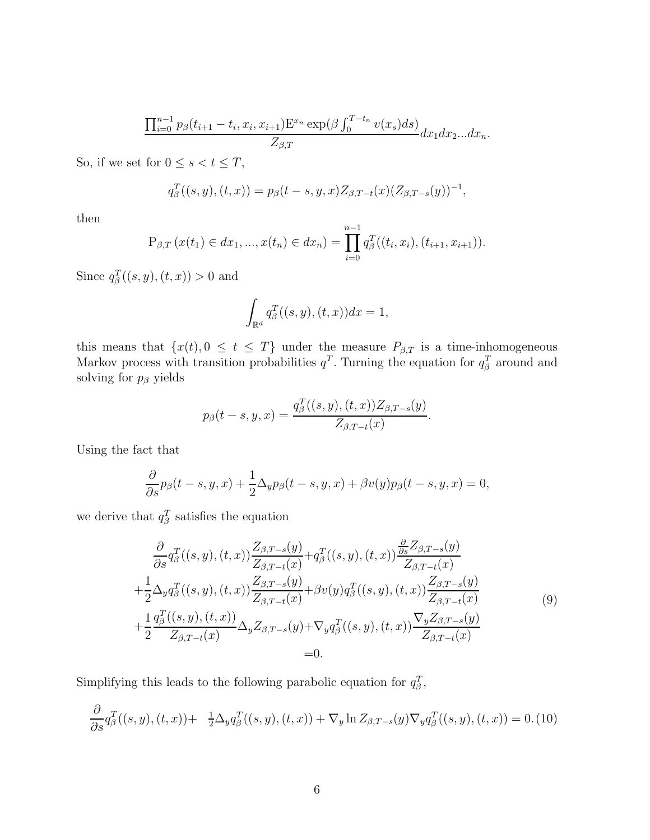$$
\frac{\prod_{i=0}^{n-1} p_{\beta}(t_{i+1}-t_i, x_i, x_{i+1}) \mathbb{E}^{x_n} \exp(\beta \int_0^{T-t_n} v(x_s) ds)}{Z_{\beta,T}} dx_1 dx_2...dx_n.
$$

So, if we set for  $0\leq s< t\leq T,$ 

$$
q_{\beta}^{T}((s,y),(t,x)) = p_{\beta}(t-s,y,x)Z_{\beta,T-t}(x)(Z_{\beta,T-s}(y))^{-1},
$$

then

$$
P_{\beta,T}(x(t_1) \in dx_1, ..., x(t_n) \in dx_n) = \prod_{i=0}^{n-1} q_{\beta}^T((t_i, x_i), (t_{i+1}, x_{i+1})).
$$

Since  $q_{\beta}^{T}((s, y), (t, x)) > 0$  and

$$
\int_{\mathbb{R}^d} q_\beta^T((s,y),(t,x))dx = 1,
$$

this means that  $\{x(t), 0 \le t \le T\}$  under the measure  $P_{\beta,T}$  is a time-inhomogeneous Markov process with transition probabilities  $q<sup>T</sup>$ . Turning the equation for  $q<sup>T</sup>$  around and solving for  $p_\beta$  yields

$$
p_{\beta}(t-s, y, x) = \frac{q_{\beta}^{T}((s, y), (t, x))Z_{\beta, T-s}(y)}{Z_{\beta, T-t}(x)}.
$$

Using the fact that

$$
\frac{\partial}{\partial s}p_{\beta}(t-s,y,x)+\frac{1}{2}\Delta_y p_{\beta}(t-s,y,x)+\beta v(y)p_{\beta}(t-s,y,x)=0,
$$

we derive that  $q_\beta^T$  satisfies the equation

$$
\frac{\partial}{\partial s} q_{\beta}^{T}((s, y), (t, x)) \frac{Z_{\beta, T-s}(y)}{Z_{\beta, T-t}(x)} + q_{\beta}^{T}((s, y), (t, x)) \frac{\frac{\partial}{\partial s} Z_{\beta, T-s}(y)}{Z_{\beta, T-t}(x)} \n+ \frac{1}{2} \Delta_{y} q_{\beta}^{T}((s, y), (t, x)) \frac{Z_{\beta, T-s}(y)}{Z_{\beta, T-t}(x)} + \beta v(y) q_{\beta}^{T}((s, y), (t, x)) \frac{Z_{\beta, T-s}(y)}{Z_{\beta, T-t}(x)} \n+ \frac{1}{2} \frac{q_{\beta}^{T}((s, y), (t, x))}{Z_{\beta, T-t}(x)} \Delta_{y} Z_{\beta, T-s}(y) + \nabla_{y} q_{\beta}^{T}((s, y), (t, x)) \frac{\nabla_{y} Z_{\beta, T-s}(y)}{Z_{\beta, T-t}(x)} \n= 0.
$$
\n(9)

Simplifying this leads to the following parabolic equation for  $q_{\beta}^T$ ,

$$
\frac{\partial}{\partial s} q_{\beta}^{T}((s,y),(t,x)) + \frac{1}{2} \Delta_{y} q_{\beta}^{T}((s,y),(t,x)) + \nabla_{y} \ln Z_{\beta,T-s}(y) \nabla_{y} q_{\beta}^{T}((s,y),(t,x)) = 0. \tag{10}
$$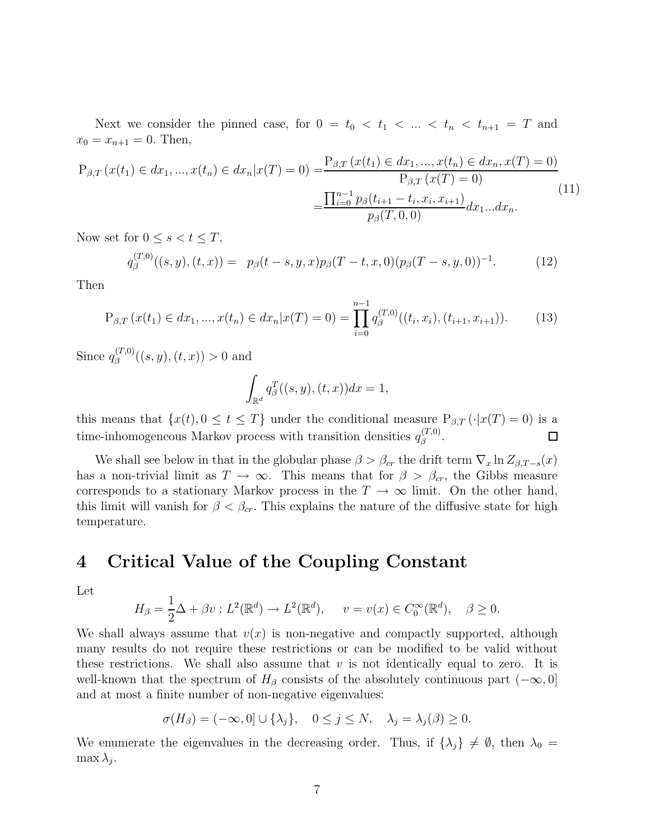Next we consider the pinned case, for  $0 = t_0 < t_1 < \ldots < t_n < t_{n+1} = T$  and  $x_0 = x_{n+1} = 0$ . Then,

$$
P_{\beta,T}(x(t_1) \in dx_1, ..., x(t_n) \in dx_n | x(T) = 0) = \frac{P_{\beta,T}(x(t_1) \in dx_1, ..., x(t_n) \in dx_n, x(T) = 0)}{P_{\beta,T}(x(T) = 0)}
$$
\n
$$
= \frac{\prod_{i=0}^{n-1} p_{\beta}(t_{i+1} - t_i, x_i, x_{i+1})}{p_{\beta}(T, 0, 0)} dx_1 ... dx_n.
$$
\n(11)

Now set for  $0 \leq s < t \leq T$ ,

$$
q_{\beta}^{(T,0)}((s,y),(t,x)) = p_{\beta}(t-s,y,x)p_{\beta}(T-t,x,0)(p_{\beta}(T-s,y,0))^{-1}.
$$
 (12)

Then

$$
P_{\beta,T}(x(t_1) \in dx_1, ..., x(t_n) \in dx_n | x(T) = 0) = \prod_{i=0}^{n-1} q_{\beta}^{(T,0)}((t_i, x_i), (t_{i+1}, x_{i+1})).
$$
 (13)

Since  $q_{\beta}^{(T,0)}((s,y),(t,x)) > 0$  and

$$
\int_{\mathbb{R}^d} q_\beta^T((s,y),(t,x))dx = 1,
$$

this means that  $\{x(t), 0 \le t \le T\}$  under the conditional measure  $P_{\beta,T}(\cdot|x(T) = 0)$  is a time-inhomogeneous Markov process with transition densities  $q_{\beta}^{(T,0)}$ .  $\Box$ 

We shall see below in that in the globular phase  $\beta > \beta_{cr}$  the drift term  $\nabla_x \ln Z_{\beta,T-s}(x)$ has a non-trivial limit as  $T \to \infty$ . This means that for  $\beta > \beta_{cr}$ , the Gibbs measure corresponds to a stationary Markov process in the  $T \to \infty$  limit. On the other hand, this limit will vanish for  $\beta < \beta_{cr}$ . This explains the nature of the diffusive state for high temperature.

#### **4 Critical Value of the Coupling Constant**

Let

$$
H_{\beta} = \frac{1}{2}\Delta + \beta v : L^{2}(\mathbb{R}^{d}) \to L^{2}(\mathbb{R}^{d}), \quad v = v(x) \in C_{0}^{\infty}(\mathbb{R}^{d}), \quad \beta \ge 0.
$$

We shall always assume that  $v(x)$  is non-negative and compactly supported, although many results do not require these restrictions or can be modified to be valid without these restrictions. We shall also assume that  $v$  is not identically equal to zero. It is well-known that the spectrum of  $H_\beta$  consists of the absolutely continuous part  $(-\infty, 0]$ and at most a finite number of non-negative eigenvalues:

$$
\sigma(H_{\beta}) = (-\infty, 0] \cup \{\lambda_j\}, \quad 0 \le j \le N, \quad \lambda_j = \lambda_j(\beta) \ge 0.
$$

We enumerate the eigenvalues in the decreasing order. Thus, if  $\{\lambda_j\} \neq \emptyset$ , then  $\lambda_0 =$  $\max \lambda_i$ .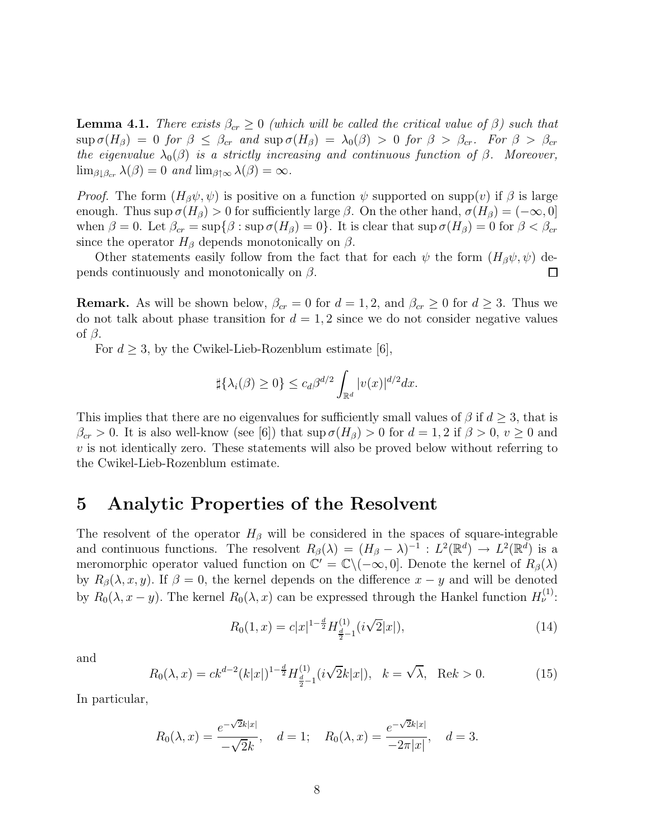**Lemma 4.1.** There exists  $\beta_{cr} \geq 0$  (which will be called the critical value of  $\beta$ ) such that  $\sup \sigma(H_\beta)=0$  for  $\beta \leq \beta_{cr}$  and  $\sup \sigma(H_\beta)=\lambda_0(\beta) > 0$  for  $\beta > \beta_{cr}$ . For  $\beta > \beta_{cr}$ the eigenvalue  $\lambda_0(\beta)$  is a strictly increasing and continuous function of  $\beta$ . Moreover,  $\lim_{\beta \downarrow \beta_{cr}} \lambda(\beta) = 0$  and  $\lim_{\beta \uparrow \infty} \lambda(\beta) = \infty$ .

*Proof.* The form  $(H_\beta\psi, \psi)$  is positive on a function  $\psi$  supported on supp(v) if  $\beta$  is large enough. Thus sup  $\sigma(H_\beta) > 0$  for sufficiently large  $\beta$ . On the other hand,  $\sigma(H_\beta) = (-\infty, 0]$ when  $\beta = 0$ . Let  $\beta_{cr} = \sup{\{\beta : \sup \sigma(H_\beta) = 0\}}$ . It is clear that  $\sup \sigma(H_\beta) = 0$  for  $\beta < \beta_{cr}$ since the operator  $H_\beta$  depends monotonically on  $\beta$ .

Other statements easily follow from the fact that for each  $\psi$  the form  $(H_\beta\psi, \psi)$  depends continuously and monotonically on  $\beta$ .  $\Box$ 

**Remark.** As will be shown below,  $\beta_{cr} = 0$  for  $d = 1, 2$ , and  $\beta_{cr} \geq 0$  for  $d \geq 3$ . Thus we do not talk about phase transition for  $d = 1, 2$  since we do not consider negative values of β.

For  $d \geq 3$ , by the Cwikel-Lieb-Rozenblum estimate [6],

$$
\sharp{\{\lambda_i(\beta)\geq 0\}}\leq c_d\beta^{d/2}\int_{\mathbb{R}^d}|v(x)|^{d/2}dx.
$$

This implies that there are no eigenvalues for sufficiently small values of  $\beta$  if  $d \geq 3$ , that is  $\beta_{cr} > 0$ . It is also well-know (see [6]) that sup  $\sigma(H_\beta) > 0$  for  $d = 1, 2$  if  $\beta > 0, v \ge 0$  and  $v$  is not identically zero. These statements will also be proved below without referring to the Cwikel-Lieb-Rozenblum estimate.

#### **5 Analytic Properties of the Resolvent**

The resolvent of the operator  $H_\beta$  will be considered in the spaces of square-integrable and continuous functions. The resolvent  $R_{\beta}(\lambda)=(H_{\beta}-\lambda)^{-1} : L^2(\mathbb{R}^d) \to L^2(\mathbb{R}^d)$  is a meromorphic operator valued function on  $\mathbb{C}' = \mathbb{C} \setminus (-\infty, 0]$ . Denote the kernel of  $R_\beta(\lambda)$ by  $R_\beta(\lambda, x, y)$ . If  $\beta = 0$ , the kernel depends on the difference  $x - y$  and will be denoted by  $R_0(\lambda, x - y)$ . The kernel  $R_0(\lambda, x)$  can be expressed through the Hankel function  $H_{\nu}^{(1)}$ :

$$
R_0(1,x) = c|x|^{1-\frac{d}{2}} H_{\frac{d}{2}-1}^{(1)}(i\sqrt{2}|x|), \tag{14}
$$

and

$$
R_0(\lambda, x) = ck^{d-2}(k|x|)^{1-\frac{d}{2}} H_{\frac{d}{2}-1}^{(1)}(i\sqrt{2}k|x|), \quad k = \sqrt{\lambda}, \quad \text{Re}k > 0.
$$
 (15)

In particular,

$$
R_0(\lambda, x) = \frac{e^{-\sqrt{2}k|x|}}{-\sqrt{2}k}, \quad d = 1; \quad R_0(\lambda, x) = \frac{e^{-\sqrt{2}k|x|}}{-2\pi|x|}, \quad d = 3.
$$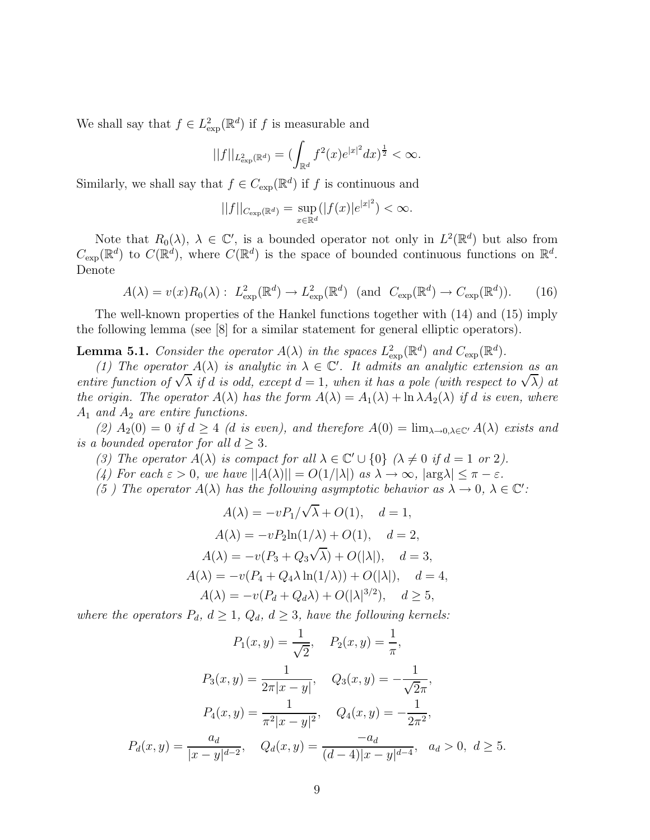We shall say that  $f \in L^2_{\text{exp}}(\mathbb{R}^d)$  if f is measurable and

$$
||f||_{L^2_{\exp}(\mathbb{R}^d)} = (\int_{\mathbb{R}^d} f^2(x)e^{|x|^2} dx)^{\frac{1}{2}} < \infty.
$$

Similarly, we shall say that  $f \in C_{\text{exp}}(\mathbb{R}^d)$  if f is continuous and

$$
||f||_{C_{\exp}(\mathbb{R}^d)} = \sup_{x \in \mathbb{R}^d} (|f(x)|e^{|x|^2}) < \infty.
$$

Note that  $R_0(\lambda)$ ,  $\lambda \in \mathbb{C}'$ , is a bounded operator not only in  $L^2(\mathbb{R}^d)$  but also from  $C_{\text{exp}}(\mathbb{R}^d)$  to  $C(\mathbb{R}^d)$ , where  $C(\mathbb{R}^d)$  is the space of bounded continuous functions on  $\mathbb{R}^d$ . Denote

$$
A(\lambda) = v(x)R_0(\lambda): L^2_{\text{exp}}(\mathbb{R}^d) \to L^2_{\text{exp}}(\mathbb{R}^d) \text{ (and } C_{\text{exp}}(\mathbb{R}^d) \to C_{\text{exp}}(\mathbb{R}^d)).\tag{16}
$$

The well-known properties of the Hankel functions together with (14) and (15) imply the following lemma (see [8] for a similar statement for general elliptic operators).

**Lemma 5.1.** Consider the operator  $A(\lambda)$  in the spaces  $L^2_{\text{exp}}(\mathbb{R}^d)$  and  $C_{\text{exp}}(\mathbb{R}^d)$ .

(1) The operator  $A(\lambda)$  is analytic in  $\lambda \in \mathbb{C}'$ . It admits an analytic extension as an (1) The operator  $A(\lambda)$  is analytic in  $\lambda \in \mathbb{C}$ . It damits an analytic extension as an<br>entire function of  $\sqrt{\lambda}$  if d is odd, except  $d = 1$ , when it has a pole (with respect to  $\sqrt{\lambda}$ ) at the origin. The operator  $A(\lambda)$  has the form  $A(\lambda) = A_1(\lambda) + \ln \lambda A_2(\lambda)$  if d is even, where  $A_1$  and  $A_2$  are entire functions.

(2)  $A_2(0) = 0$  if  $d \geq 4$  (d is even), and therefore  $A(0) = \lim_{\lambda \to 0, \lambda \in \mathbb{C}'} A(\lambda)$  exists and is a bounded operator for all  $d > 3$ .

- (3) The operator  $A(\lambda)$  is compact for all  $\lambda \in \mathbb{C}' \cup \{0\}$  ( $\lambda \neq 0$  if  $d = 1$  or 2).
- (4) For each  $\varepsilon > 0$ , we have  $||A(\lambda)|| = O(1/|\lambda|)$  as  $\lambda \to \infty$ ,  $|\arg \lambda| \leq \pi \varepsilon$ .
- (5) The operator  $A(\lambda)$  has the following asymptotic behavior as  $\lambda \to 0$ ,  $\lambda \in \mathbb{C}'$ :

$$
A(\lambda) = -vP_1/\sqrt{\lambda} + O(1), \quad d = 1,
$$
  
\n
$$
A(\lambda) = -vP_2\ln(1/\lambda) + O(1), \quad d = 2,
$$
  
\n
$$
A(\lambda) = -v(P_3 + Q_3\sqrt{\lambda}) + O(|\lambda|), \quad d = 3,
$$
  
\n
$$
A(\lambda) = -v(P_4 + Q_4\lambda\ln(1/\lambda)) + O(|\lambda|), \quad d = 4,
$$
  
\n
$$
A(\lambda) = -v(P_d + Q_d\lambda) + O(|\lambda|^{3/2}), \quad d \ge 5,
$$

where the operators  $P_d$ ,  $d \geq 1$ ,  $Q_d$ ,  $d \geq 3$ , have the following kernels:

$$
P_1(x, y) = \frac{1}{\sqrt{2}}, \quad P_2(x, y) = \frac{1}{\pi},
$$

$$
P_3(x, y) = \frac{1}{2\pi|x - y|}, \quad Q_3(x, y) = -\frac{1}{\sqrt{2}\pi},
$$

$$
P_4(x, y) = \frac{1}{\pi^2|x - y|^2}, \quad Q_4(x, y) = -\frac{1}{2\pi^2},
$$

$$
P_d(x, y) = \frac{a_d}{|x - y|^{d - 2}}, \quad Q_d(x, y) = \frac{-a_d}{(d - 4)|x - y|^{d - 4}}, \quad a_d > 0, \ d \ge 5.
$$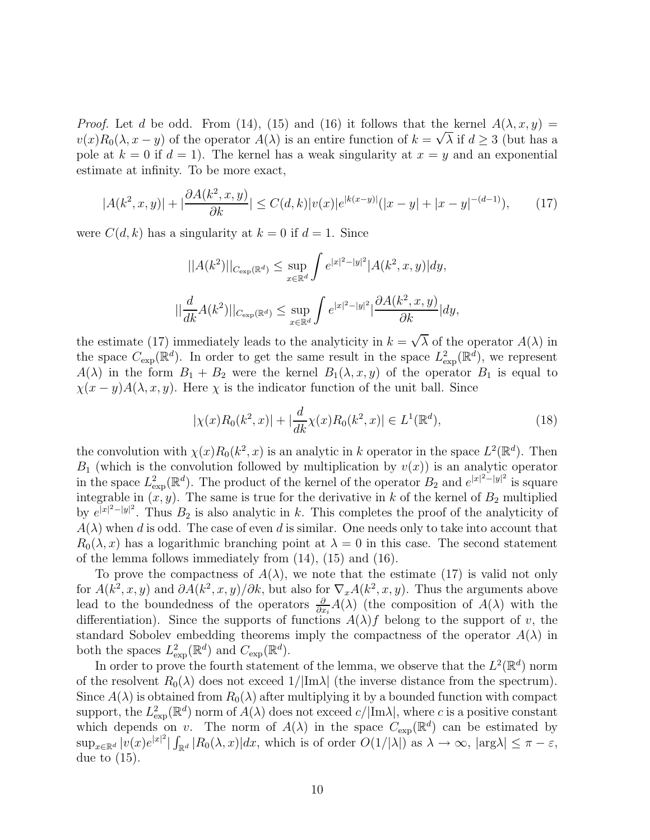*Proof.* Let d be odd. From (14), (15) and (16) it follows that the kernel  $A(\lambda, x, y) =$ *Proof.* Let a be odd. From (14), (15) and (16) it follows that the kerner  $A(\lambda, x, y) = v(x)R_0(\lambda, x - y)$  of the operator  $A(\lambda)$  is an entire function of  $k = \sqrt{\lambda}$  if  $d \ge 3$  (but has a pole at  $k = 0$  if  $d = 1$ ). The kernel has a weak singularity at  $x = y$  and an exponential estimate at infinity. To be more exact,

$$
|A(k^2, x, y)| + |\frac{\partial A(k^2, x, y)}{\partial k}| \le C(d, k)|v(x)|e^{|k(x-y)|}(|x-y| + |x-y|^{-(d-1)}), \tag{17}
$$

were  $C(d, k)$  has a singularity at  $k = 0$  if  $d = 1$ . Since

$$
||A(k^2)||_{C_{\exp}(\mathbb{R}^d)} \le \sup_{x \in \mathbb{R}^d} \int e^{|x|^2 - |y|^2} |A(k^2, x, y)| dy,
$$
  

$$
||\frac{d}{dk}A(k^2)||_{C_{\exp}(\mathbb{R}^d)} \le \sup_{x \in \mathbb{R}^d} \int e^{|x|^2 - |y|^2} |\frac{\partial A(k^2, x, y)}{\partial k}| dy,
$$

the estimate (17) immediately leads to the analyticity in  $k = \sqrt{\lambda}$  of the operator  $A(\lambda)$  in the space  $C_{\text{exp}}(\mathbb{R}^d)$ . In order to get the same result in the space  $L^2_{\text{exp}}(\mathbb{R}^d)$ , we represent  $A(\lambda)$  in the form  $B_1 + B_2$  were the kernel  $B_1(\lambda, x, y)$  of the operator  $B_1$  is equal to  $\chi(x-y)A(\lambda, x, y)$ . Here  $\chi$  is the indicator function of the unit ball. Since

$$
|\chi(x)R_0(k^2, x)| + |\frac{d}{dk}\chi(x)R_0(k^2, x)| \in L^1(\mathbb{R}^d),\tag{18}
$$

the convolution with  $\chi(x)R_0(k^2, x)$  is an analytic in k operator in the space  $L^2(\mathbb{R}^d)$ . Then  $B_1$  (which is the convolution followed by multiplication by  $v(x)$ ) is an analytic operator in the space  $L^2_{\text{exp}}(\mathbb{R}^d)$ . The product of the kernel of the operator  $B_2$  and  $e^{|x|^2-|y|^2}$  is square integrable in  $(x, y)$ . The same is true for the derivative in k of the kernel of  $B_2$  multiplied by  $e^{|x|^2-|y|^2}$ . Thus  $B_2$  is also analytic in k. This completes the proof of the analyticity of  $A(\lambda)$  when d is odd. The case of even d is similar. One needs only to take into account that  $R_0(\lambda, x)$  has a logarithmic branching point at  $\lambda = 0$  in this case. The second statement of the lemma follows immediately from (14), (15) and (16).

To prove the compactness of  $A(\lambda)$ , we note that the estimate (17) is valid not only for  $A(k^2, x, y)$  and  $\partial A(k^2, x, y)/\partial k$ , but also for  $\nabla_x A(k^2, x, y)$ . Thus the arguments above lead to the boundedness of the operators  $\frac{\partial}{\partial x_i}A(\lambda)$  (the composition of  $A(\lambda)$  with the differentiation). Since the supports of functions  $A(\lambda)$  belong to the support of v, the standard Sobolev embedding theorems imply the compactness of the operator  $A(\lambda)$  in both the spaces  $L^2_{\text{exp}}(\mathbb{R}^d)$  and  $C_{\text{exp}}(\mathbb{R}^d)$ .

In order to prove the fourth statement of the lemma, we observe that the  $L^2(\mathbb{R}^d)$  norm of the resolvent  $R_0(\lambda)$  does not exceed  $1/|\text{Im }\lambda|$  (the inverse distance from the spectrum). Since  $A(\lambda)$  is obtained from  $R_0(\lambda)$  after multiplying it by a bounded function with compact support, the  $L^2_{\text{exp}}(\mathbb{R}^d)$  norm of  $A(\lambda)$  does not exceed  $c/|\text{Im}\lambda|$ , where c is a positive constant which depends on v. The norm of  $A(\lambda)$  in the space  $C_{\text{exp}}(\mathbb{R}^d)$  can be estimated by  $\sup_{x\in\mathbb{R}^d} |v(x)e^{|x|^2}|\int_{\mathbb{R}^d} |R_0(\lambda,x)|dx$ , which is of order  $O(1/|\lambda|)$  as  $\lambda \to \infty$ ,  $|\arg \lambda| \leq \pi - \varepsilon$ , due to (15).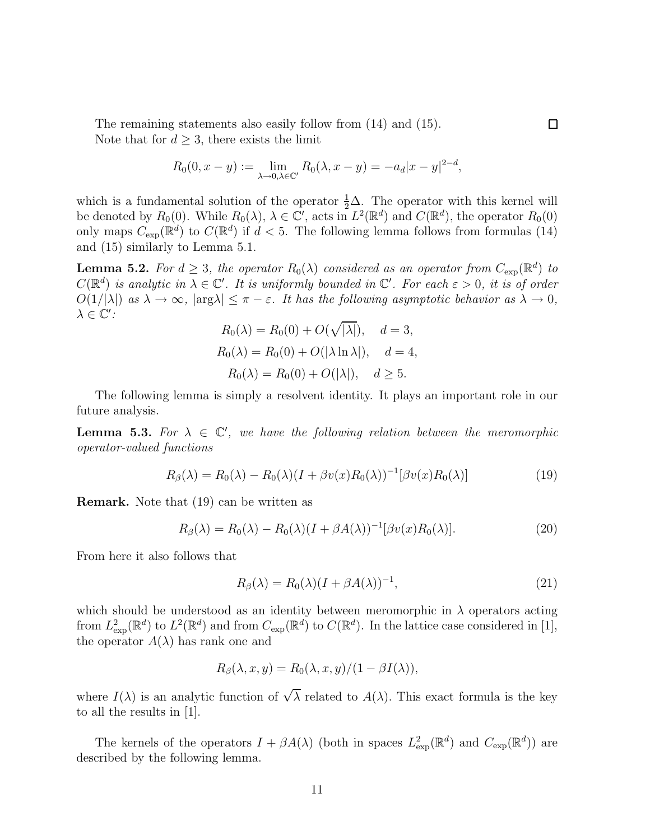The remaining statements also easily follow from (14) and (15). Note that for  $d \geq 3$ , there exists the limit

$$
R_0(0, x - y) := \lim_{\lambda \to 0, \lambda \in \mathbb{C}'} R_0(\lambda, x - y) = -a_d |x - y|^{2 - d},
$$

which is a fundamental solution of the operator  $\frac{1}{2}\Delta$ . The operator with this kernel will be denoted by  $R_0(0)$ . While  $R_0(\lambda)$ ,  $\lambda \in \mathbb{C}'$ , acts in  $L^2(\mathbb{R}^d)$  and  $C(\mathbb{R}^d)$ , the operator  $R_0(0)$ only maps  $C_{\text{exp}}(\mathbb{R}^d)$  to  $C(\mathbb{R}^d)$  if  $d < 5$ . The following lemma follows from formulas (14) and (15) similarly to Lemma 5.1.

**Lemma 5.2.** For  $d \geq 3$ , the operator  $R_0(\lambda)$  considered as an operator from  $C_{\text{exp}}(\mathbb{R}^d)$  to  $C(\mathbb{R}^d)$  is analytic in  $\lambda \in \mathbb{C}'$ . It is uniformly bounded in  $\mathbb{C}'$ . For each  $\varepsilon > 0$ , it is of order  $O(1/|\lambda|)$  as  $\lambda \to \infty$ ,  $|\arg \lambda| \leq \pi - \varepsilon$ . It has the following asymptotic behavior as  $\lambda \to 0$ ,  $\lambda \in \mathbb{C}'$ :

$$
R_0(\lambda) = R_0(0) + O(\sqrt{|\lambda|}), \quad d = 3,
$$
  
\n
$$
R_0(\lambda) = R_0(0) + O(|\lambda \ln \lambda|), \quad d = 4,
$$
  
\n
$$
R_0(\lambda) = R_0(0) + O(|\lambda|), \quad d \ge 5.
$$

The following lemma is simply a resolvent identity. It plays an important role in our future analysis.

**Lemma 5.3.** For  $\lambda \in \mathbb{C}'$ , we have the following relation between the meromorphic operator-valued functions

$$
R_{\beta}(\lambda) = R_0(\lambda) - R_0(\lambda)(I + \beta v(x)R_0(\lambda))^{-1}[\beta v(x)R_0(\lambda)] \tag{19}
$$

**Remark.** Note that (19) can be written as

$$
R_{\beta}(\lambda) = R_0(\lambda) - R_0(\lambda)(I + \beta A(\lambda))^{-1}[\beta v(x)R_0(\lambda)].
$$
\n(20)

From here it also follows that

$$
R_{\beta}(\lambda) = R_0(\lambda)(I + \beta A(\lambda))^{-1},\tag{21}
$$

which should be understood as an identity between meromorphic in  $\lambda$  operators acting from  $L^2_{\text{exp}}(\mathbb{R}^d)$  to  $L^2(\mathbb{R}^d)$  and from  $C_{\text{exp}}(\mathbb{R}^d)$  to  $C(\mathbb{R}^d)$ . In the lattice case considered in [1], the operator  $A(\lambda)$  has rank one and

$$
R_{\beta}(\lambda, x, y) = R_0(\lambda, x, y)/(1 - \beta I(\lambda)),
$$

where  $I(\lambda)$  is an analytic function of  $\sqrt{\lambda}$  related to  $A(\lambda)$ . This exact formula is the key to all the results in [1].

The kernels of the operators  $I + \beta A(\lambda)$  (both in spaces  $L^2_{\text{exp}}(\mathbb{R}^d)$  and  $C_{\text{exp}}(\mathbb{R}^d)$ ) are described by the following lemma.

 $\Box$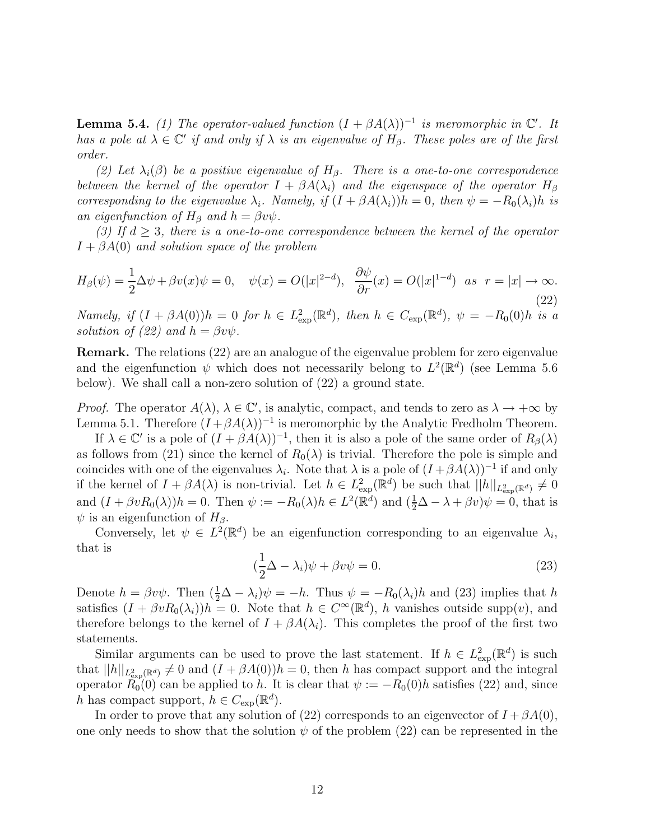**Lemma 5.4.** (1) The operator-valued function  $(I + \beta A(\lambda))^{-1}$  is meromorphic in  $\mathbb{C}'$ . It has a pole at  $\lambda \in \mathbb{C}'$  if and only if  $\lambda$  is an eigenvalue of  $H_\beta$ . These poles are of the first order.

(2) Let  $\lambda_i(\beta)$  be a positive eigenvalue of  $H_\beta$ . There is a one-to-one correspondence between the kernel of the operator  $I + \beta A(\lambda_i)$  and the eigenspace of the operator  $H_\beta$ corresponding to the eigenvalue  $\lambda_i$ . Namely, if  $(I + \beta A(\lambda_i))h = 0$ , then  $\psi = -R_0(\lambda_i)h$  is an eigenfunction of  $H_\beta$  and  $h = \beta v \psi$ .

(3) If  $d \geq 3$ , there is a one-to-one correspondence between the kernel of the operator  $I + \beta A(0)$  and solution space of the problem

$$
H_{\beta}(\psi) = \frac{1}{2}\Delta\psi + \beta v(x)\psi = 0, \quad \psi(x) = O(|x|^{2-d}), \quad \frac{\partial\psi}{\partial r}(x) = O(|x|^{1-d}) \quad \text{as} \quad r = |x| \to \infty.
$$
\n<sup>(22)</sup>

Namely, if  $(I + \beta A(0))h = 0$  for  $h \in L^2_{exp}(\mathbb{R}^d)$ , then  $h \in C_{exp}(\mathbb{R}^d)$ ,  $\psi = -R_0(0)h$  is a solution of (22) and  $h = \beta v \psi$ .

**Remark.** The relations (22) are an analogue of the eigenvalue problem for zero eigenvalue and the eigenfunction  $\psi$  which does not necessarily belong to  $L^2(\mathbb{R}^d)$  (see Lemma 5.6) below). We shall call a non-zero solution of (22) a ground state.

*Proof.* The operator  $A(\lambda)$ ,  $\lambda \in \mathbb{C}'$ , is analytic, compact, and tends to zero as  $\lambda \to +\infty$  by Lemma 5.1. Therefore  $(I + \beta A(\lambda))^{-1}$  is meromorphic by the Analytic Fredholm Theorem.

If  $\lambda \in \mathbb{C}'$  is a pole of  $(I + \beta A(\lambda))^{-1}$ , then it is also a pole of the same order of  $R_{\beta}(\lambda)$ as follows from (21) since the kernel of  $R_0(\lambda)$  is trivial. Therefore the pole is simple and coincides with one of the eigenvalues  $\lambda_i$ . Note that  $\lambda$  is a pole of  $(I + \beta A(\lambda))^{-1}$  if and only if the kernel of  $I + \beta A(\lambda)$  is non-trivial. Let  $h \in L^2_{\text{exp}}(\mathbb{R}^d)$  be such that  $||h||_{L^2_{\text{exp}}(\mathbb{R}^d)} \neq 0$ and  $(I + \beta v R_0(\lambda))h = 0$ . Then  $\psi := -R_0(\lambda)h \in L^2(\mathbb{R}^d)$  and  $(\frac{1}{2}\Delta - \lambda + \beta v)\psi = 0$ , that is  $\psi$  is an eigenfunction of  $H_{\beta}$ .

Conversely, let  $\psi \in L^2(\mathbb{R}^d)$  be an eigenfunction corresponding to an eigenvalue  $\lambda_i$ , that is

$$
(\frac{1}{2}\Delta - \lambda_i)\psi + \beta v\psi = 0.
$$
\n(23)

Denote  $h = \beta v \psi$ . Then  $(\frac{1}{2}\Delta - \lambda_i)\psi = -h$ . Thus  $\psi = -R_0(\lambda_i)h$  and (23) implies that h satisfies  $(I + \beta v R_0(\lambda_i))h = 0$ . Note that  $h \in C^{\infty}(\mathbb{R}^d)$ , h vanishes outside supp $(v)$ , and therefore belongs to the kernel of  $I + \beta A(\lambda_i)$ . This completes the proof of the first two statements.

Similar arguments can be used to prove the last statement. If  $h \in L^2_{\text{exp}}(\mathbb{R}^d)$  is such that  $||h||_{L^2_{\exp}(\mathbb{R}^d)} \neq 0$  and  $(I + \beta A(0))h = 0$ , then h has compact support and the integral operator  $R_0(0)$  can be applied to h. It is clear that  $\psi := -R_0(0)h$  satisfies (22) and, since h has compact support,  $h \in C_{\text{exp}}(\mathbb{R}^d)$ .

In order to prove that any solution of (22) corresponds to an eigenvector of  $I + \beta A(0)$ , one only needs to show that the solution  $\psi$  of the problem (22) can be represented in the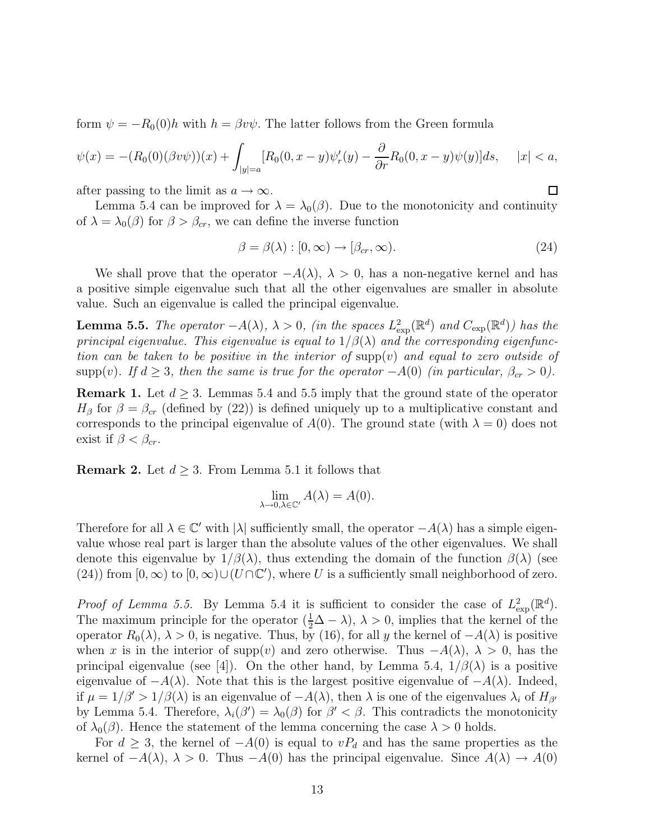form  $\psi = -R_0(0)h$  with  $h = \beta v \psi$ . The latter follows from the Green formula

$$
\psi(x) = -(R_0(0)(\beta v\psi))(x) + \int_{|y|=a} [R_0(0, x-y)\psi_r'(y) - \frac{\partial}{\partial r}R_0(0, x-y)\psi(y)]ds, \quad |x| < a,
$$

after passing to the limit as  $a \to \infty$ .

Lemma 5.4 can be improved for  $\lambda = \lambda_0(\beta)$ . Due to the monotonicity and continuity of  $\lambda = \lambda_0(\beta)$  for  $\beta > \beta_{cr}$ , we can define the inverse function

$$
\beta = \beta(\lambda) : [0, \infty) \to [\beta_{cr}, \infty). \tag{24}
$$

 $\Box$ 

We shall prove that the operator  $-A(\lambda)$ ,  $\lambda > 0$ , has a non-negative kernel and has a positive simple eigenvalue such that all the other eigenvalues are smaller in absolute value. Such an eigenvalue is called the principal eigenvalue.

**Lemma 5.5.** The operator  $-A(\lambda)$ ,  $\lambda > 0$ , (in the spaces  $L^2_{\text{exp}}(\mathbb{R}^d)$  and  $C_{\text{exp}}(\mathbb{R}^d)$ ) has the principal eigenvalue. This eigenvalue is equal to  $1/\beta(\lambda)$  and the corresponding eigenfunction can be taken to be positive in the interior of  $\text{supp}(v)$  and equal to zero outside of supp(v). If  $d \geq 3$ , then the same is true for the operator  $-A(0)$  (in particular,  $\beta_{cr} > 0$ ).

**Remark 1.** Let  $d \geq 3$ . Lemmas 5.4 and 5.5 imply that the ground state of the operator  $H_{\beta}$  for  $\beta = \beta_{cr}$  (defined by (22)) is defined uniquely up to a multiplicative constant and corresponds to the principal eigenvalue of  $A(0)$ . The ground state (with  $\lambda = 0$ ) does not exist if  $\beta < \beta_{cr}$ .

**Remark 2.** Let  $d \geq 3$ . From Lemma 5.1 it follows that

$$
\lim_{\lambda \to 0, \lambda \in \mathbb{C}'} A(\lambda) = A(0).
$$

Therefore for all  $\lambda \in \mathbb{C}'$  with  $|\lambda|$  sufficiently small, the operator  $-A(\lambda)$  has a simple eigenvalue whose real part is larger than the absolute values of the other eigenvalues. We shall denote this eigenvalue by  $1/\beta(\lambda)$ , thus extending the domain of the function  $\beta(\lambda)$  (see (24)) from  $[0, \infty)$  to  $[0, \infty) \cup (U \cap \mathbb{C}')$ , where U is a sufficiently small neighborhood of zero.

*Proof of Lemma 5.5.* By Lemma 5.4 it is sufficient to consider the case of  $L^2_{\text{exp}}(\mathbb{R}^d)$ . The maximum principle for the operator  $(\frac{1}{2}\Delta - \lambda)$ ,  $\lambda > 0$ , implies that the kernel of the operator  $R_0(\lambda)$ ,  $\lambda > 0$ , is negative. Thus, by (16), for all y the kernel of  $-A(\lambda)$  is positive when x is in the interior of supp(v) and zero otherwise. Thus  $-A(\lambda)$ ,  $\lambda > 0$ , has the principal eigenvalue (see [4]). On the other hand, by Lemma 5.4,  $1/\beta(\lambda)$  is a positive eigenvalue of  $-A(\lambda)$ . Note that this is the largest positive eigenvalue of  $-A(\lambda)$ . Indeed, if  $\mu = 1/\beta' > 1/\beta(\lambda)$  is an eigenvalue of  $-A(\lambda)$ , then  $\lambda$  is one of the eigenvalues  $\lambda_i$  of  $H_{\beta'}$ by Lemma 5.4. Therefore,  $\lambda_i(\beta') = \lambda_0(\beta)$  for  $\beta' < \beta$ . This contradicts the monotonicity of  $\lambda_0(\beta)$ . Hence the statement of the lemma concerning the case  $\lambda > 0$  holds.

For  $d \geq 3$ , the kernel of  $-A(0)$  is equal to  $vP_d$  and has the same properties as the kernel of  $-A(\lambda)$ ,  $\lambda > 0$ . Thus  $-A(0)$  has the principal eigenvalue. Since  $A(\lambda) \rightarrow A(0)$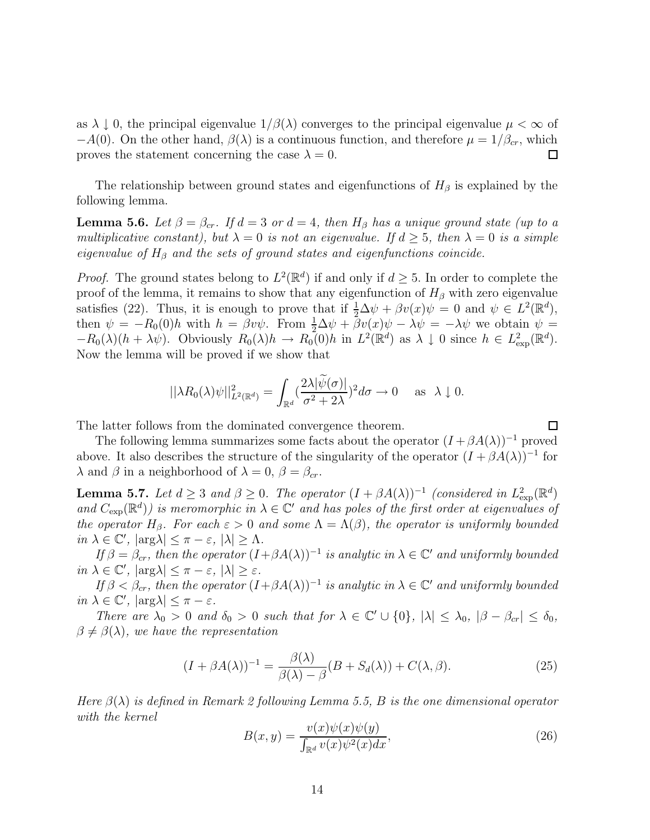as  $\lambda \downarrow 0$ , the principal eigenvalue  $1/\beta(\lambda)$  converges to the principal eigenvalue  $\mu < \infty$  of −A(0). On the other hand,  $\beta(\lambda)$  is a continuous function, and therefore  $\mu = 1/\beta_{cr}$ , which proves the statement concerning the case  $\lambda = 0$ .  $\Box$ 

The relationship between ground states and eigenfunctions of  $H_\beta$  is explained by the following lemma.

**Lemma 5.6.** Let  $\beta = \beta_{cr}$ . If  $d = 3$  or  $d = 4$ , then  $H_{\beta}$  has a unique ground state (up to a multiplicative constant), but  $\lambda = 0$  is not an eigenvalue. If  $d \geq 5$ , then  $\lambda = 0$  is a simple eigenvalue of  $H_\beta$  and the sets of ground states and eigenfunctions coincide.

*Proof.* The ground states belong to  $L^2(\mathbb{R}^d)$  if and only if  $d \geq 5$ . In order to complete the proof of the lemma, it remains to show that any eigenfunction of  $H_\beta$  with zero eigenvalue satisfies (22). Thus, it is enough to prove that if  $\frac{1}{2}\Delta \psi + \beta v(x)\psi = 0$  and  $\psi \in L^2(\mathbb{R}^d)$ , then  $\psi = -R_0(0)h$  with  $h = \beta v \psi$ . From  $\frac{1}{2} \Delta \psi + \beta v(x) \psi - \lambda \psi = -\lambda \psi$  we obtain  $\psi =$  $-R_0(\lambda)(h + \lambda \psi)$ . Obviously  $R_0(\lambda)h \to R_0(0)h$  in  $L^2(\mathbb{R}^d)$  as  $\lambda \downarrow 0$  since  $h \in L^2_{\text{exp}}(\mathbb{R}^d)$ . Now the lemma will be proved if we show that

$$
||\lambda R_0(\lambda)\psi||^2_{L^2(\mathbb{R}^d)} = \int_{\mathbb{R}^d} \left(\frac{2\lambda|\psi(\sigma)|}{\sigma^2 + 2\lambda}\right)^2 d\sigma \to 0 \quad \text{as } \lambda \downarrow 0.
$$

The latter follows from the dominated convergence theorem.

The following lemma summarizes some facts about the operator  $(I + \beta A(\lambda))^{-1}$  proved above. It also describes the structure of the singularity of the operator  $(I + \beta A(\lambda))^{-1}$  for  $\lambda$  and  $\beta$  in a neighborhood of  $\lambda = 0$ ,  $\beta = \beta_{cr}$ .

**Lemma 5.7.** Let  $d \geq 3$  and  $\beta \geq 0$ . The operator  $(I + \beta A(\lambda))^{-1}$  (considered in  $L^2_{exp}(\mathbb{R}^d)$ ) and  $C_{\text{exp}}(\mathbb{R}^d)$  is meromorphic in  $\lambda \in \mathbb{C}^r$  and has poles of the first order at eigenvalues of the operator  $H_{\beta}$ . For each  $\varepsilon > 0$  and some  $\Lambda = \Lambda(\beta)$ , the operator is uniformly bounded in  $\lambda \in \mathbb{C}'$ ,  $|\arg \lambda| \leq \pi - \varepsilon$ ,  $|\lambda| \geq \Lambda$ .

If  $\beta = \beta_{cr}$ , then the operator  $(I+\beta A(\lambda))^{-1}$  is analytic in  $\lambda \in \mathbb{C}'$  and uniformly bounded in  $\lambda \in \mathbb{C}'$ ,  $|\arg \lambda| \leq \pi - \varepsilon$ ,  $|\lambda| \geq \varepsilon$ .

If  $\beta < \beta_{cr}$ , then the operator  $(I+\beta A(\lambda))^{-1}$  is analytic in  $\lambda \in \mathbb{C}'$  and uniformly bounded in  $\lambda \in \mathbb{C}'$ ,  $|\arg \lambda| \leq \pi - \varepsilon$ .

There are  $\lambda_0 > 0$  and  $\delta_0 > 0$  such that for  $\lambda \in \mathbb{C}' \cup \{0\}$ ,  $|\lambda| \leq \lambda_0$ ,  $|\beta - \beta_{cr}| \leq \delta_0$ ,  $\beta \neq \beta(\lambda)$ , we have the representation

$$
(I + \beta A(\lambda))^{-1} = \frac{\beta(\lambda)}{\beta(\lambda) - \beta}(B + S_d(\lambda)) + C(\lambda, \beta).
$$
 (25)

Here  $\beta(\lambda)$  is defined in Remark 2 following Lemma 5.5, B is the one dimensional operator with the kernel

$$
B(x,y) = \frac{v(x)\psi(x)\psi(y)}{\int_{\mathbb{R}^d} v(x)\psi^2(x)dx},\tag{26}
$$

 $\Box$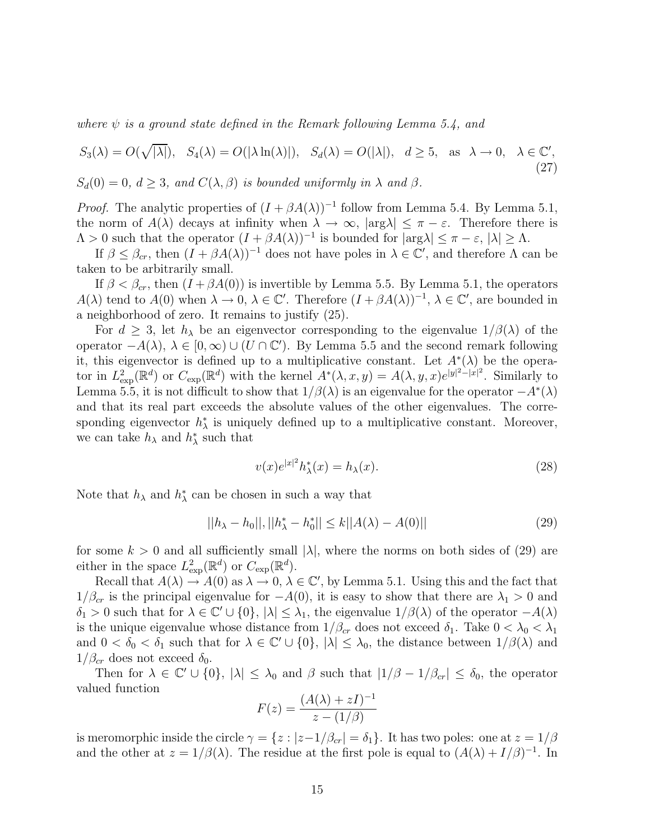where  $\psi$  is a ground state defined in the Remark following Lemma 5.4, and

$$
S_3(\lambda) = O(\sqrt{|\lambda|}), \quad S_4(\lambda) = O(|\lambda \ln(\lambda)|), \quad S_d(\lambda) = O(|\lambda|), \quad d \ge 5, \quad \text{as } \lambda \to 0, \quad \lambda \in \mathbb{C}', \tag{27}
$$

 $S_d(0) = 0, d \geq 3$ , and  $C(\lambda, \beta)$  is bounded uniformly in  $\lambda$  and  $\beta$ .

*Proof.* The analytic properties of  $(I + \beta A(\lambda))^{-1}$  follow from Lemma 5.4. By Lemma 5.1, the norm of  $A(\lambda)$  decays at infinity when  $\lambda \to \infty$ ,  $|\arg \lambda| \leq \pi - \varepsilon$ . Therefore there is  $\Lambda > 0$  such that the operator  $(I + \beta A(\lambda))^{-1}$  is bounded for  $|\arg \lambda| \leq \pi - \varepsilon$ ,  $|\lambda| \geq \Lambda$ .

If  $\beta \leq \beta_{cr}$ , then  $(I + \beta A(\lambda))^{-1}$  does not have poles in  $\lambda \in \mathbb{C}'$ , and therefore  $\Lambda$  can be taken to be arbitrarily small.

If  $\beta < \beta_{cr}$ , then  $(I + \beta A(0))$  is invertible by Lemma 5.5. By Lemma 5.1, the operators  $A(\lambda)$  tend to  $A(0)$  when  $\lambda \to 0$ ,  $\lambda \in \mathbb{C}'$ . Therefore  $(I + \beta A(\lambda))^{-1}$ ,  $\lambda \in \mathbb{C}'$ , are bounded in a neighborhood of zero. It remains to justify (25).

For  $d \geq 3$ , let  $h_{\lambda}$  be an eigenvector corresponding to the eigenvalue  $1/\beta(\lambda)$  of the operator  $-A(\lambda)$ ,  $\lambda \in [0,\infty) \cup (U \cap \mathbb{C}')$ . By Lemma 5.5 and the second remark following it, this eigenvector is defined up to a multiplicative constant. Let  $A^*(\lambda)$  be the operator in  $L^2_{\text{exp}}(\mathbb{R}^d)$  or  $C_{\text{exp}}(\mathbb{R}^d)$  with the kernel  $A^*(\lambda, x, y) = A(\lambda, y, x)e^{|y|^2 - |x|^2}$ . Similarly to Lemma 5.5, it is not difficult to show that  $1/\beta(\lambda)$  is an eigenvalue for the operator  $-A^*(\lambda)$ and that its real part exceeds the absolute values of the other eigenvalues. The corresponding eigenvector  $h^*_{\lambda}$  is uniquely defined up to a multiplicative constant. Moreover, we can take  $h_{\lambda}$  and  $h_{\lambda}^*$  such that

$$
v(x)e^{|x|^2}h^*_{\lambda}(x) = h_{\lambda}(x). \tag{28}
$$

Note that  $h_{\lambda}$  and  $h_{\lambda}^*$  can be chosen in such a way that

$$
||h_{\lambda} - h_0||, ||h_{\lambda}^* - h_0^*|| \le k||A(\lambda) - A(0)|| \tag{29}
$$

for some  $k > 0$  and all sufficiently small  $|\lambda|$ , where the norms on both sides of (29) are either in the space  $L^2_{\text{exp}}(\mathbb{R}^d)$  or  $C_{\text{exp}}(\mathbb{R}^d)$ .

Recall that  $A(\lambda) \to A(0)$  as  $\lambda \to 0, \lambda \in \mathbb{C}$ , by Lemma 5.1. Using this and the fact that  $1/\beta_{cr}$  is the principal eigenvalue for  $-A(0)$ , it is easy to show that there are  $\lambda_1 > 0$  and  $\delta_1 > 0$  such that for  $\lambda \in \mathbb{C}' \cup \{0\}, |\lambda| \leq \lambda_1$ , the eigenvalue  $1/\beta(\lambda)$  of the operator  $-A(\lambda)$ is the unique eigenvalue whose distance from  $1/\beta_{cr}$  does not exceed  $\delta_1$ . Take  $0 < \lambda_0 < \lambda_1$ and  $0 < \delta_0 < \delta_1$  such that for  $\lambda \in \mathbb{C}' \cup \{0\}$ ,  $|\lambda| \leq \lambda_0$ , the distance between  $1/\beta(\lambda)$  and  $1/\beta_{cr}$  does not exceed  $\delta_0$ .

Then for  $\lambda \in \mathbb{C}' \cup \{0\}$ ,  $|\lambda| \leq \lambda_0$  and  $\beta$  such that  $|1/\beta - 1/\beta_{cr}| \leq \delta_0$ , the operator valued function

$$
F(z) = \frac{(A(\lambda) + zI)^{-1}}{z - (1/\beta)}
$$

is meromorphic inside the circle  $\gamma = \{z : |z-1/\beta_{cr}| = \delta_1\}$ . It has two poles: one at  $z = 1/\beta$ and the other at  $z = 1/\beta(\lambda)$ . The residue at the first pole is equal to  $(A(\lambda) + I/\beta)^{-1}$ . In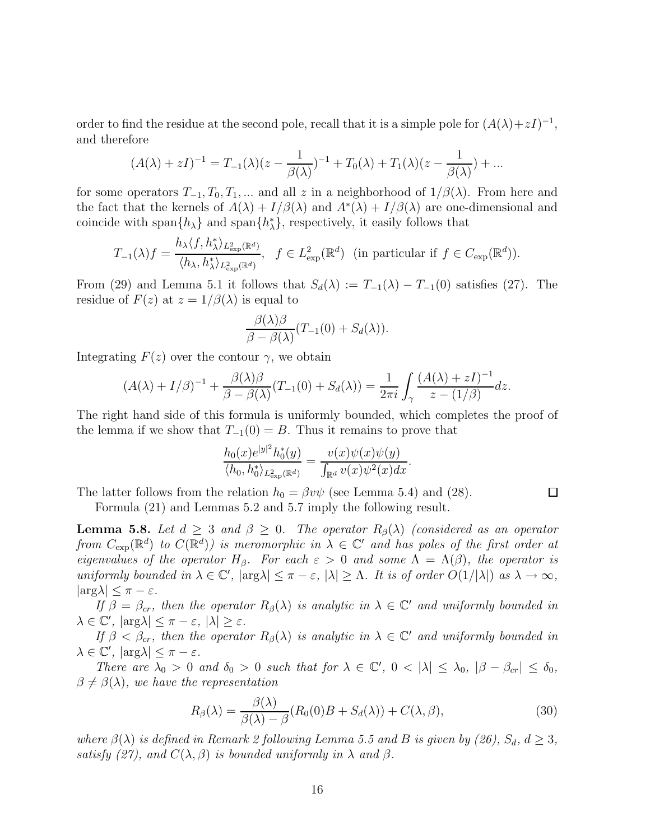order to find the residue at the second pole, recall that it is a simple pole for  $(A(\lambda)+zI)^{-1}$ , and therefore

$$
(A(\lambda) + zI)^{-1} = T_{-1}(\lambda)(z - \frac{1}{\beta(\lambda)})^{-1} + T_0(\lambda) + T_1(\lambda)(z - \frac{1}{\beta(\lambda)}) + \dots
$$

for some operators  $T_{-1}, T_0, T_1, ...$  and all z in a neighborhood of  $1/\beta(\lambda)$ . From here and the fact that the kernels of  $A(\lambda) + I/\beta(\lambda)$  and  $A^*(\lambda) + I/\beta(\lambda)$  are one-dimensional and coincide with span $\{h_{\lambda}\}\$  and span $\{h_{\lambda}^*\}\$ , respectively, it easily follows that

$$
T_{-1}(\lambda)f = \frac{h_{\lambda}\langle f, h_{\lambda}^*\rangle_{L^2_{\exp}(\mathbb{R}^d)}}{\langle h_{\lambda}, h_{\lambda}^*\rangle_{L^2_{\exp}(\mathbb{R}^d)}}, \quad f \in L^2_{\exp}(\mathbb{R}^d) \text{ (in particular if } f \in C_{\exp}(\mathbb{R}^d)).
$$

From (29) and Lemma 5.1 it follows that  $S_d(\lambda) := T_{-1}(\lambda) - T_{-1}(0)$  satisfies (27). The residue of  $F(z)$  at  $z = 1/\beta(\lambda)$  is equal to

$$
\frac{\beta(\lambda)\beta}{\beta-\beta(\lambda)}(T_{-1}(0)+S_d(\lambda)).
$$

Integrating  $F(z)$  over the contour  $\gamma$ , we obtain

$$
(A(\lambda) + I/\beta)^{-1} + \frac{\beta(\lambda)\beta}{\beta - \beta(\lambda)}(T_{-1}(0) + S_d(\lambda)) = \frac{1}{2\pi i} \int_{\gamma} \frac{(A(\lambda) + zI)^{-1}}{z - (1/\beta)} dz.
$$

The right hand side of this formula is uniformly bounded, which completes the proof of the lemma if we show that  $T_{-1}(0) = B$ . Thus it remains to prove that

$$
\frac{h_0(x)e^{|y|^2}h_0^*(y)}{\langle h_0, h_0^*\rangle_{L^2_{\exp}(\mathbb{R}^d)}}=\frac{v(x)\psi(x)\psi(y)}{\int_{\mathbb{R}^d}v(x)\psi^2(x)dx}.
$$

The latter follows from the relation  $h_0 = \beta v \psi$  (see Lemma 5.4) and (28).

Formula (21) and Lemmas 5.2 and 5.7 imply the following result.

**Lemma 5.8.** Let  $d \geq 3$  and  $\beta \geq 0$ . The operator  $R_{\beta}(\lambda)$  (considered as an operator from  $C_{\text{exp}}(\mathbb{R}^d)$  to  $C(\mathbb{R}^d)$  is meromorphic in  $\lambda \in \mathbb{C}^r$  and has poles of the first order at eigenvalues of the operator  $H_\beta$ . For each  $\varepsilon > 0$  and some  $\Lambda = \Lambda(\beta)$ , the operator is uniformly bounded in  $\lambda \in \mathbb{C}'$ ,  $|\arg \lambda| \leq \pi - \varepsilon$ ,  $|\lambda| \geq \Lambda$ . It is of order  $O(1/|\lambda|)$  as  $\lambda \to \infty$ ,  $|\arg \lambda| < \pi - \varepsilon$ .

If  $\beta = \beta_{cr}$ , then the operator  $R_{\beta}(\lambda)$  is analytic in  $\lambda \in \mathbb{C}'$  and uniformly bounded in  $\lambda \in \mathbb{C}'$ ,  $|\arg \lambda| \leq \pi - \varepsilon$ ,  $|\lambda| \geq \varepsilon$ .

If  $\beta < \beta_{cr}$ , then the operator  $R_{\beta}(\lambda)$  is analytic in  $\lambda \in \mathbb{C}'$  and uniformly bounded in  $\lambda \in \mathbb{C}'$ ,  $|\arg \lambda| \leq \pi - \varepsilon$ .

There are  $\lambda_0 > 0$  and  $\delta_0 > 0$  such that for  $\lambda \in \mathbb{C}'$ ,  $0 < |\lambda| \leq \lambda_0$ ,  $|\beta - \beta_{cr}| \leq \delta_0$ ,  $\beta \neq \beta(\lambda)$ , we have the representation

$$
R_{\beta}(\lambda) = \frac{\beta(\lambda)}{\beta(\lambda) - \beta} (R_0(0)B + S_d(\lambda)) + C(\lambda, \beta), \tag{30}
$$

where  $\beta(\lambda)$  is defined in Remark 2 following Lemma 5.5 and B is given by (26),  $S_d$ ,  $d \geq 3$ , satisfy (27), and  $C(\lambda, \beta)$  is bounded uniformly in  $\lambda$  and  $\beta$ .

 $\Box$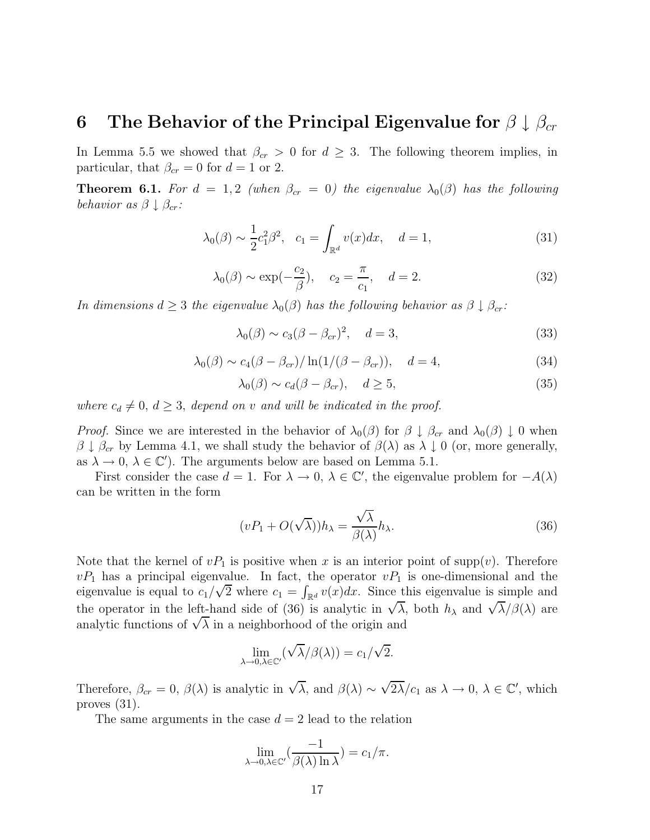#### **6** The Behavior of the Principal Eigenvalue for  $\beta \downarrow \beta_{cr}$

In Lemma 5.5 we showed that  $\beta_{cr} > 0$  for  $d \geq 3$ . The following theorem implies, in particular, that  $\beta_{cr} = 0$  for  $d = 1$  or 2.

**Theorem 6.1.** For  $d = 1, 2$  (when  $\beta_{cr} = 0$ ) the eigenvalue  $\lambda_0(\beta)$  has the following behavior as  $\beta \downarrow \beta_{cr}$ :

$$
\lambda_0(\beta) \sim \frac{1}{2} c_1^2 \beta^2
$$
,  $c_1 = \int_{\mathbb{R}^d} v(x) dx$ ,  $d = 1$ , (31)

$$
\lambda_0(\beta) \sim \exp(-\frac{c_2}{\beta}), \quad c_2 = \frac{\pi}{c_1}, \quad d = 2. \tag{32}
$$

In dimensions  $d \geq 3$  the eigenvalue  $\lambda_0(\beta)$  has the following behavior as  $\beta \downarrow \beta_{cr}$ .

$$
\lambda_0(\beta) \sim c_3(\beta - \beta_{cr})^2, \quad d = 3,
$$
\n(33)

$$
\lambda_0(\beta) \sim c_4(\beta - \beta_{cr})/\ln(1/(\beta - \beta_{cr})), \quad d = 4,
$$
\n(34)

$$
\lambda_0(\beta) \sim c_d(\beta - \beta_{cr}), \quad d \ge 5,
$$
\n(35)

where  $c_d \neq 0, d \geq 3$ , depend on v and will be indicated in the proof.

*Proof.* Since we are interested in the behavior of  $\lambda_0(\beta)$  for  $\beta \downarrow \beta_{cr}$  and  $\lambda_0(\beta) \downarrow 0$  when  $\beta \downarrow \beta_{cr}$  by Lemma 4.1, we shall study the behavior of  $\beta(\lambda)$  as  $\lambda \downarrow 0$  (or, more generally, as  $\lambda \to 0$ ,  $\lambda \in \mathbb{C}'$ ). The arguments below are based on Lemma 5.1.

First consider the case  $d = 1$ . For  $\lambda \to 0$ ,  $\lambda \in \mathbb{C}'$ , the eigenvalue problem for  $-A(\lambda)$ can be written in the form

$$
(vP_1 + O(\sqrt{\lambda}))h_\lambda = \frac{\sqrt{\lambda}}{\beta(\lambda)}h_\lambda.
$$
\n(36)

Note that the kernel of  $vP_1$  is positive when x is an interior point of supp(v). Therefore  $vP_1$  has a principal eigenvalue. In fact, the operator  $vP_1$  is one-dimensional and the  $v_{1}$  has a principal eigenvalue. In fact, the operator  $v_{1}$  is one-dimensional and the eigenvalue is equal to  $c_{1}/\sqrt{2}$  where  $c_{1} = \int_{\mathbb{R}^{d}} v(x) dx$ . Since this eigenvalue is simple and the operator in the left-hand side of (36) is analytic in  $\sqrt{\lambda}$ , both  $h_{\lambda}$  and  $\sqrt{\lambda}/\beta(\lambda)$  are the operator in the left-hand side of (50) is analytic in  $\sqrt{\lambda}$ ,<br>analytic functions of  $\sqrt{\lambda}$  in a neighborhood of the origin and

$$
\lim_{\lambda \to 0, \lambda \in \mathbb{C}'} (\sqrt{\lambda}/\beta(\lambda)) = c_1/\sqrt{2}.
$$

Therefore,  $\beta_{cr} = 0$ ,  $\beta(\lambda)$  is analytic in  $\sqrt{\lambda}$ , and  $\beta(\lambda) \sim \sqrt{2\lambda}/c_1$  as  $\lambda \to 0$ ,  $\lambda \in \mathbb{C}'$ , which proves (31).

The same arguments in the case  $d = 2$  lead to the relation

$$
\lim_{\lambda \to 0, \lambda \in \mathbb{C}'} \left( \frac{-1}{\beta(\lambda) \ln \lambda} \right) = c_1/\pi.
$$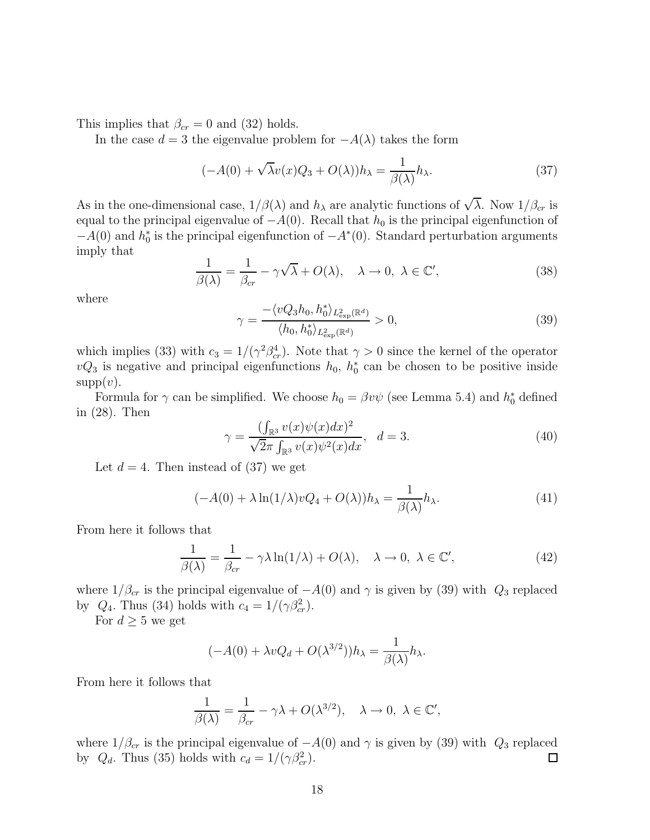This implies that  $\beta_{cr} = 0$  and (32) holds.

In the case  $d = 3$  the eigenvalue problem for  $-A(\lambda)$  takes the form

$$
(-A(0) + \sqrt{\lambda}v(x)Q_3 + O(\lambda))h_\lambda = \frac{1}{\beta(\lambda)}h_\lambda.
$$
\n(37)

As in the one-dimensional case,  $1/\beta(\lambda)$  and  $h_{\lambda}$  are analytic functions of  $\sqrt{\lambda}$ . Now  $1/\beta_{cr}$  is equal to the principal eigenvalue of  $-A(0)$ . Recall that  $h_0$  is the principal eigenfunction of  $-A(0)$  and  $h_0^*$  is the principal eigenfunction of  $-A^*(0)$ . Standard perturbation arguments imply that

$$
\frac{1}{\beta(\lambda)} = \frac{1}{\beta_{cr}} - \gamma \sqrt{\lambda} + O(\lambda), \quad \lambda \to 0, \ \lambda \in \mathbb{C}', \tag{38}
$$

where

$$
\gamma = \frac{-\langle vQ_3 h_0, h_0^* \rangle_{L^2_{\exp}(\mathbb{R}^d)}}{\langle h_0, h_0^* \rangle_{L^2_{\exp}(\mathbb{R}^d)}} > 0,
$$
\n(39)

which implies (33) with  $c_3 = 1/(\gamma^2 \beta_{cr}^4)$ . Note that  $\gamma > 0$  since the kernel of the operator  $vQ_3$  is negative and principal eigenfunctions  $h_0$ ,  $h_0^*$  can be chosen to be positive inside  $supp(v)$ .

Formula for  $\gamma$  can be simplified. We choose  $h_0 = \beta v \psi$  (see Lemma 5.4) and  $h_0^*$  defined in (28). Then

$$
\gamma = \frac{(\int_{\mathbb{R}^3} v(x)\psi(x)dx)^2}{\sqrt{2}\pi \int_{\mathbb{R}^3} v(x)\psi^2(x)dx}, \quad d = 3.
$$
 (40)

Let  $d = 4$ . Then instead of (37) we get

$$
(-A(0) + \lambda \ln(1/\lambda)vQ_4 + O(\lambda))h_\lambda = \frac{1}{\beta(\lambda)}h_\lambda.
$$
\n(41)

From here it follows that

$$
\frac{1}{\beta(\lambda)} = \frac{1}{\beta_{cr}} - \gamma \lambda \ln(1/\lambda) + O(\lambda), \quad \lambda \to 0, \ \lambda \in \mathbb{C}', \tag{42}
$$

where  $1/\beta_{cr}$  is the principal eigenvalue of  $-A(0)$  and  $\gamma$  is given by (39) with  $Q_3$  replaced by  $Q_4$ . Thus (34) holds with  $c_4 = 1/(\gamma \beta_{cr}^2)$ .

For  $d \geq 5$  we get

$$
(-A(0) + \lambda vQ_d + O(\lambda^{3/2}))h_\lambda = \frac{1}{\beta(\lambda)}h_\lambda.
$$

From here it follows that

$$
\frac{1}{\beta(\lambda)} = \frac{1}{\beta_{cr}} - \gamma \lambda + O(\lambda^{3/2}), \quad \lambda \to 0, \ \lambda \in \mathbb{C}',
$$

where  $1/\beta_{cr}$  is the principal eigenvalue of  $-A(0)$  and  $\gamma$  is given by (39) with  $Q_3$  replaced by  $Q_d$ . Thus (35) holds with  $c_d = 1/(\gamma \beta_{cr}^2)$ .  $\Box$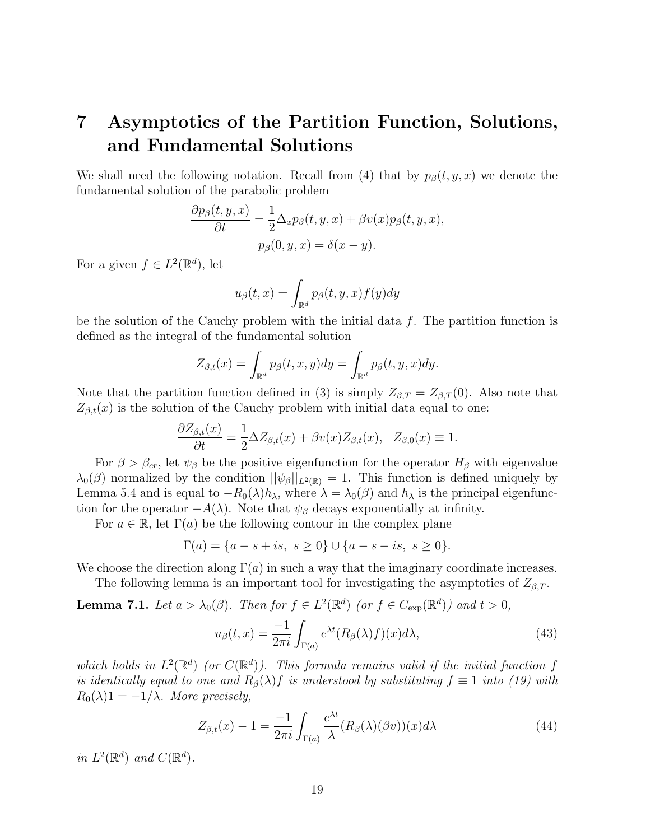# **7 Asymptotics of the Partition Function, Solutions, and Fundamental Solutions**

We shall need the following notation. Recall from (4) that by  $p_\beta(t, y, x)$  we denote the fundamental solution of the parabolic problem

$$
\frac{\partial p_{\beta}(t, y, x)}{\partial t} = \frac{1}{2} \Delta_x p_{\beta}(t, y, x) + \beta v(x) p_{\beta}(t, y, x),
$$

$$
p_{\beta}(0, y, x) = \delta(x - y).
$$

For a given  $f \in L^2(\mathbb{R}^d)$ , let

$$
u_{\beta}(t,x) = \int_{\mathbb{R}^d} p_{\beta}(t,y,x) f(y) dy
$$

be the solution of the Cauchy problem with the initial data  $f$ . The partition function is defined as the integral of the fundamental solution

$$
Z_{\beta,t}(x) = \int_{\mathbb{R}^d} p_{\beta}(t,x,y) dy = \int_{\mathbb{R}^d} p_{\beta}(t,y,x) dy.
$$

Note that the partition function defined in (3) is simply  $Z_{\beta,T} = Z_{\beta,T}(0)$ . Also note that  $Z_{\beta,t}(x)$  is the solution of the Cauchy problem with initial data equal to one:

$$
\frac{\partial Z_{\beta,t}(x)}{\partial t} = \frac{1}{2} \Delta Z_{\beta,t}(x) + \beta v(x) Z_{\beta,t}(x), \quad Z_{\beta,0}(x) \equiv 1.
$$

For  $\beta > \beta_{cr}$ , let  $\psi_{\beta}$  be the positive eigenfunction for the operator  $H_{\beta}$  with eigenvalue  $\lambda_0(\beta)$  normalized by the condition  $||\psi_{\beta}||_{L^2(\mathbb{R})} = 1$ . This function is defined uniquely by Lemma 5.4 and is equal to  $-R_0(\lambda)h_\lambda$ , where  $\lambda = \lambda_0(\beta)$  and  $h_\lambda$  is the principal eigenfunction for the operator  $-A(\lambda)$ . Note that  $\psi_\beta$  decays exponentially at infinity.

For  $a \in \mathbb{R}$ , let  $\Gamma(a)$  be the following contour in the complex plane

$$
\Gamma(a) = \{a - s + is, s \ge 0\} \cup \{a - s - is, s \ge 0\}.
$$

We choose the direction along  $\Gamma(a)$  in such a way that the imaginary coordinate increases.

The following lemma is an important tool for investigating the asymptotics of  $Z_{\beta,T}$ .

**Lemma 7.1.** Let  $a > \lambda_0(\beta)$ . Then for  $f \in L^2(\mathbb{R}^d)$  (or  $f \in C_{exp}(\mathbb{R}^d)$ ) and  $t > 0$ ,

$$
u_{\beta}(t,x) = \frac{-1}{2\pi i} \int_{\Gamma(a)} e^{\lambda t} (R_{\beta}(\lambda)f)(x) d\lambda,
$$
\n(43)

which holds in  $L^2(\mathbb{R}^d)$  (or  $C(\mathbb{R}^d)$ ). This formula remains valid if the initial function f is identically equal to one and  $R_\beta(\lambda) f$  is understood by substituting  $f \equiv 1$  into (19) with  $R_0(\lambda)1 = -1/\lambda$ . More precisely,

$$
Z_{\beta,t}(x) - 1 = \frac{-1}{2\pi i} \int_{\Gamma(a)} \frac{e^{\lambda t}}{\lambda} (R_{\beta}(\lambda)(\beta v))(x) d\lambda \tag{44}
$$

in  $L^2(\mathbb{R}^d)$  and  $C(\mathbb{R}^d)$ .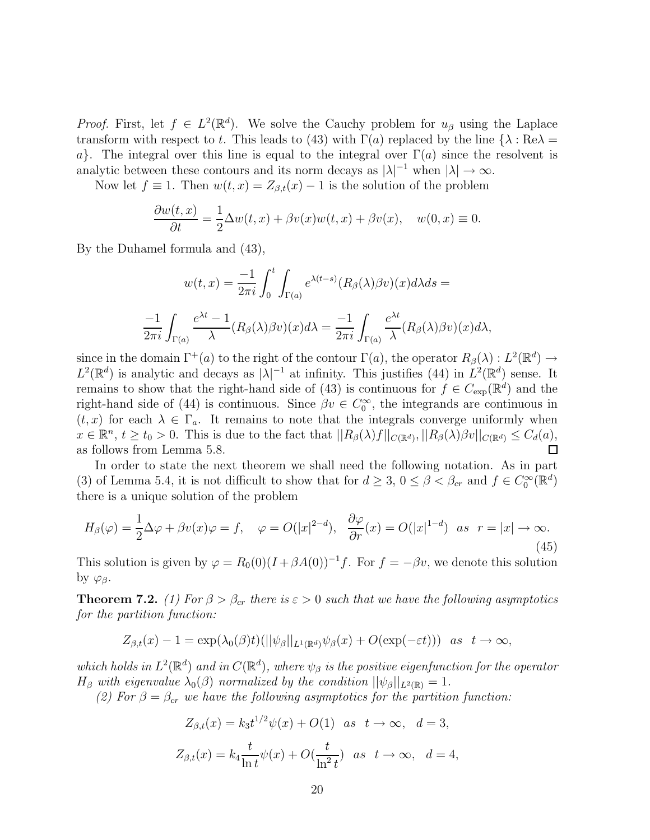*Proof.* First, let  $f \in L^2(\mathbb{R}^d)$ . We solve the Cauchy problem for  $u_\beta$  using the Laplace transform with respect to t. This leads to (43) with  $\Gamma(a)$  replaced by the line  $\{\lambda : \text{Re}\lambda =$ a}. The integral over this line is equal to the integral over  $\Gamma(a)$  since the resolvent is analytic between these contours and its norm decays as  $|\lambda|^{-1}$  when  $|\lambda| \to \infty$ .

Now let  $f \equiv 1$ . Then  $w(t, x) = Z_{\beta,t}(x) - 1$  is the solution of the problem

$$
\frac{\partial w(t,x)}{\partial t} = \frac{1}{2}\Delta w(t,x) + \beta v(x)w(t,x) + \beta v(x), \quad w(0,x) \equiv 0.
$$

By the Duhamel formula and (43),

$$
w(t,x) = \frac{-1}{2\pi i} \int_0^t \int_{\Gamma(a)} e^{\lambda(t-s)} (R_\beta(\lambda)\beta v)(x) d\lambda ds =
$$
  

$$
\frac{-1}{2\pi i} \int_{\Gamma(a)} \frac{e^{\lambda t} - 1}{\lambda} (R_\beta(\lambda)\beta v)(x) d\lambda = \frac{-1}{2\pi i} \int_{\Gamma(a)} \frac{e^{\lambda t}}{\lambda} (R_\beta(\lambda)\beta v)(x) d\lambda,
$$

since in the domain  $\Gamma^+(a)$  to the right of the contour  $\Gamma(a)$ , the operator  $R_\beta(\lambda) : L^2(\mathbb{R}^d) \to$  $L^2(\mathbb{R}^d)$  is analytic and decays as  $|\lambda|^{-1}$  at infinity. This justifies (44) in  $L^2(\mathbb{R}^d)$  sense. It remains to show that the right-hand side of (43) is continuous for  $f \in C_{\text{exp}}(\mathbb{R}^d)$  and the right-hand side of (44) is continuous. Since  $\beta v \in C_0^{\infty}$ , the integrands are continuous in  $(t, x)$  for each  $\lambda \in \Gamma_a$ . It remains to note that the integrals converge uniformly when  $x \in \mathbb{R}^n$ ,  $t \ge t_0 > 0$ . This is due to the fact that  $||R_\beta(\lambda)f||_{C(\mathbb{R}^d)}$ ,  $||R_\beta(\lambda)\beta v||_{C(\mathbb{R}^d)} \le C_d(a)$ , as follows from Lemma 5.8.  $\Box$ 

In order to state the next theorem we shall need the following notation. As in part (3) of Lemma 5.4, it is not difficult to show that for  $d \geq 3$ ,  $0 \leq \beta < \beta_{cr}$  and  $f \in C_0^{\infty}(\mathbb{R}^d)$ there is a unique solution of the problem

$$
H_{\beta}(\varphi) = \frac{1}{2}\Delta\varphi + \beta v(x)\varphi = f, \quad \varphi = O(|x|^{2-d}), \quad \frac{\partial\varphi}{\partial r}(x) = O(|x|^{1-d}) \quad \text{as} \quad r = |x| \to \infty.
$$
\n(45)

This solution is given by  $\varphi = R_0(0)(I + \beta A(0))^{-1}f$ . For  $f = -\beta v$ , we denote this solution by  $\varphi_{\beta}$ .

**Theorem 7.2.** (1) For  $\beta > \beta_{cr}$  there is  $\epsilon > 0$  such that we have the following asymptotics for the partition function:

$$
Z_{\beta,t}(x) - 1 = \exp(\lambda_0(\beta)t)(||\psi_{\beta}||_{L^1(\mathbb{R}^d)}\psi_{\beta}(x) + O(\exp(-\varepsilon t))) \text{ as } t \to \infty,
$$

which holds in  $L^2(\mathbb{R}^d)$  and in  $C(\mathbb{R}^d)$ , where  $\psi_\beta$  is the positive eigenfunction for the operator  $H_{\beta}$  with eigenvalue  $\lambda_0(\beta)$  normalized by the condition  $||\psi_{\beta}||_{L^2(\mathbb{R})} = 1$ .

(2) For  $\beta = \beta_{cr}$  we have the following asymptotics for the partition function:

$$
Z_{\beta,t}(x) = k_3 t^{1/2} \psi(x) + O(1) \quad \text{as} \quad t \to \infty, \quad d = 3,
$$
  

$$
Z_{\beta,t}(x) = k_4 \frac{t}{\ln t} \psi(x) + O(\frac{t}{\ln^2 t}) \quad \text{as} \quad t \to \infty, \quad d = 4,
$$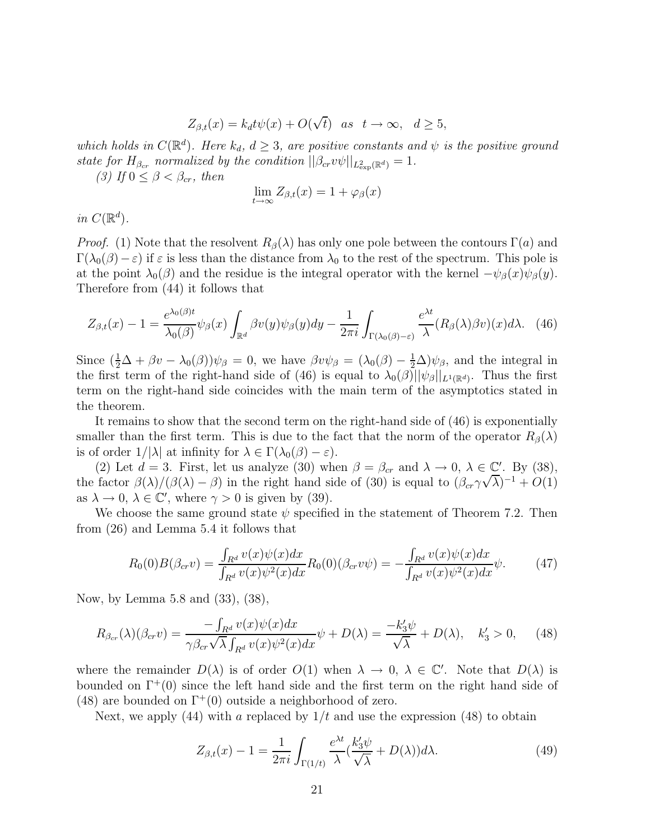$$
Z_{\beta,t}(x) = k_d t \psi(x) + O(\sqrt{t}) \quad \text{as} \quad t \to \infty, \quad d \ge 5,
$$

which holds in  $C(\mathbb{R}^d)$ . Here  $k_d$ ,  $d \geq 3$ , are positive constants and  $\psi$  is the positive ground state for  $H_{\beta_{cr}}$  normalized by the condition  $||\beta_{cr}v\psi||_{L^2_{\exp}(\mathbb{R}^d)}=1$ .

(3) If  $0 \leq \beta < \beta_{cr}$ , then

$$
\lim_{t \to \infty} Z_{\beta,t}(x) = 1 + \varphi_{\beta}(x)
$$

in  $C(\mathbb{R}^d)$ .

*Proof.* (1) Note that the resolvent  $R_\beta(\lambda)$  has only one pole between the contours  $\Gamma(a)$  and  $\Gamma(\lambda_0(\beta)-\varepsilon)$  if  $\varepsilon$  is less than the distance from  $\lambda_0$  to the rest of the spectrum. This pole is at the point  $\lambda_0(\beta)$  and the residue is the integral operator with the kernel  $-\psi_\beta(x)\psi_\beta(y)$ . Therefore from (44) it follows that

$$
Z_{\beta,t}(x) - 1 = \frac{e^{\lambda_0(\beta)t}}{\lambda_0(\beta)} \psi_\beta(x) \int_{\mathbb{R}^d} \beta v(y) \psi_\beta(y) dy - \frac{1}{2\pi i} \int_{\Gamma(\lambda_0(\beta) - \varepsilon)} \frac{e^{\lambda t}}{\lambda} (R_\beta(\lambda)\beta v)(x) d\lambda. \tag{46}
$$

Since  $(\frac{1}{2}\Delta + \beta v - \lambda_0(\beta))\psi_\beta = 0$ , we have  $\beta v \psi_\beta = (\lambda_0(\beta) - \frac{1}{2}\Delta)\psi_\beta$ , and the integral in the first term of the right-hand side of (46) is equal to  $\lambda_0(\beta)||\psi_{\beta}||_{L^1(\mathbb{R}^d)}$ . Thus the first term on the right-hand side coincides with the main term of the asymptotics stated in the theorem.

It remains to show that the second term on the right-hand side of (46) is exponentially smaller than the first term. This is due to the fact that the norm of the operator  $R_\beta(\lambda)$ is of order  $1/|\lambda|$  at infinity for  $\lambda \in \Gamma(\lambda_0(\beta)-\varepsilon)$ .

(2) Let  $d = 3$ . First, let us analyze (30) when  $\beta = \beta_{cr}$  and  $\lambda \to 0, \lambda \in \mathbb{C}'$ . By (38), the factor  $\beta(\lambda)/(\beta(\lambda) - \beta)$  in the right hand side of (30) is equal to  $(\beta_{cr}\gamma\sqrt{\lambda})^{-1} + O(1)$ as  $\lambda \to 0$ ,  $\lambda \in \mathbb{C}'$ , where  $\gamma > 0$  is given by (39).

We choose the same ground state  $\psi$  specified in the statement of Theorem 7.2. Then from (26) and Lemma 5.4 it follows that

$$
R_0(0)B(\beta_{cr}v) = \frac{\int_{R^d} v(x)\psi(x)dx}{\int_{R^d} v(x)\psi^2(x)dx}R_0(0)(\beta_{cr}v\psi) = -\frac{\int_{R^d} v(x)\psi(x)dx}{\int_{R^d} v(x)\psi^2(x)dx}\psi.
$$
 (47)

Now, by Lemma 5.8 and (33), (38),

$$
R_{\beta_{cr}}(\lambda)(\beta_{cr}v) = \frac{-\int_{R^d} v(x)\psi(x)dx}{\gamma\beta_{cr}\sqrt{\lambda}\int_{R^d} v(x)\psi^2(x)dx} \psi + D(\lambda) = \frac{-k_3'\psi}{\sqrt{\lambda}} + D(\lambda), \quad k_3' > 0,
$$
 (48)

where the remainder  $D(\lambda)$  is of order  $O(1)$  when  $\lambda \to 0$ ,  $\lambda \in \mathbb{C}'$ . Note that  $D(\lambda)$  is bounded on  $\Gamma^+(0)$  since the left hand side and the first term on the right hand side of (48) are bounded on  $\Gamma^+(0)$  outside a neighborhood of zero.

Next, we apply  $(44)$  with a replaced by  $1/t$  and use the expression  $(48)$  to obtain

$$
Z_{\beta,t}(x) - 1 = \frac{1}{2\pi i} \int_{\Gamma(1/t)} \frac{e^{\lambda t}}{\lambda} \left(\frac{k_3' \psi}{\sqrt{\lambda}} + D(\lambda)\right) d\lambda. \tag{49}
$$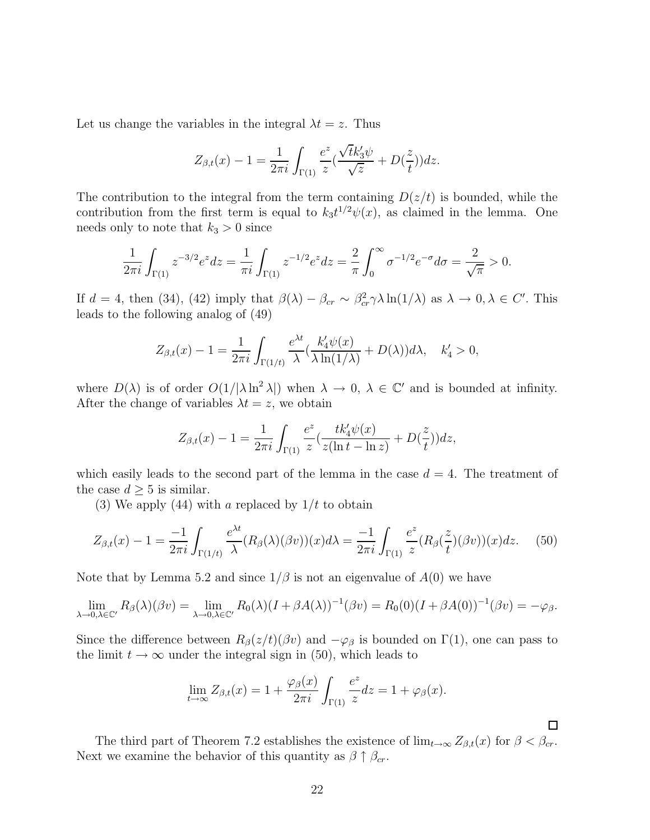Let us change the variables in the integral  $\lambda t = z$ . Thus

$$
Z_{\beta,t}(x) - 1 = \frac{1}{2\pi i} \int_{\Gamma(1)} \frac{e^z}{z} (\frac{\sqrt{t}k_3'\psi}{\sqrt{z}} + D(\frac{z}{t})) dz.
$$

The contribution to the integral from the term containing  $D(z/t)$  is bounded, while the contribution from the first term is equal to  $k_3t^{1/2}\psi(x)$ , as claimed in the lemma. One needs only to note that  $k_3 > 0$  since

$$
\frac{1}{2\pi i} \int_{\Gamma(1)} z^{-3/2} e^z dz = \frac{1}{\pi i} \int_{\Gamma(1)} z^{-1/2} e^z dz = \frac{2}{\pi} \int_0^\infty \sigma^{-1/2} e^{-\sigma} d\sigma = \frac{2}{\sqrt{\pi}} > 0.
$$

If  $d = 4$ , then (34), (42) imply that  $\beta(\lambda) - \beta_{cr} \sim \beta_{cr}^2 \gamma \lambda \ln(1/\lambda)$  as  $\lambda \to 0, \lambda \in C'$ . This leads to the following analog of (49)

$$
Z_{\beta,t}(x) - 1 = \frac{1}{2\pi i} \int_{\Gamma(1/t)} \frac{e^{\lambda t}}{\lambda} \left(\frac{k_4'\psi(x)}{\lambda \ln(1/\lambda)} + D(\lambda)\right) d\lambda, \quad k_4' > 0,
$$

where  $D(\lambda)$  is of order  $O(1/|\lambda \ln^2 \lambda|)$  when  $\lambda \to 0$ ,  $\lambda \in \mathbb{C}'$  and is bounded at infinity. After the change of variables  $\lambda t = z$ , we obtain

$$
Z_{\beta,t}(x) - 1 = \frac{1}{2\pi i} \int_{\Gamma(1)} \frac{e^z}{z} \left( \frac{tk'_4 \psi(x)}{z(\ln t - \ln z)} + D(\frac{z}{t}) \right) dz,
$$

which easily leads to the second part of the lemma in the case  $d = 4$ . The treatment of the case  $d \geq 5$  is similar.

(3) We apply (44) with a replaced by  $1/t$  to obtain

$$
Z_{\beta,t}(x) - 1 = \frac{-1}{2\pi i} \int_{\Gamma(1/t)} \frac{e^{\lambda t}}{\lambda} (R_{\beta}(\lambda)(\beta v))(x) d\lambda = \frac{-1}{2\pi i} \int_{\Gamma(1)} \frac{e^z}{z} (R_{\beta}(\frac{z}{t})(\beta v))(x) dz. \tag{50}
$$

Note that by Lemma 5.2 and since  $1/\beta$  is not an eigenvalue of  $A(0)$  we have

$$
\lim_{\lambda \to 0, \lambda \in \mathbb{C}'} R_{\beta}(\lambda)(\beta v) = \lim_{\lambda \to 0, \lambda \in \mathbb{C}'} R_0(\lambda)(I + \beta A(\lambda))^{-1}(\beta v) = R_0(0)(I + \beta A(0))^{-1}(\beta v) = -\varphi_{\beta}.
$$

Since the difference between  $R_\beta(z/t)(\beta v)$  and  $-\varphi_\beta$  is bounded on  $\Gamma(1)$ , one can pass to the limit  $t \to \infty$  under the integral sign in (50), which leads to

$$
\lim_{t \to \infty} Z_{\beta,t}(x) = 1 + \frac{\varphi_{\beta}(x)}{2\pi i} \int_{\Gamma(1)} \frac{e^z}{z} dz = 1 + \varphi_{\beta}(x).
$$

The third part of Theorem 7.2 establishes the existence of  $\lim_{t\to\infty} Z_{\beta,t}(x)$  for  $\beta < \beta_{cr}$ . Next we examine the behavior of this quantity as  $\beta \uparrow \beta_{cr}$ .

 $\Box$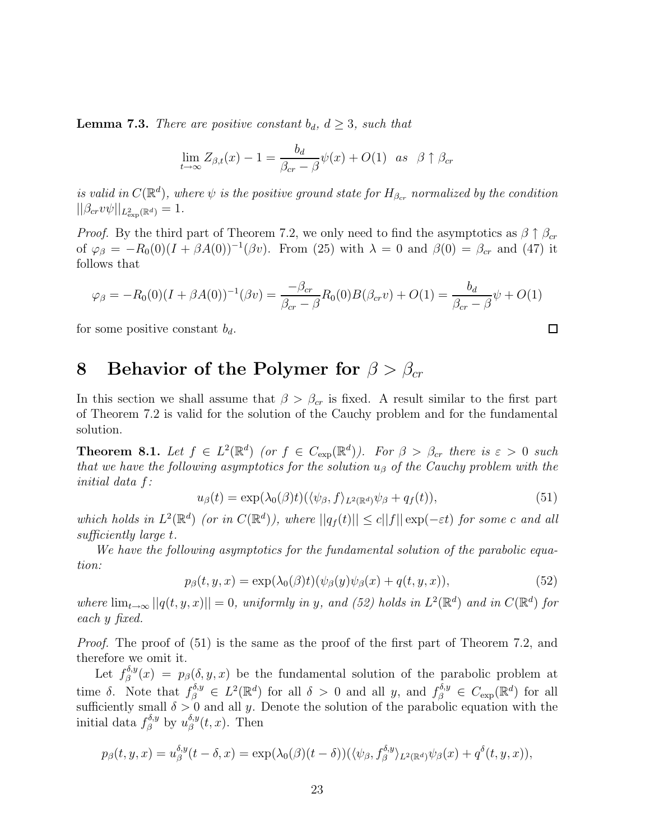**Lemma 7.3.** There are positive constant  $b_d$ ,  $d \geq 3$ , such that

$$
\lim_{t \to \infty} Z_{\beta,t}(x) - 1 = \frac{b_d}{\beta_{cr} - \beta} \psi(x) + O(1) \quad \text{as} \quad \beta \uparrow \beta_{cr}
$$

is valid in  $C(\mathbb{R}^d)$ , where  $\psi$  is the positive ground state for  $H_{\beta_{cr}}$  normalized by the condition  $||\beta_{cr}v\psi||_{L^2_{\exp}(\mathbb{R}^d)}=1.$ 

*Proof.* By the third part of Theorem 7.2, we only need to find the asymptotics as  $\beta \uparrow \beta_{cr}$ of  $\varphi_{\beta} = -R_0(0)(I + \beta A(0))^{-1}(\beta v)$ . From (25) with  $\lambda = 0$  and  $\beta(0) = \beta_{cr}$  and (47) it follows that

$$
\varphi_{\beta} = -R_0(0)(I + \beta A(0))^{-1}(\beta v) = \frac{-\beta_{cr}}{\beta_{cr} - \beta}R_0(0)B(\beta_{cr}v) + O(1) = \frac{b_d}{\beta_{cr} - \beta}\psi + O(1)
$$

for some positive constant  $b_d$ .

## **8 Behavior of the Polymer for**  $\beta > \beta_{cr}$

In this section we shall assume that  $\beta > \beta_{cr}$  is fixed. A result similar to the first part of Theorem 7.2 is valid for the solution of the Cauchy problem and for the fundamental solution.

**Theorem 8.1.** Let  $f \in L^2(\mathbb{R}^d)$  (or  $f \in C_{exp}(\mathbb{R}^d)$ ). For  $\beta > \beta_{cr}$  there is  $\varepsilon > 0$  such that we have the following asymptotics for the solution  $u<sub>\beta</sub>$  of the Cauchy problem with the initial data f:

$$
u_{\beta}(t) = \exp(\lambda_0(\beta)t) (\langle \psi_{\beta}, f \rangle_{L^2(\mathbb{R}^d)} \psi_{\beta} + q_f(t)), \tag{51}
$$

which holds in  $L^2(\mathbb{R}^d)$  (or in  $C(\mathbb{R}^d)$ ), where  $||q_f(t)|| \leq c||f|| \exp(-\varepsilon t)$  for some c and all sufficiently large t.

We have the following asymptotics for the fundamental solution of the parabolic equation:

$$
p_{\beta}(t, y, x) = \exp(\lambda_0(\beta)t)(\psi_{\beta}(y)\psi_{\beta}(x) + q(t, y, x)), \tag{52}
$$

where  $\lim_{t\to\infty}||q(t,y,x)||=0$ , uniformly in y, and (52) holds in  $L^2(\mathbb{R}^d)$  and in  $C(\mathbb{R}^d)$  for each y fixed.

*Proof.* The proof of (51) is the same as the proof of the first part of Theorem 7.2, and therefore we omit it.

Let  $f_{\beta}^{\delta,y}(x) = p_{\beta}(\delta, y, x)$  be the fundamental solution of the parabolic problem at time δ. Note that  $f_{\beta}^{\delta,y} \in L^2(\mathbb{R}^d)$  for all  $\delta > 0$  and all y, and  $f_{\beta}^{\delta,y} \in C_{\text{exp}}(\mathbb{R}^d)$  for all sufficiently small  $\delta > 0$  and all y. Denote the solution of the parabolic equation with the initial data  $f_{\beta}^{\delta,y}$  by  $u_{\beta}^{\delta,y}(t,x)$ . Then

$$
p_{\beta}(t, y, x) = u_{\beta}^{\delta, y}(t - \delta, x) = \exp(\lambda_0(\beta)(t - \delta))(\langle \psi_{\beta}, f_{\beta}^{\delta, y} \rangle_{L^2(\mathbb{R}^d)} \psi_{\beta}(x) + q^{\delta}(t, y, x)),
$$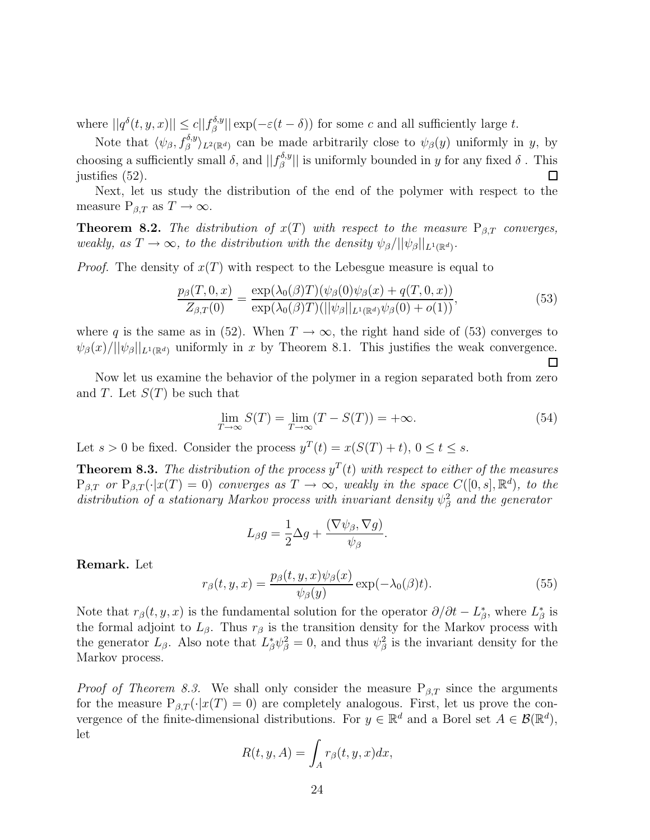where  $||q^{\delta}(t, y, x)|| \leq c||f_{\beta}^{\delta, y}|| \exp(-\varepsilon(t-\delta))$  for some c and all sufficiently large t.

Note that  $\langle \psi_\beta, f_\beta^{\delta, y} \rangle_{L^2(\mathbb{R}^d)}$  can be made arbitrarily close to  $\psi_\beta(y)$  uniformly in y, by choosing a sufficiently small  $\delta$ , and  $||f_{\beta}^{\delta,y}||$  is uniformly bounded in y for any fixed  $\delta$ . This justifies (52). □

Next, let us study the distribution of the end of the polymer with respect to the measure  $P_{\beta,T}$  as  $T \to \infty$ .

**Theorem 8.2.** The distribution of  $x(T)$  with respect to the measure  $P_{\beta,T}$  converges, weakly, as  $T \to \infty$ , to the distribution with the density  $\psi_{\beta}/||\psi_{\beta}||_{L^1(\mathbb{R}^d)}$ .

*Proof.* The density of  $x(T)$  with respect to the Lebesgue measure is equal to

$$
\frac{p_{\beta}(T,0,x)}{Z_{\beta,T}(0)} = \frac{\exp(\lambda_0(\beta)T)(\psi_{\beta}(0)\psi_{\beta}(x) + q(T,0,x))}{\exp(\lambda_0(\beta)T)(||\psi_{\beta}||_{L^1(\mathbb{R}^d)}\psi_{\beta}(0) + o(1))},
$$
(53)

where q is the same as in (52). When  $T \to \infty$ , the right hand side of (53) converges to  $\psi_{\beta}(x)/||\psi_{\beta}||_{L^{1}(\mathbb{R}^{d})}$  uniformly in x by Theorem 8.1. This justifies the weak convergence. □

Now let us examine the behavior of the polymer in a region separated both from zero and T. Let  $S(T)$  be such that

$$
\lim_{T \to \infty} S(T) = \lim_{T \to \infty} (T - S(T)) = +\infty.
$$
\n(54)

Let  $s > 0$  be fixed. Consider the process  $y^T(t) = x(S(T) + t)$ ,  $0 \le t \le s$ .

**Theorem 8.3.** The distribution of the process  $y^T(t)$  with respect to either of the measures  $P_{\beta,T}$  or  $P_{\beta,T}(\cdot|x(T) = 0)$  converges as  $T \to \infty$ , weakly in the space  $C([0, s], \mathbb{R}^d)$ , to the distribution of a stationary Markov process with invariant density  $\psi_{\beta}^2$  and the generator

$$
L_{\beta}g = \frac{1}{2}\Delta g + \frac{(\nabla \psi_{\beta}, \nabla g)}{\psi_{\beta}}.
$$

**Remark.** Let

$$
r_{\beta}(t, y, x) = \frac{p_{\beta}(t, y, x)\psi_{\beta}(x)}{\psi_{\beta}(y)} \exp(-\lambda_0(\beta)t).
$$
 (55)

Note that  $r_\beta(t, y, x)$  is the fundamental solution for the operator  $\partial/\partial t - L^*_\beta$ , where  $L^*_\beta$  is the formal adjoint to  $L_{\beta}$ . Thus  $r_{\beta}$  is the transition density for the Markov process with the generator  $L_{\beta}$ . Also note that  $L_{\beta}^*\psi_{\beta}^2=0$ , and thus  $\psi_{\beta}^2$  is the invariant density for the Markov process.

*Proof of Theorem 8.3.* We shall only consider the measure  $P_{\beta,T}$  since the arguments for the measure  $P_{\beta,T}(\cdot|x(T) = 0)$  are completely analogous. First, let us prove the convergence of the finite-dimensional distributions. For  $y \in \mathbb{R}^d$  and a Borel set  $A \in \mathcal{B}(\mathbb{R}^d)$ , let

$$
R(t, y, A) = \int_A r_\beta(t, y, x) dx,
$$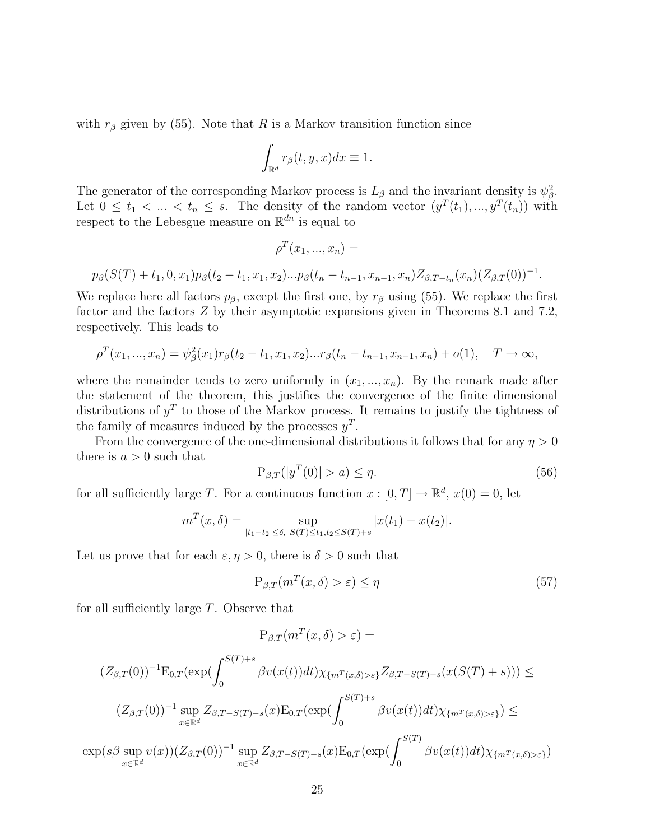with  $r_\beta$  given by (55). Note that R is a Markov transition function since

$$
\int_{\mathbb{R}^d} r_\beta(t,y,x)dx \equiv 1.
$$

The generator of the corresponding Markov process is  $L_{\beta}$  and the invariant density is  $\psi_{\beta}^2$ . Let  $0 \leq t_1 < \ldots < t_n \leq s$ . The density of the random vector  $(y^T(t_1),..., y^T(t_n))$  with respect to the Lebesgue measure on  $\mathbb{R}^{dn}$  is equal to

$$
\rho^T(x_1,...,x_n) =
$$

$$
p_{\beta}(S(T) + t_1, 0, x_1)p_{\beta}(t_2 - t_1, x_1, x_2)...p_{\beta}(t_n - t_{n-1}, x_{n-1}, x_n)Z_{\beta, T-t_n}(x_n)(Z_{\beta, T}(0))^{-1}.
$$

We replace here all factors  $p_{\beta}$ , except the first one, by  $r_{\beta}$  using (55). We replace the first factor and the factors Z by their asymptotic expansions given in Theorems 8.1 and 7.2, respectively. This leads to

$$
\rho^{T}(x_{1},...,x_{n}) = \psi_{\beta}^{2}(x_{1})r_{\beta}(t_{2}-t_{1},x_{1},x_{2})...r_{\beta}(t_{n}-t_{n-1},x_{n-1},x_{n}) + o(1), \quad T \to \infty,
$$

where the remainder tends to zero uniformly in  $(x_1, ..., x_n)$ . By the remark made after the statement of the theorem, this justifies the convergence of the finite dimensional distributions of  $y<sup>T</sup>$  to those of the Markov process. It remains to justify the tightness of the family of measures induced by the processes  $y<sup>T</sup>$ .

From the convergence of the one-dimensional distributions it follows that for any  $\eta > 0$ there is  $a > 0$  such that

$$
P_{\beta,T}(|y^T(0)| > a) \le \eta.
$$
\n
$$
(56)
$$

for all sufficiently large T. For a continuous function  $x : [0, T] \to \mathbb{R}^d$ ,  $x(0) = 0$ , let

$$
m^{T}(x,\delta) = \sup_{|t_{1}-t_{2}| \leq \delta, \ S(T) \leq t_{1}, t_{2} \leq S(T)+s} |x(t_{1}) - x(t_{2})|.
$$

Let us prove that for each  $\varepsilon$ ,  $\eta > 0$ , there is  $\delta > 0$  such that

$$
P_{\beta,T}(m^T(x,\delta) > \varepsilon) \le \eta \tag{57}
$$

for all sufficiently large T. Observe that

$$
P_{\beta,T}(m^T(x,\delta) > \varepsilon) =
$$
  

$$
(Z_{\beta,T}(0))^{-1}E_{0,T}(\exp(\int_0^{S(T)+s}\beta v(x(t))dt)\chi_{\{m^T(x,\delta)>\varepsilon\}}Z_{\beta,T-S(T)-s}(x(S(T)+s))) \le
$$
  

$$
(Z_{\beta,T}(0))^{-1}\sup_{x\in\mathbb{R}^d}Z_{\beta,T-S(T)-s}(x)E_{0,T}(\exp(\int_0^{S(T)+s}\beta v(x(t))dt)\chi_{\{m^T(x,\delta)>\varepsilon\}}) \le
$$
  

$$
\exp(s\beta \sup_{x\in\mathbb{R}^d}v(x))(Z_{\beta,T}(0))^{-1}\sup_{x\in\mathbb{R}^d}Z_{\beta,T-S(T)-s}(x)E_{0,T}(\exp(\int_0^{S(T)}\beta v(x(t))dt)\chi_{\{m^T(x,\delta)>\varepsilon\}})
$$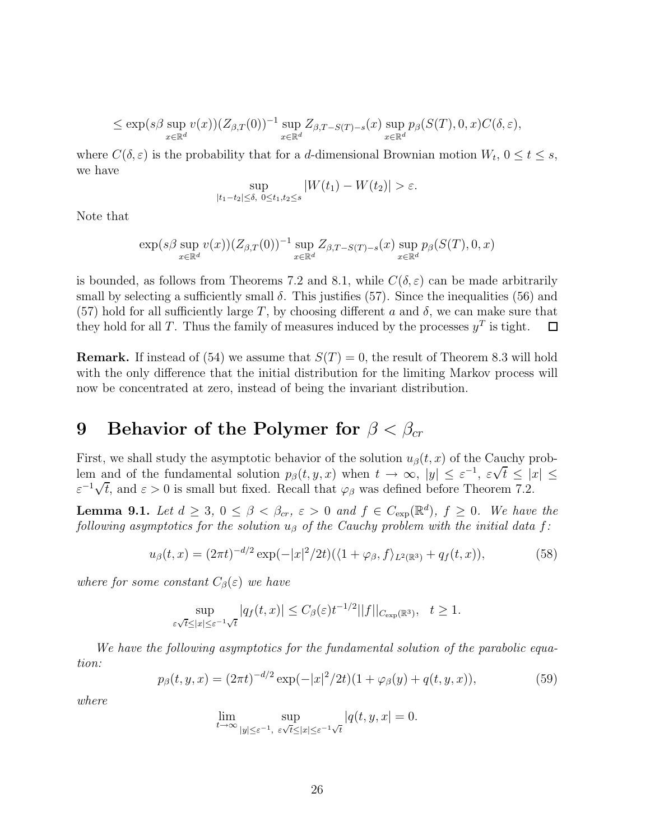$$
\leq \exp(s\beta \sup_{x\in\mathbb{R}^d} v(x))(Z_{\beta,T}(0))^{-1} \sup_{x\in\mathbb{R}^d} Z_{\beta,T-S(T)-s}(x) \sup_{x\in\mathbb{R}^d} p_{\beta}(S(T),0,x)C(\delta,\varepsilon),
$$

where  $C(\delta, \varepsilon)$  is the probability that for a d-dimensional Brownian motion  $W_t$ ,  $0 \le t \le s$ , we have

$$
\sup_{|t_1 - t_2| \le \delta, \ 0 \le t_1, t_2 \le s} |W(t_1) - W(t_2)| > \varepsilon.
$$

Note that

$$
\exp(s\beta \sup_{x\in\mathbb{R}^d} v(x))(Z_{\beta,T}(0))^{-1} \sup_{x\in\mathbb{R}^d} Z_{\beta,T-S(T)-s}(x) \sup_{x\in\mathbb{R}^d} p_{\beta}(S(T),0,x)
$$

is bounded, as follows from Theorems 7.2 and 8.1, while  $C(\delta, \varepsilon)$  can be made arbitrarily small by selecting a sufficiently small  $\delta$ . This justifies (57). Since the inequalities (56) and (57) hold for all sufficiently large T, by choosing different a and  $\delta$ , we can make sure that they hold for all T. Thus the family of measures induced by the processes  $y^T$  is tight. 囗

**Remark.** If instead of (54) we assume that  $S(T) = 0$ , the result of Theorem 8.3 will hold with the only difference that the initial distribution for the limiting Markov process will now be concentrated at zero, instead of being the invariant distribution.

# **9** Behavior of the Polymer for  $\beta < \beta_{cr}$

First, we shall study the asymptotic behavior of the solution  $u_{\beta}(t, x)$  of the Cauchy prob-First, we shall study the asymptotic behavior of the solution  $u_{\beta}(t, x)$  of the Cauchy prob-<br>lem and of the fundamental solution  $p_{\beta}(t, y, x)$  when  $t \to \infty$ ,  $|y| \leq \varepsilon^{-1}$ ,  $\varepsilon \sqrt{t} \leq |x| \leq$ For and of the fundamental solution  $p_{\beta}(t, y, x)$  when  $t \to \infty$ ,  $|y| \leq \varepsilon^{-1}$ ,  $\varepsilon \vee t \leq 1$ <br> $\varepsilon^{-1} \sqrt{t}$ , and  $\varepsilon > 0$  is small but fixed. Recall that  $\varphi_{\beta}$  was defined before Theorem 7.2.

**Lemma 9.1.** Let  $d \geq 3$ ,  $0 \leq \beta < \beta_{cr}$ ,  $\varepsilon > 0$  and  $f \in C_{exp}(\mathbb{R}^d)$ ,  $f \geq 0$ . We have the following asymptotics for the solution  $u_{\beta}$  of the Cauchy problem with the initial data f:

$$
u_{\beta}(t,x) = (2\pi t)^{-d/2} \exp(-|x|^2/2t) (\langle 1+\varphi_{\beta}, f \rangle_{L^2(\mathbb{R}^3)} + q_f(t,x)), \tag{58}
$$

where for some constant  $C_{\beta}(\varepsilon)$  we have

$$
\sup_{\varepsilon\sqrt{t}\leq |x|\leq \varepsilon^{-1}\sqrt{t}}|q_f(t,x)|\leq C_{\beta}(\varepsilon)t^{-1/2}||f||_{C_{\exp}(\mathbb{R}^3)},\quad t\geq 1.
$$

We have the following asymptotics for the fundamental solution of the parabolic equation:

$$
p_{\beta}(t, y, x) = (2\pi t)^{-d/2} \exp(-|x|^2/2t)(1 + \varphi_{\beta}(y) + q(t, y, x)), \tag{59}
$$

where

$$
\lim_{t \to \infty} \sup_{|y| \le \varepsilon^{-1}, \ \varepsilon \sqrt{t} \le |x| \le \varepsilon^{-1} \sqrt{t}} |q(t, y, x)| = 0.
$$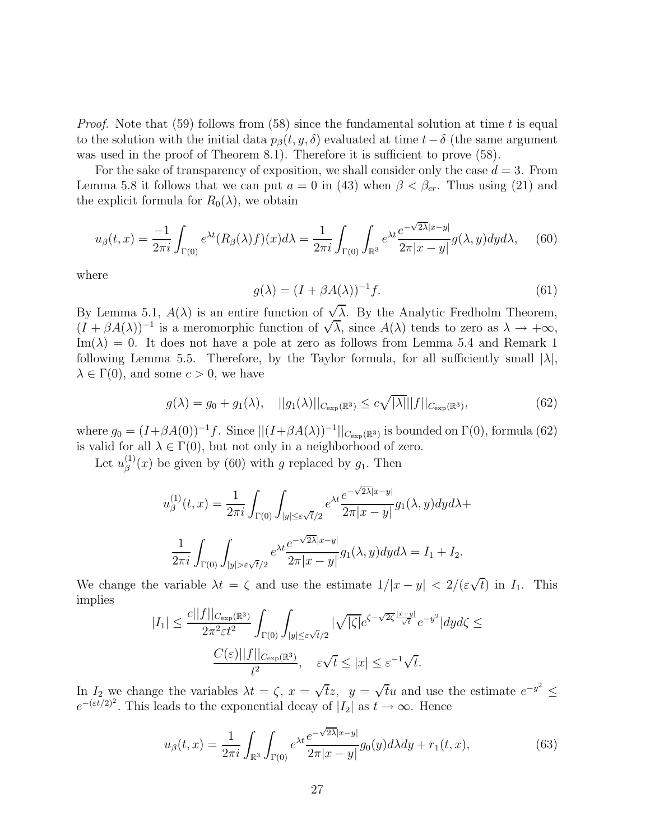*Proof.* Note that (59) follows from (58) since the fundamental solution at time t is equal to the solution with the initial data  $p_\beta(t, y, \delta)$  evaluated at time  $t-\delta$  (the same argument was used in the proof of Theorem 8.1). Therefore it is sufficient to prove (58).

For the sake of transparency of exposition, we shall consider only the case  $d = 3$ . From Lemma 5.8 it follows that we can put  $a = 0$  in (43) when  $\beta < \beta_{cr}$ . Thus using (21) and the explicit formula for  $R_0(\lambda)$ , we obtain

$$
u_{\beta}(t,x) = \frac{-1}{2\pi i} \int_{\Gamma(0)} e^{\lambda t} (R_{\beta}(\lambda)f)(x) d\lambda = \frac{1}{2\pi i} \int_{\Gamma(0)} \int_{\mathbb{R}^3} e^{\lambda t} \frac{e^{-\sqrt{2\lambda}|x-y|}}{2\pi |x-y|} g(\lambda, y) dy d\lambda, \quad (60)
$$

where

$$
g(\lambda) = (I + \beta A(\lambda))^{-1} f.
$$
\n(61)

By Lemma 5.1,  $A(\lambda)$  is an entire function of  $\sqrt{\lambda}$ . By the Analytic Fredholm Theorem, By Lemma 5.1,  $A(\lambda)$  is an entire function of  $\nabla \lambda$ . By the Analytic Fredholm Theorem,<br> $(I + \beta A(\lambda))^{-1}$  is a meromorphic function of  $\sqrt{\lambda}$ , since  $A(\lambda)$  tends to zero as  $\lambda \to +\infty$ ,  $\text{Im}(\lambda) = 0$ . It does not have a pole at zero as follows from Lemma 5.4 and Remark 1 following Lemma 5.5. Therefore, by the Taylor formula, for all sufficiently small  $|\lambda|$ ,  $\lambda \in \Gamma(0)$ , and some  $c > 0$ , we have

$$
g(\lambda) = g_0 + g_1(\lambda), \quad ||g_1(\lambda)||_{C_{\exp}(\mathbb{R}^3)} \le c\sqrt{|\lambda|}||f||_{C_{\exp}(\mathbb{R}^3)},\tag{62}
$$

where  $g_0 = (I+\beta A(0))^{-1}f$ . Since  $||(I+\beta A(\lambda))^{-1}||_{C_{\exp}(\mathbb{R}^3)}$  is bounded on  $\Gamma(0)$ , formula (62) is valid for all  $\lambda \in \Gamma(0)$ , but not only in a neighborhood of zero.

Let  $u_{\beta}^{(1)}(x)$  be given by (60) with g replaced by  $g_1$ . Then

$$
u_{\beta}^{(1)}(t,x) = \frac{1}{2\pi i} \int_{\Gamma(0)} \int_{|y| \leq \varepsilon \sqrt{t}/2} e^{\lambda t} \frac{e^{-\sqrt{2\lambda}|x-y|}}{2\pi |x-y|} g_1(\lambda, y) dy d\lambda +
$$

$$
\frac{1}{2\pi i} \int_{\Gamma(0)} \int_{|y| > \varepsilon \sqrt{t}/2} e^{\lambda t} \frac{e^{-\sqrt{2\lambda}|x-y|}}{2\pi |x-y|} g_1(\lambda, y) dy d\lambda = I_1 + I_2.
$$

We change the variable  $\lambda t = \zeta$  and use the estimate  $1/|x-y| < 2/(\varepsilon\sqrt{t})$  in  $I_1$ . This implies

$$
|I_{1}| \leq \frac{c||f||_{C_{\exp}(\mathbb{R}^{3})}}{2\pi^{2}\varepsilon t^{2}} \int_{\Gamma(0)} \int_{|y| \leq \varepsilon \sqrt{t}/2} |\sqrt{|\zeta|} e^{\zeta - \sqrt{2\zeta} \frac{|x-y|}{\sqrt{t}}} e^{-y^{2}} |dyd\zeta \leq
$$
  

$$
\frac{C(\varepsilon)||f||_{C_{\exp}(\mathbb{R}^{3})}}{t^{2}}, \quad \varepsilon \sqrt{t} \leq |x| \leq \varepsilon^{-1} \sqrt{t}.
$$

In  $I_2$  we change the variables  $\lambda t = \zeta$ ,  $x = \sqrt{t}z$ ,  $y = \sqrt{t}u$  and use the estimate  $e^{-y^2} \leq$  $e^{-(\varepsilon t/2)^2}$ . This leads to the exponential decay of  $|I_2|$  as  $t \to \infty$ . Hence

$$
u_{\beta}(t,x) = \frac{1}{2\pi i} \int_{\mathbb{R}^3} \int_{\Gamma(0)} e^{\lambda t} \frac{e^{-\sqrt{2\lambda}|x-y|}}{2\pi |x-y|} g_0(y) d\lambda dy + r_1(t,x), \tag{63}
$$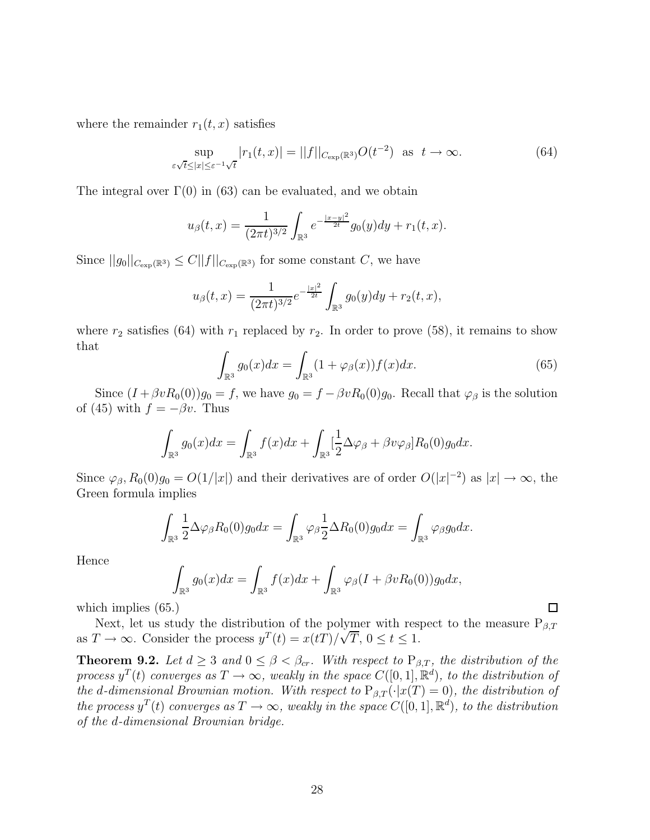where the remainder  $r_1(t, x)$  satisfies

$$
\sup_{\varepsilon \sqrt{t} \le |x| \le \varepsilon^{-1} \sqrt{t}} |r_1(t, x)| = ||f||_{C_{\exp}(\mathbb{R}^3)} O(t^{-2}) \text{ as } t \to \infty.
$$
 (64)

The integral over  $\Gamma(0)$  in (63) can be evaluated, and we obtain

$$
u_{\beta}(t,x) = \frac{1}{(2\pi t)^{3/2}} \int_{\mathbb{R}^3} e^{-\frac{|x-y|^2}{2t}} g_0(y) dy + r_1(t,x).
$$

Since  $||g_0||_{C_{\exp}(\mathbb{R}^3)} \leq C||f||_{C_{\exp}(\mathbb{R}^3)}$  for some constant C, we have

$$
u_{\beta}(t,x) = \frac{1}{(2\pi t)^{3/2}} e^{-\frac{|x|^2}{2t}} \int_{\mathbb{R}^3} g_0(y) dy + r_2(t,x),
$$

where  $r_2$  satisfies (64) with  $r_1$  replaced by  $r_2$ . In order to prove (58), it remains to show that

$$
\int_{\mathbb{R}^3} g_0(x) dx = \int_{\mathbb{R}^3} (1 + \varphi_\beta(x)) f(x) dx.
$$
\n(65)

Since  $(I + \beta v R_0(0))g_0 = f$ , we have  $g_0 = f - \beta v R_0(0)g_0$ . Recall that  $\varphi_\beta$  is the solution of (45) with  $f = -\beta v$ . Thus

$$
\int_{\mathbb{R}^3} g_0(x) dx = \int_{\mathbb{R}^3} f(x) dx + \int_{\mathbb{R}^3} \left[ \frac{1}{2} \Delta \varphi_\beta + \beta v \varphi_\beta \right] R_0(0) g_0 dx.
$$

Since  $\varphi_{\beta}, R_0(0)g_0 = O(1/|x|)$  and their derivatives are of order  $O(|x|^{-2})$  as  $|x| \to \infty$ , the Green formula implies

$$
\int_{\mathbb{R}^3} \frac{1}{2} \Delta \varphi_\beta R_0(0) g_0 dx = \int_{\mathbb{R}^3} \varphi_\beta \frac{1}{2} \Delta R_0(0) g_0 dx = \int_{\mathbb{R}^3} \varphi_\beta g_0 dx.
$$

Hence

$$
\int_{\mathbb{R}^3} g_0(x) dx = \int_{\mathbb{R}^3} f(x) dx + \int_{\mathbb{R}^3} \varphi_\beta(I + \beta v R_0(0)) g_0 dx,
$$

which implies (65.)

Next, let us study the distribution of the polymer with respect to the measure  $P_{\beta,T}$ as  $T \to \infty$ . Consider the process  $y^T(t) = x(t) / \sqrt{T}$ ,  $0 \le t \le 1$ .

**Theorem 9.2.** Let  $d \geq 3$  and  $0 \leq \beta < \beta_{cr}$ . With respect to  $P_{\beta,T}$ , the distribution of the process  $y^T(t)$  converges as  $T \to \infty$ , weakly in the space  $C([0, 1], \mathbb{R}^d)$ , to the distribution of the d-dimensional Brownian motion. With respect to  $P_{\beta,T}(\cdot|x(T) = 0)$ , the distribution of the process  $y^T(t)$  converges as  $T \to \infty$ , weakly in the space  $C([0, 1], \mathbb{R}^d)$ , to the distribution of the d-dimensional Brownian bridge.

 $\Box$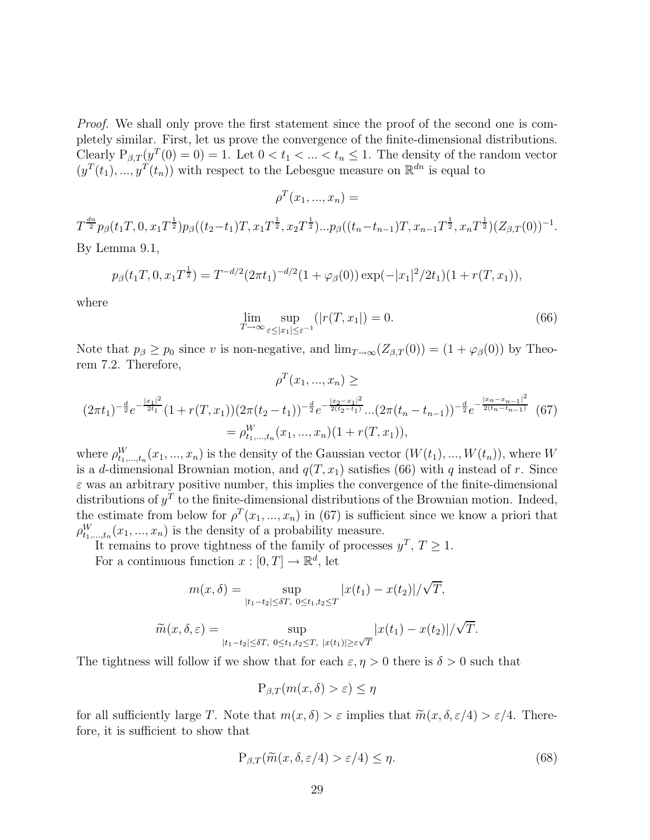Proof. We shall only prove the first statement since the proof of the second one is completely similar. First, let us prove the convergence of the finite-dimensional distributions. Clearly  $P_{\beta,T}(y^T(0) = 0) = 1$ . Let  $0 < t_1 < ... < t_n \leq 1$ . The density of the random vector  $(y^T(t_1),...,y^T(t_n))$  with respect to the Lebesgue measure on  $\mathbb{R}^{dn}$  is equal to

$$
\rho^T(x_1,...,x_n) =
$$

 $T^{\frac{dn}{2}}p_{\beta}(t_1T,0,x_1T^{\frac{1}{2}})p_{\beta}((t_2-t_1)T,x_1T^{\frac{1}{2}},x_2T^{\frac{1}{2}})...p_{\beta}((t_n-t_{n-1})T,x_{n-1}T^{\frac{1}{2}},x_nT^{\frac{1}{2}})(Z_{\beta,T}(0))^{-1}.$ By Lemma 9.1,

$$
p_{\beta}(t_1T, 0, x_1T^{\frac{1}{2}}) = T^{-d/2}(2\pi t_1)^{-d/2}(1+\varphi_{\beta}(0))\exp(-|x_1|^2/2t_1)(1+r(T, x_1)),
$$

where

$$
\lim_{T \to \infty} \sup_{\varepsilon \le |x_1| \le \varepsilon^{-1}} (|r(T, x_1|) = 0. \tag{66}
$$

Note that  $p_\beta \geq p_0$  since v is non-negative, and  $\lim_{T\to\infty} (Z_{\beta,T}(0)) = (1 + \varphi_\beta(0))$  by Theorem 7.2. Therefore,

$$
\rho^T(x_1, ..., x_n) \ge
$$
\n
$$
(2\pi t_1)^{-\frac{d}{2}} e^{-\frac{|x_1|^2}{2t_1}} (1 + r(T, x_1)) (2\pi (t_2 - t_1))^{-\frac{d}{2}} e^{-\frac{|x_2 - x_1|^2}{2(t_2 - t_1)}} \dots (2\pi (t_n - t_{n-1}))^{-\frac{d}{2}} e^{-\frac{|x_n - x_{n-1}|^2}{2(t_n - t_{n-1})}} (67)
$$
\n
$$
= \rho^W_{t_1, ..., t_n} (x_1, ..., x_n) (1 + r(T, x_1)),
$$

where  $\rho_{t_1,\dots,t_n}^W(x_1,\dots,x_n)$  is the density of the Gaussian vector  $(W(t_1),...,W(t_n))$ , where W is a d-dimensional Brownian motion, and  $q(T, x_1)$  satisfies (66) with q instead of r. Since  $\varepsilon$  was an arbitrary positive number, this implies the convergence of the finite-dimensional distributions of  $y^T$  to the finite-dimensional distributions of the Brownian motion. Indeed, the estimate from below for  $\rho^T(x_1, ..., x_n)$  in (67) is sufficient since we know a priori that  $\rho_{t_1,\ldots,t_n}^W(x_1,...,x_n)$  is the density of a probability measure.

It remains to prove tightness of the family of processes  $y^T$ ,  $T \ge 1$ . For a continuous function  $x : [0, T] \to \mathbb{R}^d$ , let

$$
m(x,\delta) = \sup_{|t_1 - t_2| \le \delta T, \ 0 \le t_1, t_2 \le T} |x(t_1) - x(t_2)| / \sqrt{T},
$$

$$
\widetilde{m}(x,\delta,\varepsilon) = \sup_{|t_1 - t_2| \le \delta T, \ 0 \le t_1, t_2 \le T, \ |x(t_1)| \ge \varepsilon \sqrt{T}} |x(t_1) - x(t_2)| / \sqrt{T}.
$$

The tightness will follow if we show that for each  $\varepsilon$ ,  $\eta > 0$  there is  $\delta > 0$  such that

$$
P_{\beta,T}(m(x,\delta) > \varepsilon) \le \eta
$$

for all sufficiently large T. Note that  $m(x, \delta) > \varepsilon$  implies that  $\widetilde{m}(x, \delta, \varepsilon/4) > \varepsilon/4$ . Therefore, it is sufficient to show that

$$
P_{\beta,T}(\widetilde{m}(x,\delta,\varepsilon/4) > \varepsilon/4) \le \eta.
$$
\n(68)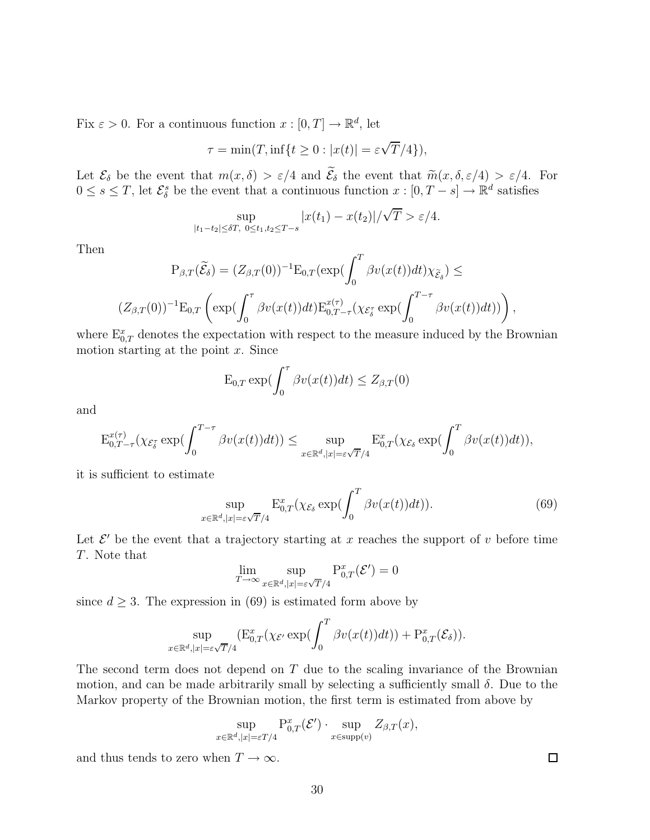Fix  $\varepsilon > 0$ . For a continuous function  $x : [0, T] \to \mathbb{R}^d$ , let

$$
\tau = \min(T, \inf\{t \ge 0 : |x(t)| = \varepsilon \sqrt{T}/4\}),
$$

Let  $\mathcal{E}_{\delta}$  be the event that  $m(x, \delta) > \varepsilon/4$  and  $\mathcal{E}_{\delta}$  the event that  $\widetilde{m}(x, \delta, \varepsilon/4) > \varepsilon/4$ . For  $0 \leq s \leq T$ , let  $\mathcal{E}_{\delta}^{s}$  be the event that a continuous function  $x : [0, T - s] \to \mathbb{R}^{d}$  satisfies

$$
\sup_{|t_1-t_2| \le \delta T, \ 0 \le t_1,t_2 \le T-s} |x(t_1) - x(t_2)|/\sqrt{T} > \varepsilon/4.
$$

Then

$$
P_{\beta,T}(\widetilde{\mathcal{E}}_{\delta}) = (Z_{\beta,T}(0))^{-1} E_{0,T}(\exp(\int_0^T \beta v(x(t))dt) \chi_{\widetilde{\mathcal{E}}_{\delta}}) \le
$$
  

$$
(Z_{\beta,T}(0))^{-1} E_{0,T} \left( \exp(\int_0^T \beta v(x(t))dt) E_{0,T-\tau}^{x(\tau)}(\chi_{\mathcal{E}_{\delta}^{\tau}} \exp(\int_0^{T-\tau} \beta v(x(t))dt)) \right),
$$

where  $\mathbb{E}_{0,T}^x$  denotes the expectation with respect to the measure induced by the Brownian motion starting at the point  $x$ . Since

$$
E_{0,T} \exp(\int_0^{\tau} \beta v(x(t)) dt) \le Z_{\beta,T}(0)
$$

and

$$
\mathcal{E}_{0,T-\tau}^{x(\tau)}(\chi_{\mathcal{E}_{\delta}^{\tau}}\exp(\int_{0}^{T-\tau}\beta v(x(t))dt))\leq \sup_{x\in\mathbb{R}^{d},|x|=\varepsilon\sqrt{T}/4}\mathcal{E}_{0,T}^{x}(\chi_{\mathcal{E}_{\delta}}\exp(\int_{0}^{T}\beta v(x(t))dt)),
$$

it is sufficient to estimate

$$
\sup_{x \in \mathbb{R}^d, |x| = \varepsilon \sqrt{T}/4} \mathbf{E}_{0,T}^x(\chi_{\mathcal{E}_\delta} \exp(\int_0^T \beta v(x(t)) dt)). \tag{69}
$$

Let  $\mathcal{E}'$  be the event that a trajectory starting at x reaches the support of v before time T. Note that

$$
\lim_{T \to \infty} \sup_{x \in \mathbb{R}^d, |x| = \varepsilon \sqrt{T}/4} \mathbf{P}^x_{0,T}(\mathcal{E}') = 0
$$

since  $d \geq 3$ . The expression in (69) is estimated form above by

$$
\sup_{x \in \mathbb{R}^d, |x| = \varepsilon \sqrt{T}/4} (\mathbf{E}_{0,T}^x(\chi_{\mathcal{E}'} \exp(\int_0^T \beta v(x(t)) dt)) + \mathbf{P}_{0,T}^x(\mathcal{E}_\delta)).
$$

The second term does not depend on T due to the scaling invariance of the Brownian motion, and can be made arbitrarily small by selecting a sufficiently small  $\delta$ . Due to the Markov property of the Brownian motion, the first term is estimated from above by

$$
\sup_{x \in \mathbb{R}^d, |x| = \varepsilon T/4} \mathbf{P}_{0,T}^x(\mathcal{E}') \cdot \sup_{x \in \text{supp}(v)} Z_{\beta,T}(x),
$$

and thus tends to zero when  $T \to \infty$ .

 $\Box$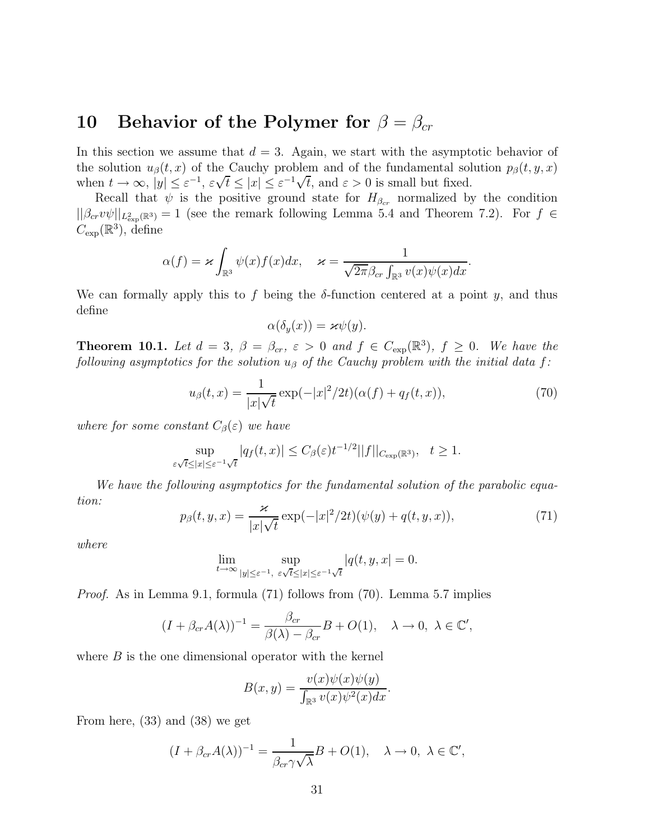#### **10 Behavior of the Polymer for**  $\beta = \beta_{cr}$

In this section we assume that  $d = 3$ . Again, we start with the asymptotic behavior of the solution  $u_{\beta}(t, x)$  of the Cauchy problem and of the fundamental solution  $p_{\beta}(t, y, x)$ when  $t \to \infty$ ,  $|y| \le \varepsilon^{-1}$ ,  $\varepsilon \sqrt{t} \le |x| \le \varepsilon^{-1} \sqrt{t}$ , and  $\varepsilon > 0$  is small but fixed.

Recall that  $\psi$  is the positive ground state for  $H_{\beta_{cr}}$  normalized by the condition  $||\beta_{cr}v\psi||_{L^2_{\text{exp}}(\mathbb{R}^3)}=1$  (see the remark following Lemma 5.4 and Theorem 7.2). For  $f \in$  $C_{\text{exp}}(\mathbb{R}^3)$ , define

$$
\alpha(f) = \varkappa \int_{\mathbb{R}^3} \psi(x) f(x) dx, \quad \varkappa = \frac{1}{\sqrt{2\pi} \beta_{cr} \int_{\mathbb{R}^3} v(x) \psi(x) dx}.
$$

We can formally apply this to f being the  $\delta$ -function centered at a point y, and thus define

$$
\alpha(\delta_y(x)) = \varkappa \psi(y).
$$

**Theorem 10.1.** Let  $d = 3$ ,  $\beta = \beta_{cr}$ ,  $\varepsilon > 0$  and  $f \in C_{exp}(\mathbb{R}^3)$ ,  $f \ge 0$ . We have the following asymptotics for the solution  $u_{\beta}$  of the Cauchy problem with the initial data f:

$$
u_{\beta}(t,x) = \frac{1}{|x|\sqrt{t}} \exp(-|x|^2/2t)(\alpha(f) + q_f(t,x)),
$$
\n(70)

where for some constant  $C_{\beta}(\varepsilon)$  we have

$$
\sup_{\varepsilon\sqrt{t}\leq |x|\leq \varepsilon^{-1}\sqrt{t}}|q_f(t,x)|\leq C_\beta(\varepsilon)t^{-1/2}||f||_{C_{\exp}(\mathbb{R}^3)},\quad t\geq 1.
$$

We have the following asymptotics for the fundamental solution of the parabolic equation:

$$
p_{\beta}(t, y, x) = \frac{\varkappa}{|x|\sqrt{t}} \exp(-|x|^2/2t)(\psi(y) + q(t, y, x)), \tag{71}
$$

where

$$
\lim_{t \to \infty} \sup_{|y| \le \varepsilon^{-1}, \ \varepsilon \sqrt{t} \le |x| \le \varepsilon^{-1} \sqrt{t}} |q(t, y, x)| = 0.
$$

Proof. As in Lemma 9.1, formula (71) follows from (70). Lemma 5.7 implies

$$
(I + \beta_{cr}A(\lambda))^{-1} = \frac{\beta_{cr}}{\beta(\lambda) - \beta_{cr}}B + O(1), \quad \lambda \to 0, \ \lambda \in \mathbb{C}',
$$

where  $B$  is the one dimensional operator with the kernel

$$
B(x,y) = \frac{v(x)\psi(x)\psi(y)}{\int_{\mathbb{R}^3} v(x)\psi^2(x)dx}.
$$

From here, (33) and (38) we get

$$
(I + \beta_{cr}A(\lambda))^{-1} = \frac{1}{\beta_{cr}\gamma\sqrt{\lambda}}B + O(1), \quad \lambda \to 0, \ \lambda \in \mathbb{C}',
$$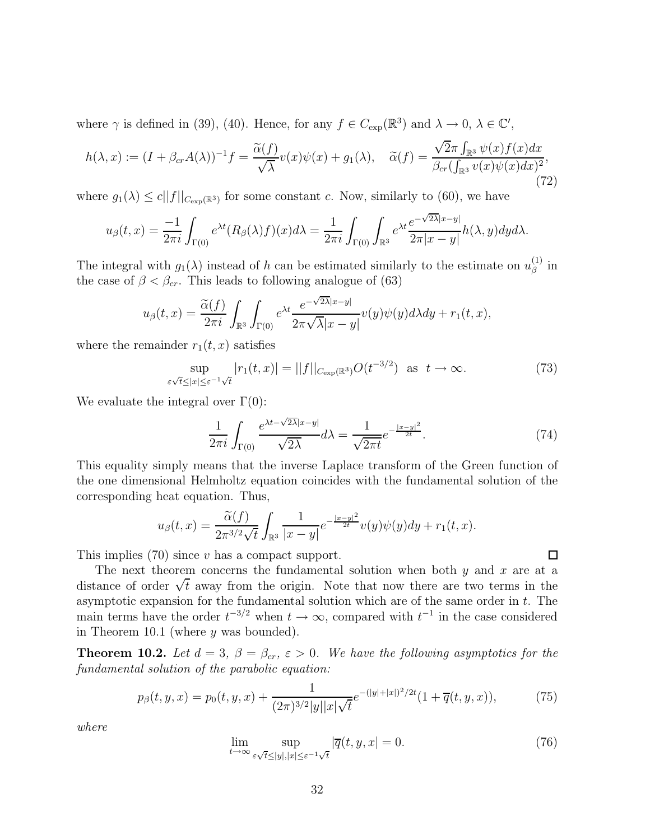where  $\gamma$  is defined in (39), (40). Hence, for any  $f \in C_{\text{exp}}(\mathbb{R}^3)$  and  $\lambda \to 0, \lambda \in \mathbb{C}'$ ,

$$
h(\lambda, x) := (I + \beta_{cr} A(\lambda))^{-1} f = \frac{\widetilde{\alpha}(f)}{\sqrt{\lambda}} v(x) \psi(x) + g_1(\lambda), \quad \widetilde{\alpha}(f) = \frac{\sqrt{2\pi} \int_{\mathbb{R}^3} \psi(x) f(x) dx}{\beta_{cr} (\int_{\mathbb{R}^3} v(x) \psi(x) dx)^2},
$$
\n(72)

where  $g_1(\lambda) \leq c||f||_{C_{\text{exp}}(\mathbb{R}^3)}$  for some constant c. Now, similarly to (60), we have

$$
u_{\beta}(t,x) = \frac{-1}{2\pi i} \int_{\Gamma(0)} e^{\lambda t} (R_{\beta}(\lambda)f)(x) d\lambda = \frac{1}{2\pi i} \int_{\Gamma(0)} \int_{\mathbb{R}^3} e^{\lambda t} \frac{e^{-\sqrt{2\lambda}|x-y|}}{2\pi |x-y|} h(\lambda,y) dy d\lambda.
$$

The integral with  $g_1(\lambda)$  instead of h can be estimated similarly to the estimate on  $u_\beta^{(1)}$  in the case of  $\beta < \beta_{cr}$ . This leads to following analogue of (63)

$$
u_{\beta}(t,x) = \frac{\widetilde{\alpha}(f)}{2\pi i} \int_{\mathbb{R}^3} \int_{\Gamma(0)} e^{\lambda t} \frac{e^{-\sqrt{2\lambda}|x-y|}}{2\pi \sqrt{\lambda}|x-y|} v(y) \psi(y) d\lambda dy + r_1(t,x),
$$

where the remainder  $r_1(t, x)$  satisfies

$$
\sup_{\varepsilon\sqrt{t}\le|x|\le\varepsilon^{-1}\sqrt{t}}|r_1(t,x)|=||f||_{C_{\exp}(\mathbb{R}^3)}O(t^{-3/2})\quad\text{as}\quad t\to\infty.
$$
\n(73)

We evaluate the integral over  $\Gamma(0)$ :

$$
\frac{1}{2\pi i} \int_{\Gamma(0)} \frac{e^{\lambda t - \sqrt{2\lambda}|x-y|}}{\sqrt{2\lambda}} d\lambda = \frac{1}{\sqrt{2\pi t}} e^{-\frac{|x-y|^2}{2t}}.
$$
 (74)

 $\Box$ 

This equality simply means that the inverse Laplace transform of the Green function of the one dimensional Helmholtz equation coincides with the fundamental solution of the corresponding heat equation. Thus,

$$
u_{\beta}(t,x) = \frac{\widetilde{\alpha}(f)}{2\pi^{3/2}\sqrt{t}} \int_{\mathbb{R}^3} \frac{1}{|x-y|} e^{-\frac{|x-y|^2}{2t}} v(y) \psi(y) dy + r_1(t,x).
$$

This implies (70) since v has a compact support.

The next theorem concerns the fundamental solution when both  $y$  and  $x$  are at a distance of order  $\sqrt{t}$  away from the origin. Note that now there are two terms in the asymptotic expansion for the fundamental solution which are of the same order in  $t$ . The main terms have the order  $t^{-3/2}$  when  $t \to \infty$ , compared with  $t^{-1}$  in the case considered in Theorem 10.1 (where  $y$  was bounded).

**Theorem 10.2.** Let  $d = 3$ ,  $\beta = \beta_{cr}$ ,  $\varepsilon > 0$ . We have the following asymptotics for the fundamental solution of the parabolic equation:

$$
p_{\beta}(t, y, x) = p_0(t, y, x) + \frac{1}{(2\pi)^{3/2}|y||x|\sqrt{t}} e^{-(|y|+|x|)^2/2t} (1 + \overline{q}(t, y, x)), \tag{75}
$$

where

$$
\lim_{t \to \infty} \sup_{\varepsilon \sqrt{t} \le |y|, |x| \le \varepsilon^{-1} \sqrt{t}} |\overline{q}(t, y, x)| = 0. \tag{76}
$$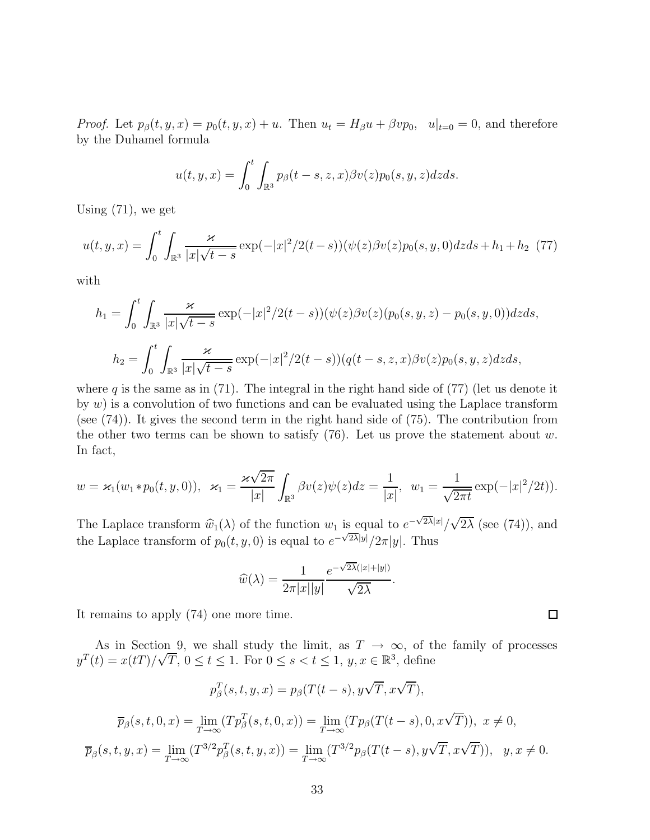*Proof.* Let  $p_\beta(t, y, x) = p_0(t, y, x) + u$ . Then  $u_t = H_\beta u + \beta v p_0$ ,  $u|_{t=0} = 0$ , and therefore by the Duhamel formula

$$
u(t, y, x) = \int_0^t \int_{\mathbb{R}^3} p_\beta(t - s, z, x) \beta v(z) p_0(s, y, z) dz ds.
$$

Using (71), we get

$$
u(t, y, x) = \int_0^t \int_{\mathbb{R}^3} \frac{\varkappa}{|x|\sqrt{t-s}} \exp(-|x|^2/2(t-s)) (\psi(z)\beta v(z)p_0(s, y, 0) dz ds + h_1 + h_2 \tag{77}
$$

with

$$
h_1 = \int_0^t \int_{\mathbb{R}^3} \frac{\varkappa}{|x|\sqrt{t-s}} \exp(-|x|^2/2(t-s))(\psi(z)\beta v(z)(p_0(s, y, z) - p_0(s, y, 0))dzds,
$$
  

$$
h_2 = \int_0^t \int_{\mathbb{R}^3} \frac{\varkappa}{|x|\sqrt{t-s}} \exp(-|x|^2/2(t-s)) (q(t-s, z, x)\beta v(z)p_0(s, y, z)dzds,
$$

where q is the same as in (71). The integral in the right hand side of (77) (let us denote it by  $w$ ) is a convolution of two functions and can be evaluated using the Laplace transform (see (74)). It gives the second term in the right hand side of (75). The contribution from the other two terms can be shown to satisfy  $(76)$ . Let us prove the statement about w. In fact,

$$
w = \varkappa_1(w_1 * p_0(t, y, 0)), \quad \varkappa_1 = \frac{\varkappa \sqrt{2\pi}}{|x|} \int_{\mathbb{R}^3} \beta v(z) \psi(z) dz = \frac{1}{|x|}, \quad w_1 = \frac{1}{\sqrt{2\pi t}} \exp(-|x|^2/2t).
$$

The Laplace transform  $\widehat{w}_1(\lambda)$  of the function  $w_1$  is equal to  $e^{-\sqrt{2\lambda}|x|}/$ √  $2\lambda$  (see (74)), and the Laplace transform of  $p_0(t, y, 0)$  is equal to  $e^{-\sqrt{2\lambda}|y|}/2\pi|y|$ . Thus

$$
\widehat{w}(\lambda) = \frac{1}{2\pi|x||y|} \frac{e^{-\sqrt{2\lambda}(|x|+|y|)}}{\sqrt{2\lambda}}.
$$

It remains to apply (74) one more time.

As in Section 9, we shall study the limit, as  $T \to \infty$ , of the family of processes  $y^T(t) = x(t) / \sqrt{T}$ ,  $0 \le t \le 1$ . For  $0 \le s < t \le 1$ ,  $y, x \in \mathbb{R}^3$ , define

 $\Box$ 

$$
p_{\beta}^{T}(s,t,y,x) = p_{\beta}(T(t-s), y\sqrt{T}, x\sqrt{T}),
$$

$$
\overline{p}_{\beta}(s,t,0,x) = \lim_{T \to \infty} (Tp_{\beta}^{T}(s,t,0,x)) = \lim_{T \to \infty} (Tp_{\beta}(T(t-s), 0, x\sqrt{T})), \ x \neq 0,
$$

$$
\overline{p}_{\beta}(s,t,y,x) = \lim_{T \to \infty} (T^{3/2}p_{\beta}^{T}(s,t,y,x)) = \lim_{T \to \infty} (T^{3/2}p_{\beta}(T(t-s), y\sqrt{T}, x\sqrt{T})), \ y, x \neq 0.
$$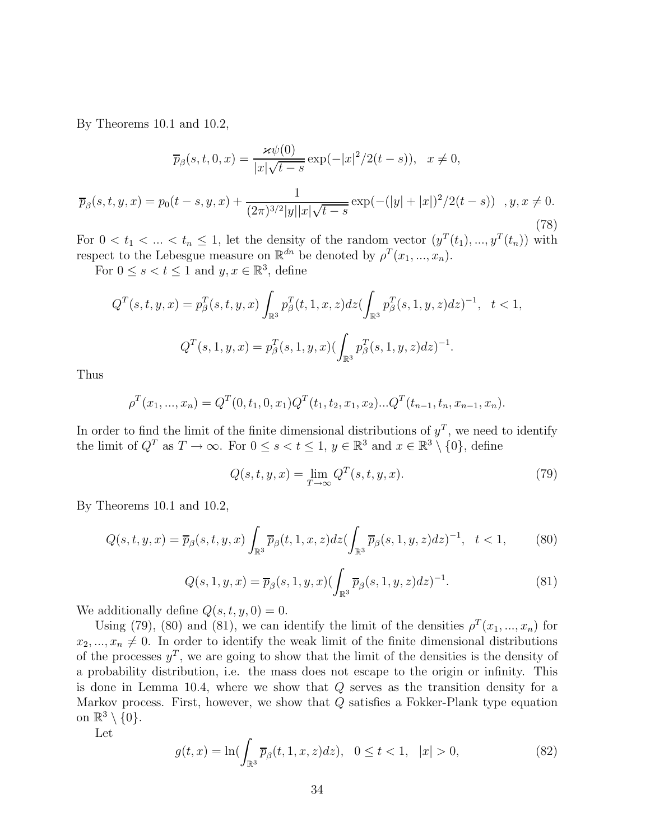By Theorems 10.1 and 10.2,

$$
\overline{p}_{\beta}(s,t,0,x) = \frac{\varkappa \psi(0)}{|x|\sqrt{t-s}} \exp(-|x|^2/2(t-s)), \quad x \neq 0,
$$

$$
\overline{p}_{\beta}(s,t,y,x) = p_0(t-s,y,x) + \frac{1}{(2\pi)^{3/2}|y||x|\sqrt{t-s}} \exp(-(|y|+|x|)^2/2(t-s)) \quad ,y,x \neq 0. \tag{78}
$$

For  $0 < t_1 < ... < t_n \leq 1$ , let the density of the random vector  $(y^T(t_1), ..., y^T(t_n))$  with respect to the Lebesgue measure on  $\mathbb{R}^{dn}$  be denoted by  $\rho^{T}(x_{1},...,x_{n})$ .

For  $0 \leq s < t \leq 1$  and  $y, x \in \mathbb{R}^3$ , define

$$
Q^{T}(s,t,y,x) = p_{\beta}^{T}(s,t,y,x) \int_{\mathbb{R}^{3}} p_{\beta}^{T}(t,1,x,z) dz \left( \int_{\mathbb{R}^{3}} p_{\beta}^{T}(s,1,y,z) dz \right)^{-1}, \quad t < 1,
$$
  

$$
Q^{T}(s,1,y,x) = p_{\beta}^{T}(s,1,y,x) \left( \int_{\mathbb{R}^{3}} p_{\beta}^{T}(s,1,y,z) dz \right)^{-1}.
$$

Thus

$$
\rho^{T}(x_{1},...,x_{n}) = Q^{T}(0,t_{1},0,x_{1})Q^{T}(t_{1},t_{2},x_{1},x_{2})...Q^{T}(t_{n-1},t_{n},x_{n-1},x_{n}).
$$

In order to find the limit of the finite dimensional distributions of  $y<sup>T</sup>$ , we need to identify the limit of  $Q^T$  as  $T \to \infty$ . For  $0 \le s < t \le 1$ ,  $y \in \mathbb{R}^3$  and  $x \in \mathbb{R}^3 \setminus \{0\}$ , define

$$
Q(s,t,y,x) = \lim_{T \to \infty} Q^T(s,t,y,x). \tag{79}
$$

By Theorems 10.1 and 10.2,

$$
Q(s,t,y,x) = \overline{p}_{\beta}(s,t,y,x) \int_{\mathbb{R}^3} \overline{p}_{\beta}(t,1,x,z) dz \left(\int_{\mathbb{R}^3} \overline{p}_{\beta}(s,1,y,z) dz\right)^{-1}, \quad t < 1,
$$
 (80)

$$
Q(s, 1, y, x) = \overline{p}_{\beta}(s, 1, y, x) \left(\int_{\mathbb{R}^3} \overline{p}_{\beta}(s, 1, y, z) dz\right)^{-1}.
$$
 (81)

We additionally define  $Q(s, t, y, 0) = 0$ .

Using (79), (80) and (81), we can identify the limit of the densities  $\rho^T(x_1, ..., x_n)$  for  $x_2, ..., x_n \neq 0$ . In order to identify the weak limit of the finite dimensional distributions of the processes  $y^T$ , we are going to show that the limit of the densities is the density of a probability distribution, i.e. the mass does not escape to the origin or infinity. This is done in Lemma 10.4, where we show that  $Q$  serves as the transition density for a Markov process. First, however, we show that Q satisfies a Fokker-Plank type equation on  $\mathbb{R}^3 \setminus \{0\}.$ 

Let

$$
g(t,x) = \ln(\int_{\mathbb{R}^3} \overline{p}_{\beta}(t,1,x,z)dz), \ \ 0 \le t < 1, \ \ |x| > 0,
$$
 (82)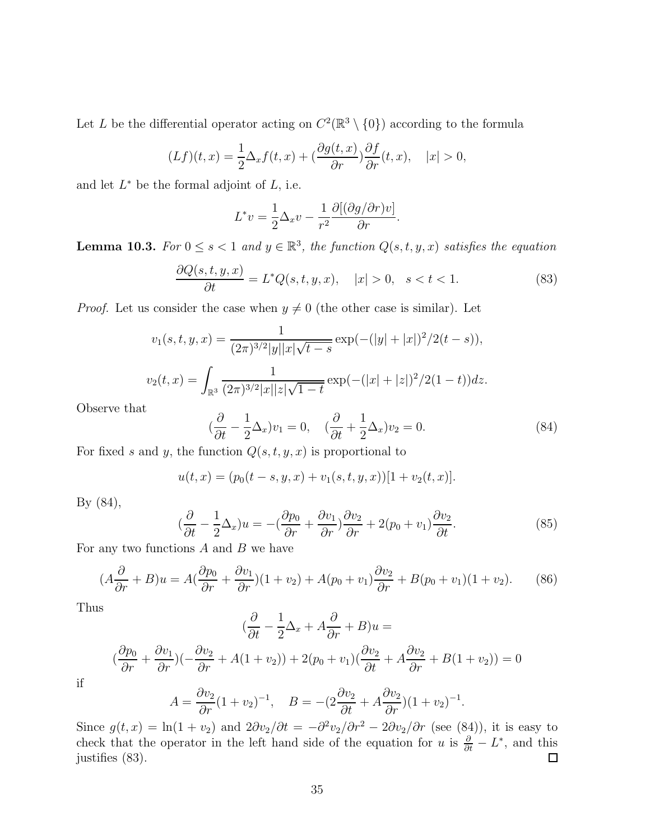Let L be the differential operator acting on  $C^2(\mathbb{R}^3 \setminus \{0\})$  according to the formula

$$
(Lf)(t,x) = \frac{1}{2}\Delta_x f(t,x) + \left(\frac{\partial g(t,x)}{\partial r}\right) \frac{\partial f}{\partial r}(t,x), \quad |x| > 0,
$$

and let  $L^*$  be the formal adjoint of  $L$ , i.e.

$$
L^*v = \frac{1}{2}\Delta_x v - \frac{1}{r^2} \frac{\partial [(\partial g/\partial r)v]}{\partial r}.
$$

**Lemma 10.3.** For  $0 \le s < 1$  and  $y \in \mathbb{R}^3$ , the function  $Q(s,t,y,x)$  satisfies the equation

$$
\frac{\partial Q(s,t,y,x)}{\partial t} = L^*Q(s,t,y,x), \quad |x| > 0, \quad s < t < 1.
$$
\n
$$
(83)
$$

*Proof.* Let us consider the case when  $y \neq 0$  (the other case is similar). Let

$$
v_1(s,t,y,x) = \frac{1}{(2\pi)^{3/2}|y||x|\sqrt{t-s}} \exp(-(|y|+|x|)^2/2(t-s)),
$$
  

$$
v_2(t,x) = \int_{\mathbb{R}^3} \frac{1}{(2\pi)^{3/2}|x||z|\sqrt{1-t}} \exp(-(|x|+|z|)^2/2(1-t))dz.
$$

Observe that

$$
(\frac{\partial}{\partial t} - \frac{1}{2}\Delta_x)v_1 = 0, \quad (\frac{\partial}{\partial t} + \frac{1}{2}\Delta_x)v_2 = 0.
$$
 (84)

For fixed s and y, the function  $Q(s, t, y, x)$  is proportional to

$$
u(t,x) = (p_0(t-s,y,x) + v_1(s,t,y,x))[1 + v_2(t,x)].
$$

By (84),

$$
(\frac{\partial}{\partial t} - \frac{1}{2}\Delta_x)u = -(\frac{\partial p_0}{\partial r} + \frac{\partial v_1}{\partial r})\frac{\partial v_2}{\partial r} + 2(p_0 + v_1)\frac{\partial v_2}{\partial t}.
$$
\n(85)

For any two functions  $A$  and  $B$  we have

$$
(A\frac{\partial}{\partial r} + B)u = A\left(\frac{\partial p_0}{\partial r} + \frac{\partial v_1}{\partial r}\right)(1 + v_2) + A(p_0 + v_1)\frac{\partial v_2}{\partial r} + B(p_0 + v_1)(1 + v_2). \tag{86}
$$

Thus

$$
(\frac{\partial}{\partial t} - \frac{1}{2}\Delta_x + A\frac{\partial}{\partial r} + B)u =
$$

$$
(\frac{\partial p_0}{\partial r} + \frac{\partial v_1}{\partial r})(-\frac{\partial v_2}{\partial r} + A(1+v_2)) + 2(p_0 + v_1)(\frac{\partial v_2}{\partial t} + A\frac{\partial v_2}{\partial r} + B(1+v_2)) = 0
$$

if

$$
A = \frac{\partial v_2}{\partial r} (1 + v_2)^{-1}, \quad B = -(2\frac{\partial v_2}{\partial t} + A\frac{\partial v_2}{\partial r}) (1 + v_2)^{-1}.
$$

Since  $g(t, x) = \ln(1 + v_2)$  and  $2\partial v_2/\partial t = -\partial^2 v_2/\partial r^2 - 2\partial v_2/\partial r$  (see (84)), it is easy to check that the operator in the left hand side of the equation for u is  $\frac{\partial}{\partial t} - L^*$ , and this justifies (83).  $\Box$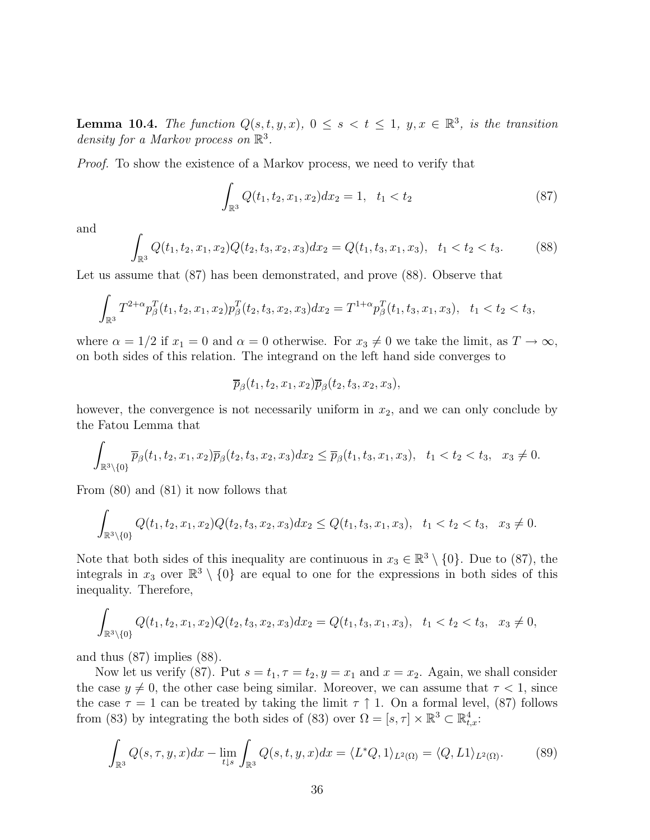**Lemma 10.4.** The function  $Q(s,t,y,x)$ ,  $0 \leq s < t \leq 1$ ,  $y, x \in \mathbb{R}^3$ , is the transition density for a Markov process on  $\mathbb{R}^3$ .

Proof. To show the existence of a Markov process, we need to verify that

$$
\int_{\mathbb{R}^3} Q(t_1, t_2, x_1, x_2) dx_2 = 1, \quad t_1 < t_2 \tag{87}
$$

and

$$
\int_{\mathbb{R}^3} Q(t_1, t_2, x_1, x_2) Q(t_2, t_3, x_2, x_3) dx_2 = Q(t_1, t_3, x_1, x_3), \quad t_1 < t_2 < t_3. \tag{88}
$$

Let us assume that (87) has been demonstrated, and prove (88). Observe that

$$
\int_{\mathbb{R}^3} T^{2+\alpha} p_{\beta}^T(t_1, t_2, x_1, x_2) p_{\beta}^T(t_2, t_3, x_2, x_3) dx_2 = T^{1+\alpha} p_{\beta}^T(t_1, t_3, x_1, x_3), \quad t_1 < t_2 < t_3,
$$

where  $\alpha = 1/2$  if  $x_1 = 0$  and  $\alpha = 0$  otherwise. For  $x_3 \neq 0$  we take the limit, as  $T \to \infty$ , on both sides of this relation. The integrand on the left hand side converges to

$$
\overline{p}_{\beta}(t_1,t_2,x_1,x_2)\overline{p}_{\beta}(t_2,t_3,x_2,x_3),
$$

however, the convergence is not necessarily uniform in  $x_2$ , and we can only conclude by the Fatou Lemma that

$$
\int_{\mathbb{R}^3 \setminus \{0\}} \overline{p}_{\beta}(t_1, t_2, x_1, x_2) \overline{p}_{\beta}(t_2, t_3, x_2, x_3) dx_2 \leq \overline{p}_{\beta}(t_1, t_3, x_1, x_3), \quad t_1 < t_2 < t_3, \quad x_3 \neq 0.
$$

From (80) and (81) it now follows that

$$
\int_{\mathbb{R}^3 \setminus \{0\}} Q(t_1, t_2, x_1, x_2) Q(t_2, t_3, x_2, x_3) dx_2 \le Q(t_1, t_3, x_1, x_3), \quad t_1 < t_2 < t_3, \quad x_3 \ne 0.
$$

Note that both sides of this inequality are continuous in  $x_3 \in \mathbb{R}^3 \setminus \{0\}$ . Due to (87), the integrals in  $x_3$  over  $\mathbb{R}^3 \setminus \{0\}$  are equal to one for the expressions in both sides of this inequality. Therefore,

$$
\int_{\mathbb{R}^3 \setminus \{0\}} Q(t_1, t_2, x_1, x_2) Q(t_2, t_3, x_2, x_3) dx_2 = Q(t_1, t_3, x_1, x_3), \quad t_1 < t_2 < t_3, \quad x_3 \neq 0,
$$

and thus (87) implies (88).

Now let us verify (87). Put  $s = t_1, \tau = t_2, y = x_1$  and  $x = x_2$ . Again, we shall consider the case  $y \neq 0$ , the other case being similar. Moreover, we can assume that  $\tau < 1$ , since the case  $\tau = 1$  can be treated by taking the limit  $\tau \uparrow 1$ . On a formal level, (87) follows from (83) by integrating the both sides of (83) over  $\Omega = [s, \tau] \times \mathbb{R}^3 \subset \mathbb{R}^4_{tx}$ :

$$
\int_{\mathbb{R}^3} Q(s,\tau,y,x)dx - \lim_{t \downarrow s} \int_{\mathbb{R}^3} Q(s,t,y,x)dx = \langle L^*Q, 1 \rangle_{L^2(\Omega)} = \langle Q, L1 \rangle_{L^2(\Omega)}.
$$
 (89)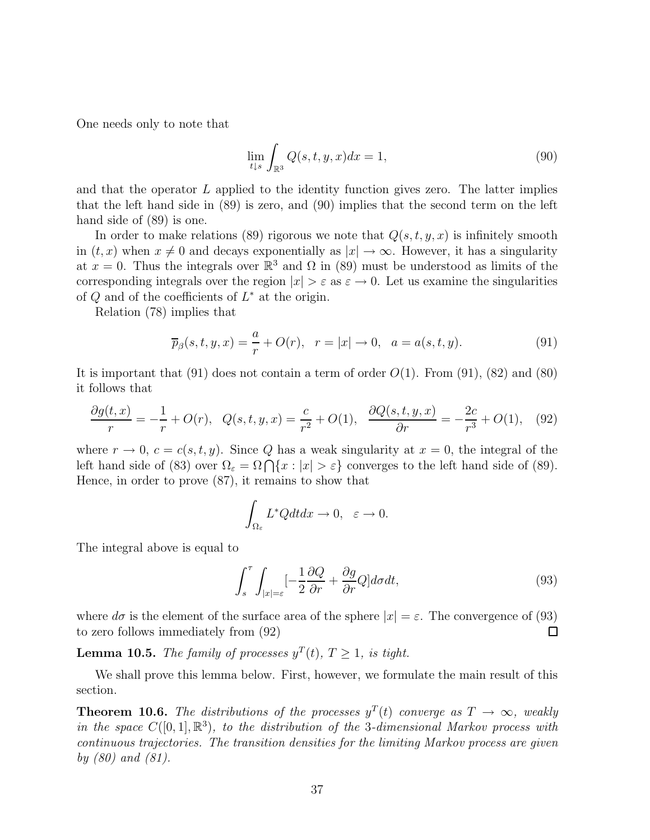One needs only to note that

$$
\lim_{t \downarrow s} \int_{\mathbb{R}^3} Q(s, t, y, x) dx = 1,\tag{90}
$$

and that the operator  $L$  applied to the identity function gives zero. The latter implies that the left hand side in (89) is zero, and (90) implies that the second term on the left hand side of (89) is one.

In order to make relations (89) rigorous we note that  $Q(s, t, y, x)$  is infinitely smooth in  $(t, x)$  when  $x \neq 0$  and decays exponentially as  $|x| \to \infty$ . However, it has a singularity at  $x = 0$ . Thus the integrals over  $\mathbb{R}^3$  and  $\Omega$  in (89) must be understood as limits of the corresponding integrals over the region  $|x| > \varepsilon$  as  $\varepsilon \to 0$ . Let us examine the singularities of  $Q$  and of the coefficients of  $L^*$  at the origin.

Relation (78) implies that

$$
\overline{p}_{\beta}(s,t,y,x) = \frac{a}{r} + O(r), \quad r = |x| \to 0, \quad a = a(s,t,y).
$$
 (91)

It is important that  $(91)$  does not contain a term of order  $O(1)$ . From  $(91)$ ,  $(82)$  and  $(80)$ it follows that

$$
\frac{\partial g(t,x)}{r} = -\frac{1}{r} + O(r), \quad Q(s,t,y,x) = \frac{c}{r^2} + O(1), \quad \frac{\partial Q(s,t,y,x)}{\partial r} = -\frac{2c}{r^3} + O(1), \quad (92)
$$

where  $r \to 0$ ,  $c = c(s, t, y)$ . Since Q has a weak singularity at  $x = 0$ , the integral of the left hand side of (83) over  $\Omega_{\varepsilon} = \Omega \bigcap \{x : |x| > \varepsilon\}$  converges to the left hand side of (89). Hence, in order to prove (87), it remains to show that

$$
\int_{\Omega_{\varepsilon}} L^* Q dt dx \to 0, \quad \varepsilon \to 0.
$$

The integral above is equal to

$$
\int_{s}^{\tau} \int_{|x|=\varepsilon} \left[ -\frac{1}{2} \frac{\partial Q}{\partial r} + \frac{\partial g}{\partial r} Q \right] d\sigma dt, \tag{93}
$$

where  $d\sigma$  is the element of the surface area of the sphere  $|x| = \varepsilon$ . The convergence of (93) to zero follows immediately from (92) □

**Lemma 10.5.** The family of processes  $y^T(t)$ ,  $T > 1$ , is tight.

We shall prove this lemma below. First, however, we formulate the main result of this section.

**Theorem 10.6.** The distributions of the processes  $y^T(t)$  converge as  $T \to \infty$ , weakly in the space  $C([0,1], \mathbb{R}^3)$ , to the distribution of the 3-dimensional Markov process with continuous trajectories. The transition densities for the limiting Markov process are given by (80) and (81).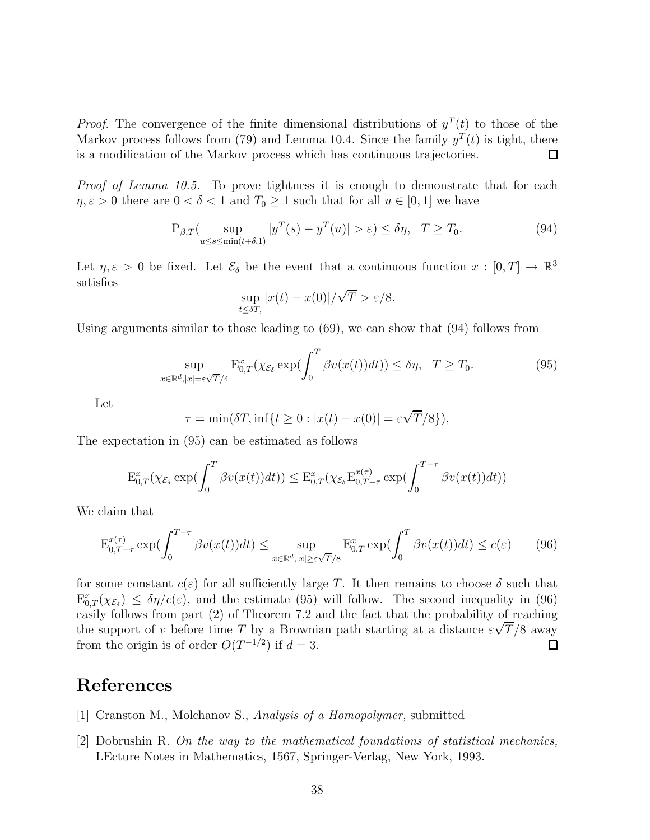*Proof.* The convergence of the finite dimensional distributions of  $y^T(t)$  to those of the Markov process follows from (79) and Lemma 10.4. Since the family  $y^T(t)$  is tight, there is a modification of the Markov process which has continuous trajectories.  $\Box$ 

Proof of Lemma 10.5. To prove tightness it is enough to demonstrate that for each  $\eta, \varepsilon > 0$  there are  $0 < \delta < 1$  and  $T_0 \ge 1$  such that for all  $u \in [0, 1]$  we have

$$
P_{\beta,T}(\sup_{u\leq s\leq \min(t+\delta,1)}|y^T(s)-y^T(u)|>\varepsilon)\leq \delta\eta,\ \ T\geq T_0. \tag{94}
$$

Let  $\eta, \varepsilon > 0$  be fixed. Let  $\mathcal{E}_{\delta}$  be the event that a continuous function  $x : [0, T] \to \mathbb{R}^3$ satisfies √

$$
\sup_{t \le \delta T,} |x(t) - x(0)| / \sqrt{T} > \varepsilon / 8.
$$

Using arguments similar to those leading to (69), we can show that (94) follows from

$$
\sup_{x \in \mathbb{R}^d, |x| = \varepsilon \sqrt{T}/4} \mathbf{E}_{0,T}^x(\chi_{\mathcal{E}_\delta} \exp(\int_0^T \beta v(x(t)) dt)) \le \delta \eta, \quad T \ge T_0.
$$
\n(95)

Let

$$
\tau = \min(\delta T, \inf\{t \ge 0 : |x(t) - x(0)| = \varepsilon \sqrt{T}/8\}),
$$

The expectation in (95) can be estimated as follows

$$
\mathcal{E}_{0,T}^x(\chi_{\mathcal{E}_\delta} \exp(\int_0^T \beta v(x(t))dt)) \leq \mathcal{E}_{0,T}^x(\chi_{\mathcal{E}_\delta} \mathcal{E}_{0,T-\tau}^{x(\tau)} \exp(\int_0^{T-\tau} \beta v(x(t))dt))
$$

We claim that

$$
\mathcal{E}_{0,T-\tau}^{x(\tau)} \exp(\int_0^{T-\tau} \beta v(x(t))dt) \le \sup_{x \in \mathbb{R}^d, |x| \ge \varepsilon \sqrt{T}/8} \mathcal{E}_{0,T}^x \exp(\int_0^T \beta v(x(t))dt) \le c(\varepsilon) \tag{96}
$$

for some constant  $c(\varepsilon)$  for all sufficiently large T. It then remains to choose  $\delta$  such that  $\mathbb{E}_{0,T}^x(\chi_{\mathcal{E}_{\delta}}) \leq \delta \eta/c(\varepsilon)$ , and the estimate (95) will follow. The second inequality in (96) easily follows from part (2) of Theorem 7.2 and the fact that the probability of reaching the support of v before time T by a Brownian path starting at a distance  $\varepsilon\sqrt{T/8}$  away from the origin is of order  $O(T^{-1/2})$  if  $d=3$ .  $\square$ 

### **References**

- [1] Cranston M., Molchanov S., Analysis of a Homopolymer, submitted
- [2] Dobrushin R. On the way to the mathematical foundations of statistical mechanics, LEcture Notes in Mathematics, 1567, Springer-Verlag, New York, 1993.